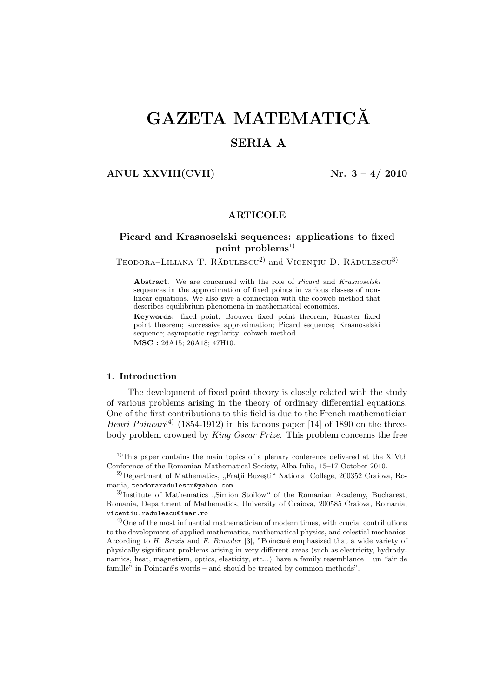# GAZETA MATEMATICĂ

# SERIA A

ANUL XXVIII(CVII)  $Nr. 3 - 4/2010$ 

# ARTICOLE

# Picard and Krasnoselski sequences: applications to fixed point problems<sup>1)</sup>

TEODORA–LILIANA T. RĂDULESCU<sup>2</sup> and VICENȚIU D. RĂDULESCU<sup>3)</sup>

Abstract. We are concerned with the role of *Picard* and *Krasnoselski* sequences in the approximation of fixed points in various classes of nonlinear equations. We also give a connection with the cobweb method that describes equilibrium phenomena in mathematical economics.

Keywords: fixed point; Brouwer fixed point theorem; Knaster fixed point theorem; successive approximation; Picard sequence; Krasnoselski sequence; asymptotic regularity; cobweb method. MSC : 26A15; 26A18; 47H10.

### 1. Introduction

The development of fixed point theory is closely related with the study of various problems arising in the theory of ordinary differential equations. One of the first contributions to this field is due to the French mathematician *Henri Poincaré*<sup>4)</sup> (1854-1912) in his famous paper [14] of 1890 on the threebody problem crowned by *King Oscar Prize*. This problem concerns the free

<sup>&</sup>lt;sup>1)</sup>This paper contains the main topics of a plenary conference delivered at the XIVth Conference of the Romanian Mathematical Society, Alba Iulia, 15–17 October 2010.

<sup>&</sup>lt;sup>2</sup>)Department of Mathematics, "Fratii Buzesti" National College, 200352 Craiova, Romania, teodoraradulescu@yahoo.com

<sup>3</sup>) Institute of Mathematics ,,Simion Stoilow" of the Romanian Academy, Bucharest, Romania, Department of Mathematics, University of Craiova, 200585 Craiova, Romania, vicentiu.radulescu@imar.ro

 $^{4)}$ One of the most influential mathematician of modern times, with crucial contributions to the development of applied mathematics, mathematical physics, and celestial mechanics. According to *H. Brezis* and *F. Browder* [3], "Poincaré emphasized that a wide variety of physically significant problems arising in very different areas (such as electricity, hydrodynamics, heat, magnetism, optics, elasticity, etc...) have a family resemblance – un "air de famille" in Poincaré's words – and should be treated by common methods".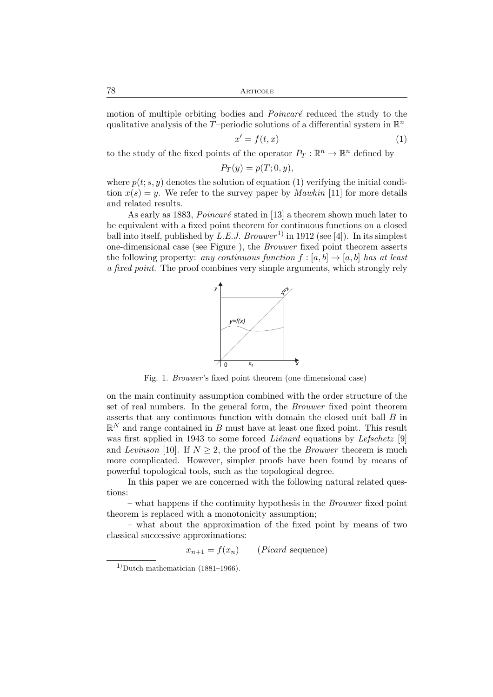78 Articole

motion of multiple orbiting bodies and *Poincaré* reduced the study to the qualitative analysis of the T-periodic solutions of a differential system in  $\mathbb{R}^n$ 

$$
x' = f(t, x) \tag{1}
$$

to the study of the fixed points of the operator  $P_T : \mathbb{R}^n \to \mathbb{R}^n$  defined by

$$
P_T(y) = p(T; 0, y),
$$

where  $p(t; s, y)$  denotes the solution of equation (1) verifying the initial condition  $x(s) = y$ . We refer to the survey paper by *Mawhin* [11] for more details and related results.

As early as 1883, *Poincaré* stated in [13] a theorem shown much later to be equivalent with a fixed point theorem for continuous functions on a closed ball into itself, published by *L.E.J. Brouwer*<sup>1</sup> in 1912 (see [4]). In its simplest one-dimensional case (see Figure ), the *Brouwer* fixed point theorem asserts the following property: *any continuous function*  $f : [a, b] \rightarrow [a, b]$  *has at least a fixed point*. The proof combines very simple arguments, which strongly rely



Fig. 1. *Brouwer* 's fixed point theorem (one dimensional case)

on the main continuity assumption combined with the order structure of the set of real numbers. In the general form, the *Brouwer* fixed point theorem asserts that any continuous function with domain the closed unit ball B in  $\mathbb{R}^N$  and range contained in B must have at least one fixed point. This result was first applied in 1943 to some forced *Liénard* equations by *Lefschetz* [9] and *Levinson* [10]. If  $N \geq 2$ , the proof of the the *Brouwer* theorem is much more complicated. However, simpler proofs have been found by means of powerful topological tools, such as the topological degree.

In this paper we are concerned with the following natural related questions:

– what happens if the continuity hypothesis in the *Brouwer* fixed point theorem is replaced with a monotonicity assumption;

– what about the approximation of the fixed point by means of two classical successive approximations:

 $x_{n+1} = f(x_n)$  (*Picard* sequence)

 $1)$ Dutch mathematician (1881–1966).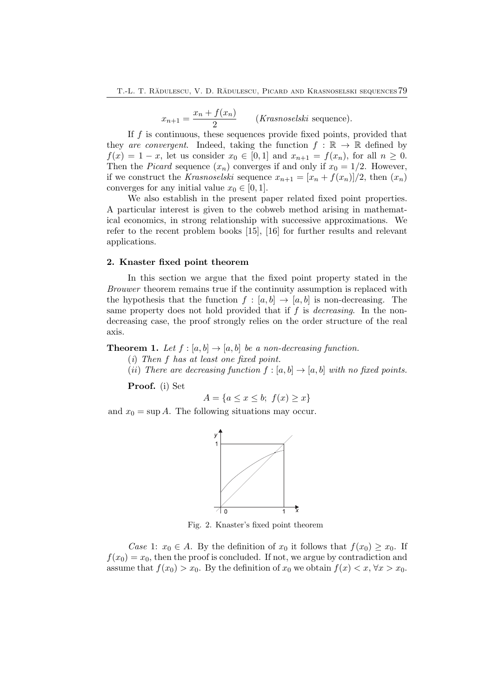$x_{n+1} = \frac{x_n + f(x_n)}{2}$  $\frac{J(\omega_n)}{2}$  (*Krasnoselski* sequence).

If  $f$  is continuous, these sequences provide fixed points, provided that they *are convergent*. Indeed, taking the function  $f : \mathbb{R} \to \mathbb{R}$  defined by  $f(x) = 1 - x$ , let us consider  $x_0 \in [0,1]$  and  $x_{n+1} = f(x_n)$ , for all  $n \ge 0$ . Then the *Picard* sequence  $(x_n)$  converges if and only if  $x_0 = 1/2$ . However, if we construct the *Krasnoselski* sequence  $x_{n+1} = [x_n + f(x_n)]/2$ , then  $(x_n)$ converges for any initial value  $x_0 \in [0, 1]$ .

We also establish in the present paper related fixed point properties. A particular interest is given to the cobweb method arising in mathematical economics, in strong relationship with successive approximations. We refer to the recent problem books [15], [16] for further results and relevant applications.

#### 2. Knaster fixed point theorem

In this section we argue that the fixed point property stated in the *Brouwer* theorem remains true if the continuity assumption is replaced with the hypothesis that the function  $f : [a, b] \rightarrow [a, b]$  is non-decreasing. The same property does not hold provided that if f is *decreasing*. In the nondecreasing case, the proof strongly relies on the order structure of the real axis.

## **Theorem 1.** Let  $f : [a, b] \rightarrow [a, b]$  be a non-decreasing function.

(*i*) *Then* f *has at least one fixed point.*

(*ii*) *There are decreasing function*  $f : [a, b] \rightarrow [a, b]$  *with no fixed points.* 

Proof. (i) Set

$$
A = \{ a \le x \le b; \ f(x) \ge x \}
$$

and  $x_0 = \sup A$ . The following situations may occur.



Fig. 2. Knaster's fixed point theorem

*Case* 1:  $x_0 \in A$ . By the definition of  $x_0$  it follows that  $f(x_0) \ge x_0$ . If  $f(x_0) = x_0$ , then the proof is concluded. If not, we argue by contradiction and assume that  $f(x_0) > x_0$ . By the definition of  $x_0$  we obtain  $f(x) < x, \forall x > x_0$ .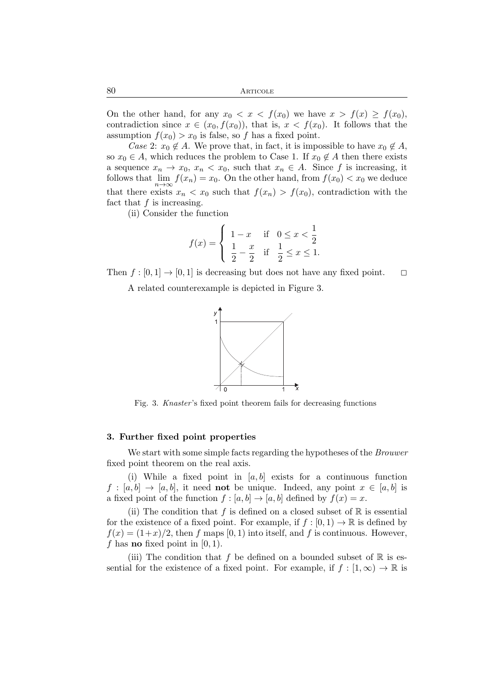On the other hand, for any  $x_0 < x < f(x_0)$  we have  $x > f(x) \ge f(x_0)$ , contradiction since  $x \in (x_0, f(x_0))$ , that is,  $x < f(x_0)$ . It follows that the assumption  $f(x_0) > x_0$  is false, so f has a fixed point.

*Case* 2:  $x_0 \notin A$ . We prove that, in fact, it is impossible to have  $x_0 \notin A$ , so  $x_0 \in A$ , which reduces the problem to Case 1. If  $x_0 \notin A$  then there exists a sequence  $x_n \to x_0$ ,  $x_n < x_0$ , such that  $x_n \in A$ . Since f is increasing, it follows that  $\lim_{n\to\infty} f(x_n) = x_0$ . On the other hand, from  $f(x_0) < x_0$  we deduce that there exists  $x_n < x_0$  such that  $f(x_n) > f(x_0)$ , contradiction with the fact that  $f$  is increasing.

(ii) Consider the function

$$
f(x) = \begin{cases} 1 - x & \text{if } 0 \le x < \frac{1}{2} \\ \frac{1}{2} - \frac{x}{2} & \text{if } \frac{1}{2} \le x \le 1. \end{cases}
$$

Then  $f : [0, 1] \rightarrow [0, 1]$  is decreasing but does not have any fixed point.  $\square$ 

A related counterexample is depicted in Figure 3.



Fig. 3. *Knaster* 's fixed point theorem fails for decreasing functions

#### 3. Further fixed point properties

We start with some simple facts regarding the hypotheses of the *Brouwer* fixed point theorem on the real axis.

(i) While a fixed point in  $[a, b]$  exists for a continuous function  $f : [a, b] \rightarrow [a, b]$ , it need **not** be unique. Indeed, any point  $x \in [a, b]$  is a fixed point of the function  $f : [a, b] \to [a, b]$  defined by  $f(x) = x$ .

(ii) The condition that f is defined on a closed subset of  $\mathbb R$  is essential for the existence of a fixed point. For example, if  $f : [0,1) \to \mathbb{R}$  is defined by  $f(x) = (1+x)/2$ , then f maps [0, 1) into itself, and f is continuous. However, f has **no** fixed point in  $[0, 1)$ .

(iii) The condition that f be defined on a bounded subset of  $\mathbb R$  is essential for the existence of a fixed point. For example, if  $f : [1, \infty) \to \mathbb{R}$  is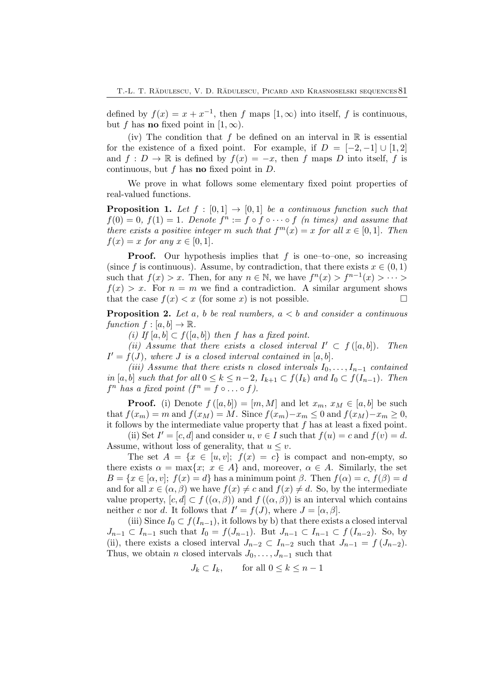defined by  $f(x) = x + x^{-1}$ , then f maps  $[1, \infty)$  into itself, f is continuous, but f has **no** fixed point in  $[1, \infty)$ .

(iv) The condition that f be defined on an interval in  $\mathbb R$  is essential for the existence of a fixed point. For example, if  $D = [-2, -1] \cup [1, 2]$ and  $f: D \to \mathbb{R}$  is defined by  $f(x) = -x$ , then f maps D into itself, f is continuous, but f has **no** fixed point in  $D$ .

We prove in what follows some elementary fixed point properties of real-valued functions.

**Proposition 1.** Let  $f : [0,1] \rightarrow [0,1]$  be a continuous function such that  $f(0) = 0, f(1) = 1$ . Denote  $f^n := f \circ f \circ \cdots \circ f$  (*n* times) and assume that *there exists a positive integer* m *such that*  $f<sup>m</sup>(x) = x$  *for all*  $x \in [0,1]$ *. Then*  $f(x) = x$  *for any*  $x \in [0, 1]$ *.* 

**Proof.** Our hypothesis implies that  $f$  is one–to–one, so increasing (since f is continuous). Assume, by contradiction, that there exists  $x \in (0, 1)$ such that  $f(x) > x$ . Then, for any  $n \in \mathbb{N}$ , we have  $f^{n}(x) > f^{n-1}(x) > \cdots >$  $f(x) > x$ . For  $n = m$  we find a contradiction. A similar argument shows that the case  $f(x) < x$  (for some x) is not possible.

Proposition 2. *Let* a*,* b *be real numbers,* a < b *and consider a continuous function*  $f : [a, b] \rightarrow \mathbb{R}$ .

*(i) If* [ $a, b$ ] ⊂  $f$ ([ $a, b$ ]) *then*  $f$  *has a fixed point.* 

(*ii*) Assume that there exists a closed interval  $I' \subset f([a, b])$ . Then  $I' = f(J)$ *, where J is a closed interval contained in* [a, b]*.* 

*(iii)* Assume that there exists n *closed intervals*  $I_0, \ldots, I_{n-1}$  *contained in* [a, b] *such that for all*  $0 \le k \le n-2$ ,  $I_{k+1} \subset f(I_k)$  *and*  $I_0 \subset f(I_{n-1})$ *. Then*  $f^n$  has a fixed point  $(f^n = f \circ \dots \circ f)$ .

**Proof.** (i) Denote  $f([a, b]) = [m, M]$  and let  $x_m, x_M \in [a, b]$  be such that  $f(x_m) = m$  and  $f(x_M) = M$ . Since  $f(x_m) - x_m \leq 0$  and  $f(x_M) - x_m \geq 0$ , it follows by the intermediate value property that  $f$  has at least a fixed point.

(ii) Set  $I' = [c, d]$  and consider  $u, v \in I$  such that  $f(u) = c$  and  $f(v) = d$ . Assume, without loss of generality, that  $u \leq v$ .

The set  $A = \{x \in [u, v]; f(x) = c\}$  is compact and non-empty, so there exists  $\alpha = \max\{x; x \in A\}$  and, moreover,  $\alpha \in A$ . Similarly, the set  $B = \{x \in [\alpha, v]; f(x) = d\}$  has a minimum point  $\beta$ . Then  $f(\alpha) = c$ ,  $f(\beta) = d$ and for all  $x \in (\alpha, \beta)$  we have  $f(x) \neq c$  and  $f(x) \neq d$ . So, by the intermediate value property,  $[c, d] \subset f((\alpha, \beta))$  and  $f((\alpha, \beta))$  is an interval which contains neither c nor d. It follows that  $I' = f(J)$ , where  $J = [\alpha, \beta]$ .

(iii) Since  $I_0 \subset f(I_{n-1})$ , it follows by b) that there exists a closed interval  $J_{n-1} \subset I_{n-1}$  such that  $I_0 = f(J_{n-1})$ . But  $J_{n-1} \subset I_{n-1} \subset f(J_{n-2})$ . So, by (ii), there exists a closed interval  $J_{n-2} \subset I_{n-2}$  such that  $J_{n-1} = f(J_{n-2})$ . Thus, we obtain *n* closed intervals  $J_0, \ldots, J_{n-1}$  such that

$$
J_k \subset I_k, \qquad \text{for all } 0 \le k \le n-1
$$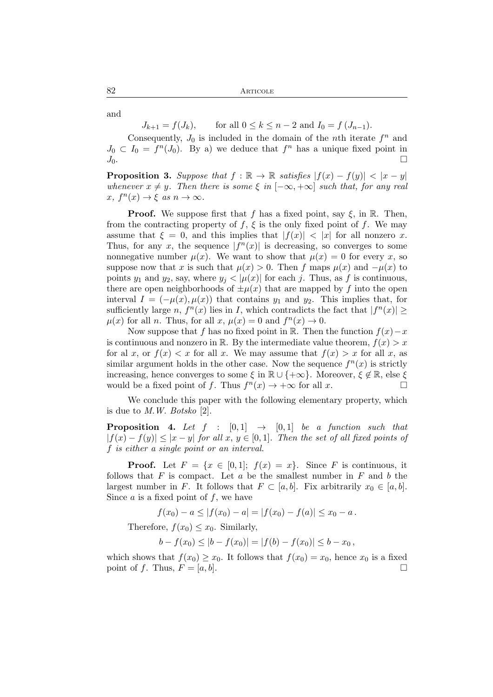and

 $J_{k+1} = f(J_k)$ , for all  $0 \le k \le n-2$  and  $I_0 = f(J_{n-1})$ .

Consequently,  $J_0$  is included in the domain of the *n*th iterate  $f^n$  and  $J_0 \subset I_0 = f^n(J_0)$ . By a) we deduce that  $f^n$  has a unique fixed point in  $J_0$ .

**Proposition 3.** Suppose that  $f : \mathbb{R} \to \mathbb{R}$  satisfies  $|f(x) - f(y)| < |x - y|$ *whenever*  $x \neq y$ *. Then there is some*  $\xi$  *in*  $[-\infty, +\infty]$  *such that, for any real*  $x, f^{n}(x) \rightarrow \xi \text{ as } n \rightarrow \infty.$ 

**Proof.** We suppose first that f has a fixed point, say  $\xi$ , in R. Then, from the contracting property of f,  $\xi$  is the only fixed point of f. We may assume that  $\xi = 0$ , and this implies that  $|f(x)| < |x|$  for all nonzero x. Thus, for any x, the sequence  $|f^n(x)|$  is decreasing, so converges to some nonnegative number  $\mu(x)$ . We want to show that  $\mu(x) = 0$  for every x, so suppose now that x is such that  $\mu(x) > 0$ . Then f maps  $\mu(x)$  and  $-\mu(x)$  to points  $y_1$  and  $y_2$ , say, where  $y_j < |\mu(x)|$  for each j. Thus, as f is continuous, there are open neighborhoods of  $\pm \mu(x)$  that are mapped by f into the open interval  $I = (-\mu(x), \mu(x))$  that contains  $y_1$  and  $y_2$ . This implies that, for sufficiently large n,  $f^{n}(x)$  lies in I, which contradicts the fact that  $|f^{n}(x)| \ge$  $\mu(x)$  for all *n*. Thus, for all *x*,  $\mu(x) = 0$  and  $f^{n}(x) \to 0$ .

Now suppose that f has no fixed point in R. Then the function  $f(x)-x$ is continuous and nonzero in R. By the intermediate value theorem,  $f(x) > x$ for al x, or  $f(x) < x$  for all x. We may assume that  $f(x) > x$  for all x, as similar argument holds in the other case. Now the sequence  $f^{(n)}(x)$  is strictly increasing, hence converges to some  $\xi$  in  $\mathbb{R} \cup \{+\infty\}$ . Moreover,  $\xi \notin \mathbb{R}$ , else  $\xi$  would be a fixed point of  $f$ . Thus  $f^n(x) \to +\infty$  for all  $x$ would be a fixed point of f. Thus  $f^{n}(x) \rightarrow +\infty$  for all x.

We conclude this paper with the following elementary property, which is due to *M.W. Botsko* [2].

**Proposition 4.** Let  $f : [0,1] \rightarrow [0,1]$  be a function such that |f(x) − f(y)| ≤ |x − y| *for all* x, y ∈ [0, 1]*. Then the set of all fixed points of* f *is either a single point or an interval.*

**Proof.** Let  $F = \{x \in [0,1]; f(x) = x\}$ . Since F is continuous, it follows that F is compact. Let a be the smallest number in  $F$  and b the largest number in F. It follows that  $F \subset [a, b]$ . Fix arbitrarily  $x_0 \in [a, b]$ . Since  $a$  is a fixed point of  $f$ , we have

$$
f(x_0)-a\leq |f(x_0)-a|=|f(x_0)-f(a)|\leq x_0-a.
$$

Therefore,  $f(x_0) \leq x_0$ . Similarly,

$$
b - f(x_0) \le |b - f(x_0)| = |f(b) - f(x_0)| \le b - x_0,
$$

which shows that  $f(x_0) \ge x_0$ . It follows that  $f(x_0) = x_0$ , hence  $x_0$  is a fixed point of f. Thus,  $F = [a, b]$ . point of f. Thus,  $F = [a, b]$ .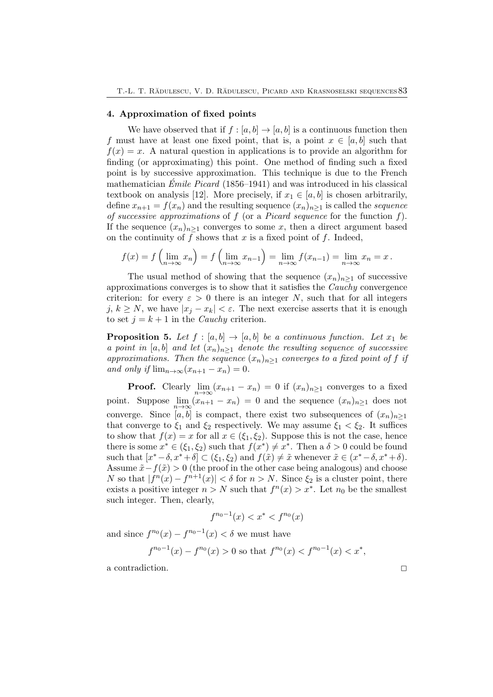## 4. Approximation of fixed points

We have observed that if  $f : [a, b] \to [a, b]$  is a continuous function then f must have at least one fixed point, that is, a point  $x \in [a, b]$  such that  $f(x) = x$ . A natural question in applications is to provide an algorithm for finding (or approximating) this point. One method of finding such a fixed point is by successive approximation. This technique is due to the French mathematician *Emile Picard ´* (1856–1941) and was introduced in his classical textbook on analysis [12]. More precisely, if  $x_1 \in [a, b]$  is chosen arbitrarily, define  $x_{n+1} = f(x_n)$  and the resulting sequence  $(x_n)_{n>1}$  is called the *sequence of successive approximations* of f (or a *Picard sequence* for the function f). If the sequence  $(x_n)_{n\geq 1}$  converges to some x, then a direct argument based on the continuity of  $f$  shows that  $x$  is a fixed point of  $f$ . Indeed,

$$
f(x) = f\left(\lim_{n \to \infty} x_n\right) = f\left(\lim_{n \to \infty} x_{n-1}\right) = \lim_{n \to \infty} f(x_{n-1}) = \lim_{n \to \infty} x_n = x.
$$

The usual method of showing that the sequence  $(x_n)_{n\geq 1}$  of successive approximations converges is to show that it satisfies the *Cauchy* convergence criterion: for every  $\varepsilon > 0$  there is an integer N, such that for all integers j,  $k \geq N$ , we have  $|x_i - x_k| < \varepsilon$ . The next exercise asserts that it is enough to set  $j = k + 1$  in the *Cauchy* criterion.

**Proposition 5.** Let  $f : [a, b] \rightarrow [a, b]$  be a continuous function. Let  $x_1$  be *a point in* [a, b] *and let*  $(x_n)_{n\geq 1}$  *denote the resulting sequence of successive approximations. Then the sequence*  $(x_n)_{n\geq 1}$  *converges to a fixed point of f if and only if*  $\lim_{n\to\infty}(x_{n+1}-x_n)=0$ .

**Proof.** Clearly  $\lim_{n\to\infty}(x_{n+1}-x_n)=0$  if  $(x_n)_{n\geq1}$  converges to a fixed point. Suppose  $\lim_{n\to\infty}(x_{n+1}-x_n)=0$  and the sequence  $(x_n)_{n\geq 1}$  does not converge. Since  $[a, b]$  is compact, there exist two subsequences of  $(x_n)_{n>1}$ that converge to  $\xi_1$  and  $\xi_2$  respectively. We may assume  $\xi_1 < \xi_2$ . It suffices to show that  $f(x) = x$  for all  $x \in (\xi_1, \xi_2)$ . Suppose this is not the case, hence there is some  $x^* \in (\xi_1, \xi_2)$  such that  $f(x^*) \neq x^*$ . Then a  $\delta > 0$  could be found such that  $[x^*-\delta, x^*+\delta] \subset (\xi_1, \xi_2)$  and  $f(\tilde{x}) \neq \tilde{x}$  whenever  $\tilde{x} \in (x^*-\delta, x^*+\delta)$ . Assume  $\tilde{x}-f(\tilde{x})>0$  (the proof in the other case being analogous) and choose N so that  $|f^n(x) - f^{n+1}(x)| < \delta$  for  $n > N$ . Since  $\xi_2$  is a cluster point, there exists a positive integer  $n > N$  such that  $f^{n}(x) > x^{*}$ . Let  $n_{0}$  be the smallest such integer. Then, clearly,

$$
f^{n_0-1}(x) < x^* < f^{n_0}(x)
$$

and since  $f^{n_0}(x) - f^{n_0-1}(x) < \delta$  we must have

$$
f^{n_0-1}(x) - f^{n_0}(x) > 0
$$
 so that  $f^{n_0}(x) < f^{n_0-1}(x) < x^*$ ,

a contradiction.  $\hfill \square$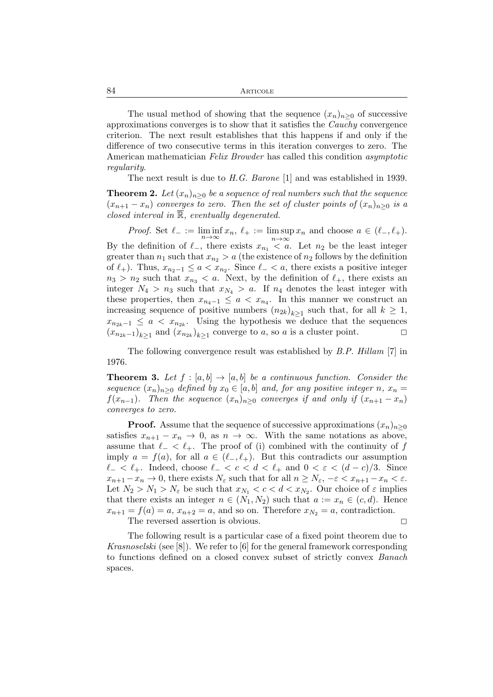The usual method of showing that the sequence  $(x_n)_{n>0}$  of successive approximations converges is to show that it satisfies the *Cauchy* convergence criterion. The next result establishes that this happens if and only if the difference of two consecutive terms in this iteration converges to zero. The American mathematician *Felix Browder* has called this condition *asymptotic regularity*.

The next result is due to *H.G. Barone* [1] and was established in 1939.

**Theorem 2.** Let  $(x_n)_{n>0}$  be a sequence of real numbers such that the sequence  $(x_{n+1} - x_n)$  *converges to zero. Then the set of cluster points of*  $(x_n)_{n \geq 0}$  *is a closed interval in*  $\overline{\mathbb{R}}$ *, eventually degenerated.* 

*Proof.* Set  $\ell_- := \liminf_{n \to \infty} x_n$ ,  $\ell_+ := \limsup_{n \to \infty} x_n$  and choose  $a \in (\ell_-, \ell_+).$ 

By the definition of  $\ell_{-}$ , there exists  $x_{n_1} < a$ . Let  $n_2$  be the least integer greater than  $n_1$  such that  $x_{n_2} > a$  (the existence of  $n_2$  follows by the definition of  $\ell_+$ ). Thus,  $x_{n_2-1} \leq a < x_{n_2}$ . Since  $\ell_- < a$ , there exists a positive integer  $n_3 > n_2$  such that  $x_{n_3} < a$ . Next, by the definition of  $\ell_+$ , there exists an integer  $N_4 > n_3$  such that  $x_{N_4} > a$ . If  $n_4$  denotes the least integer with these properties, then  $x_{n_4-1} \leq a < x_{n_4}$ . In this manner we construct an increasing sequence of positive numbers  $(n_{2k})_{k\geq 1}$  such that, for all  $k \geq 1$ ,  $x_{n_{2k}-1} \leq a < x_{n_{2k}}$ . Using the hypothesis we deduce that the sequences  $(x_{n_{2k}-1})_{k\geq 1}$  and  $(x_{n_{2k}})_{k\geq 1}$  converge to a, so a is a cluster point.  $\Box$ 

The following convergence result was established by *B.P. Hillam* [7] in 1976.

**Theorem 3.** Let  $f : [a, b] \rightarrow [a, b]$  be a continuous function. Consider the *sequence*  $(x_n)_{n>0}$  *defined by*  $x_0 \in [a, b]$  *and, for any positive integer* n,  $x_n =$ f(x<sub>n−1</sub>)*.* Then the sequence  $(x_n)_{n\geq 0}$  converges if and only if  $(x_{n+1} - x_n)$ *converges to zero.*

**Proof.** Assume that the sequence of successive approximations  $(x_n)_{n\geq 0}$ satisfies  $x_{n+1} - x_n \to 0$ , as  $n \to \infty$ . With the same notations as above, assume that  $\ell_- < \ell_+$ . The proof of (i) combined with the continuity of f imply  $a = f(a)$ , for all  $a \in (\ell_-, \ell_+)$ . But this contradicts our assumption  $\ell$ <sub>−</sub> <  $\ell$ <sub>+</sub>. Indeed, choose  $\ell$ <sub>−</sub> <  $c$  <  $d$  <  $\ell$ <sub>+</sub> and 0 <  $\varepsilon$  <  $(d - c)/3$ . Since  $x_{n+1} - x_n \to 0$ , there exists  $N_{\varepsilon}$  such that for all  $n \ge N_{\varepsilon}$ ,  $-\varepsilon < x_{n+1} - x_n < \varepsilon$ . Let  $N_2 > N_1 > N_{\varepsilon}$  be such that  $x_{N_1} < c < d < x_{N_2}$ . Our choice of  $\varepsilon$  implies that there exists an integer  $n \in (N_1, N_2)$  such that  $a := x_n \in (c, d)$ . Hence  $x_{n+1} = f(a) = a$ ,  $x_{n+2} = a$ , and so on. Therefore  $x_{N_2} = a$ , contradiction.

The reversed assertion is obvious.  $\Box$ 

The following result is a particular case of a fixed point theorem due to *Krasnoselski* (see [8]). We refer to [6] for the general framework corresponding to functions defined on a closed convex subset of strictly convex *Banach* spaces.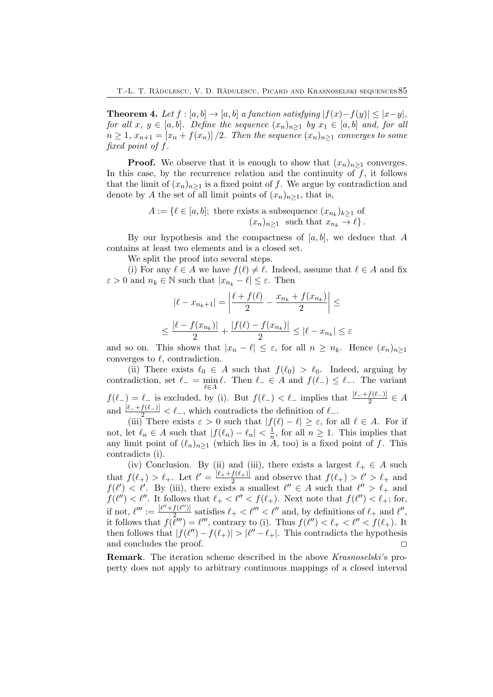**Theorem 4.** Let  $f : [a, b] \rightarrow [a, b]$  a function satisfying  $|f(x)-f(y)| \leq |x-y|$ , *for all*  $x, y \in [a, b]$ *. Define the sequence*  $(x_n)_{n \geq 1}$  *by*  $x_1 \in [a, b]$  *and, for all*  $n \geq 1, x_{n+1} = [x_n + f(x_n)]/2$ . Then the sequence  $(x_n)_{n \geq 1}$  converges to some *fixed point of* f*.*

**Proof.** We observe that it is enough to show that  $(x_n)_{n\geq 1}$  converges. In this case, by the recurrence relation and the continuity of  $f$ , it follows that the limit of  $(x_n)_{n>1}$  is a fixed point of f. We argue by contradiction and denote by A the set of all limit points of  $(x_n)_{n\geq 1}$ , that is,

$$
A := \{ \ell \in [a, b]; \text{ there exists a subsequence } (x_{n_k})_{k \ge 1} \text{ of } (x_n)_{n \ge 1} \text{ such that } x_{n_k} \to \ell \}.
$$

By our hypothesis and the compactness of  $[a, b]$ , we deduce that A contains at least two elements and is a closed set.

We split the proof into several steps.

(i) For any  $\ell \in A$  we have  $f(\ell) \neq \ell$ . Indeed, assume that  $\ell \in A$  and fix  $\varepsilon > 0$  and  $n_k \in \mathbb{N}$  such that  $|x_{n_k} - \ell| \leq \varepsilon$ . Then

$$
|\ell - x_{n_k+1}| = \left| \frac{\ell + f(\ell)}{2} - \frac{x_{n_k} + f(x_{n_k})}{2} \right| \le
$$
  

$$
\le \frac{|\ell - f(x_{n_k})|}{2} + \frac{|f(\ell) - f(x_{n_k})|}{2} \le |\ell - x_{n_k}| \le \varepsilon
$$

and so on. This shows that  $|x_n - \ell| \leq \varepsilon$ , for all  $n \geq n_k$ . Hence  $(x_n)_{n>1}$ converges to  $\ell$ , contradiction.

(ii) There exists  $\ell_0 \in A$  such that  $f(\ell_0) > \ell_0$ . Indeed, arguing by contradiction, set  $\ell_- = \min_{\ell \in A} \ell$ . Then  $\ell_- \in A$  and  $f(\ell_-) \leq \ell_-$ . The variant  $f(\ell_-) = \ell_-$  is excluded, by (i). But  $f(\ell_-) < \ell_-$  implies that  $\frac{[\ell_- + f(\ell_-)]}{2} \in A$ and  $\frac{[\ell_-+f(\ell_-)]}{\ell_-} < \ell_-,$  which contradicts the definition of  $\ell_-$ .

(iii) There exists  $\varepsilon > 0$  such that  $|f(\ell) - \ell| \geq \varepsilon$ , for all  $\ell \in A$ . For if not, let  $\ell_n \in A$  such that  $|f(\ell_n) - \ell_n| < \frac{1}{n}$ , for all  $n \geq 1$ . This implies that any limit point of  $(\ell_n)_{n\geq 1}$  (which lies in A, too) is a fixed point of f. This contradicts (i).

(iv) Conclusion. By (ii) and (iii), there exists a largest  $\ell_+ \in A$  such that  $f(\ell_+) > \ell_+$ . Let  $\ell' = \frac{[\ell_+ + f(\ell_+)]}{2}$  $\frac{f(\ell_+)}{2}$  and observe that  $f(\ell_+) > \ell' > \ell_+$  and  $f(\ell') < \ell'$ . By (iii), there exists a smallest  $\ell'' \in A$  such that  $\ell'' > \ell_+$  and  $f(\ell'') < \ell''$ . It follows that  $\ell_+ < \ell'' < f(\ell_+)$ . Next note that  $f(\ell'') < \ell_+$ ; for, if not,  $\ell''' := \frac{[\ell'' + f(\ell'')] }{2}$  $\frac{f(\ell'')}{2_{\text{max}}}$  satisfies  $\ell_+ < \ell'' < \ell''$  and, by definitions of  $\ell_+$  and  $\ell''$ , it follows that  $f(\bar{\ell}''') = \ell'''$ , contrary to (i). Thus  $f(\ell'') < \ell_+ < \ell'' < f(\ell_+).$  It then follows that  $|f(\ell'') - f(\ell_+)| > |\ell'' - \ell_+|$ . This contradicts the hypothesis and concludes the proof.  $\Box$ 

Remark. The iteration scheme described in the above *Krasnoselski*'s property does not apply to arbitrary continuous mappings of a closed interval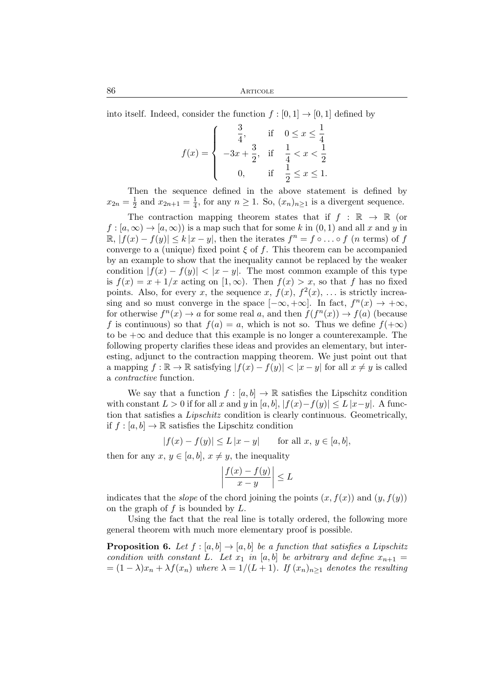86 Articole

into itself. Indeed, consider the function  $f : [0, 1] \rightarrow [0, 1]$  defined by

$$
f(x) = \begin{cases} \frac{3}{4}, & \text{if } 0 \le x \le \frac{1}{4} \\ -3x + \frac{3}{2}, & \text{if } \frac{1}{4} < x < \frac{1}{2} \\ 0, & \text{if } \frac{1}{2} \le x \le 1. \end{cases}
$$

Then the sequence defined in the above statement is defined by  $x_{2n} = \frac{1}{2}$  $\frac{1}{2}$  and  $x_{2n+1} = \frac{1}{4}$  $\frac{1}{4}$ , for any  $n \ge 1$ . So,  $(x_n)_{n \ge 1}$  is a divergent sequence.

The contraction mapping theorem states that if  $f : \mathbb{R} \to \mathbb{R}$  (or  $f : [a, \infty) \to [a, \infty)$  is a map such that for some k in  $(0, 1)$  and all x and y in  $\mathbb{R}, |f(x) - f(y)| \le k |x - y|$ , then the iterates  $f^n = f \circ \dots \circ f$  (*n* terms) of *f* converge to a (unique) fixed point  $\xi$  of f. This theorem can be accompanied by an example to show that the inequality cannot be replaced by the weaker condition  $|f(x) - f(y)| < |x - y|$ . The most common example of this type is  $f(x) = x + 1/x$  acting on  $[1, \infty)$ . Then  $f(x) > x$ , so that f has no fixed points. Also, for every x, the sequence x,  $f(x)$ ,  $f^{2}(x)$ , ... is strictly increasing and so must converge in the space  $[-\infty, +\infty]$ . In fact,  $f^{n}(x) \to +\infty$ , for otherwise  $f^{n}(x) \to a$  for some real a, and then  $f(f^{n}(x)) \to f(a)$  (because f is continuous) so that  $f(a) = a$ , which is not so. Thus we define  $f(+\infty)$ to be  $+\infty$  and deduce that this example is no longer a counterexample. The following property clarifies these ideas and provides an elementary, but interesting, adjunct to the contraction mapping theorem. We just point out that a mapping  $f : \mathbb{R} \to \mathbb{R}$  satisfying  $|f(x) - f(y)| < |x - y|$  for all  $x \neq y$  is called a *contractive* function.

We say that a function  $f : [a, b] \to \mathbb{R}$  satisfies the Lipschitz condition with constant  $L > 0$  if for all x and y in [a, b],  $|f(x)-f(y)| \le L |x-y|$ . A function that satisfies a *Lipschitz* condition is clearly continuous. Geometrically, if  $f : [a, b] \to \mathbb{R}$  satisfies the Lipschitz condition

 $|f(x) - f(y)| \le L |x - y|$  for all  $x, y \in [a, b],$ 

then for any  $x, y \in [a, b], x \neq y$ , the inequality

$$
\left|\frac{f(x)-f(y)}{x-y}\right| \le L
$$

indicates that the *slope* of the chord joining the points  $(x, f(x))$  and  $(y, f(y))$ on the graph of  $f$  is bounded by  $L$ .

Using the fact that the real line is totally ordered, the following more general theorem with much more elementary proof is possible.

**Proposition 6.** Let  $f : [a, b] \rightarrow [a, b]$  be a function that satisfies a Lipschitz *condition with constant* L. Let  $x_1$  *in* [a, b] *be arbitrary and define*  $x_{n+1} =$  $= (1 - \lambda)x_n + \lambda f(x_n)$  where  $\lambda = 1/(L + 1)$ *. If*  $(x_n)_{n>1}$  *denotes the resulting*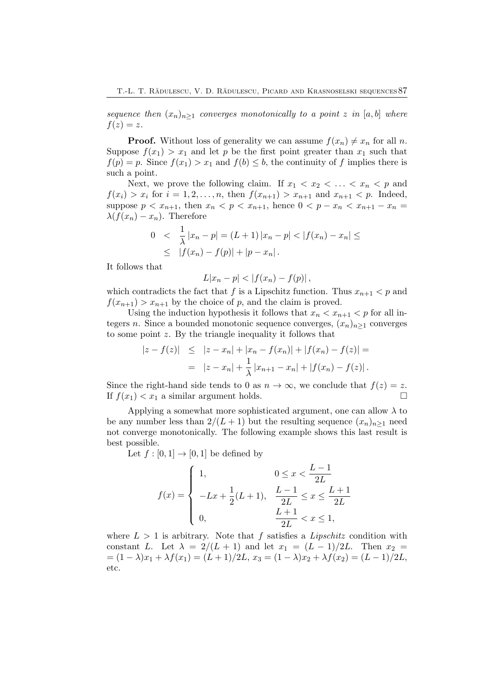*sequence then*  $(x_n)_{n\geq 1}$  *converges monotonically to a point* z *in* [a, b] *where*  $f(z) = z$ .

**Proof.** Without loss of generality we can assume  $f(x_n) \neq x_n$  for all n. Suppose  $f(x_1) > x_1$  and let p be the first point greater than  $x_1$  such that  $f(p) = p$ . Since  $f(x_1) > x_1$  and  $f(b) \leq b$ , the continuity of f implies there is such a point.

Next, we prove the following claim. If  $x_1 < x_2 < \ldots < x_n < p$  and  $f(x_i) > x_i$  for  $i = 1, 2, ..., n$ , then  $f(x_{n+1}) > x_{n+1}$  and  $x_{n+1} < p$ . Indeed, suppose  $p < x_{n+1}$ , then  $x_n < p < x_{n+1}$ , hence  $0 < p - x_n < x_{n+1} - x_n =$  $\lambda(f(x_n) - x_n)$ . Therefore

$$
0 < \frac{1}{\lambda} |x_n - p| = (L+1) |x_n - p| < |f(x_n) - x_n| \le
$$
  
 
$$
\leq |f(x_n) - f(p)| + |p - x_n|.
$$

It follows that

$$
L|x_n - p| < |f(x_n) - f(p)|,
$$

which contradicts the fact that f is a Lipschitz function. Thus  $x_{n+1} < p$  and  $f(x_{n+1}) > x_{n+1}$  by the choice of p, and the claim is proved.

Using the induction hypothesis it follows that  $x_n < x_{n+1} < p$  for all integers n. Since a bounded monotonic sequence converges,  $(x_n)_{n\geq 1}$  converges to some point z. By the triangle inequality it follows that

$$
|z - f(z)| \le |z - x_n| + |x_n - f(x_n)| + |f(x_n) - f(z)| =
$$
  
= 
$$
|z - x_n| + \frac{1}{\lambda} |x_{n+1} - x_n| + |f(x_n) - f(z)|.
$$

Since the right-hand side tends to 0 as  $n \to \infty$ , we conclude that  $f(z) = z$ .<br>If  $f(x_1) < x_1$  a similar argument holds. If  $f(x_1) < x_1$  a similar argument holds.

Applying a somewhat more sophisticated argument, one can allow  $\lambda$  to be any number less than  $2/(L+1)$  but the resulting sequence  $(x_n)_{n\geq 1}$  need not converge monotonically. The following example shows this last result is best possible.

Let  $f : [0,1] \rightarrow [0,1]$  be defined by

$$
f(x) = \begin{cases} 1, & 0 \le x < \frac{L-1}{2L} \\ -Lx + \frac{1}{2}(L+1), & \frac{L-1}{2L} \le x \le \frac{L+1}{2L} \\ 0, & \frac{L+1}{2L} < x \le 1, \end{cases}
$$

where  $L > 1$  is arbitrary. Note that f satisfies a *Lipschitz* condition with constant L. Let  $\lambda = 2/(L+1)$  and let  $x_1 = (L-1)/2L$ . Then  $x_2 =$  $=(1 - \lambda)x_1 + \lambda f(x_1) = (L + 1)/2L, x_3 = (1 - \lambda)x_2 + \lambda f(x_2) = (L - 1)/2L,$ etc.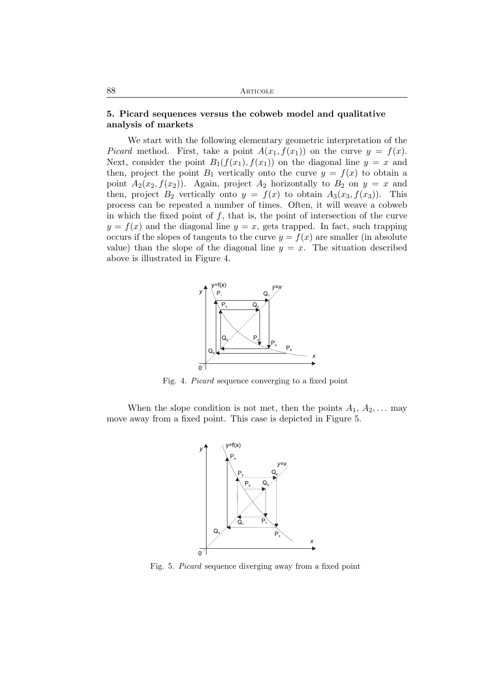## 5. Picard sequences versus the cobweb model and qualitative analysis of markets

We start with the following elementary geometric interpretation of the *Picard* method. First, take a point  $A(x_1, f(x_1))$  on the curve  $y = f(x)$ . Next, consider the point  $B_1(f(x_1), f(x_1))$  on the diagonal line  $y = x$  and then, project the point  $B_1$  vertically onto the curve  $y = f(x)$  to obtain a point  $A_2(x_2, f(x_2))$ . Again, project  $A_2$  horizontally to  $B_2$  on  $y = x$  and then, project  $B_2$  vertically onto  $y = f(x)$  to obtain  $A_3(x_3, f(x_3))$ . This process can be repeated a number of times. Often, it will weave a cobweb in which the fixed point of  $f$ , that is, the point of intersection of the curve  $y = f(x)$  and the diagonal line  $y = x$ , gets trapped. In fact, such trapping occurs if the slopes of tangents to the curve  $y = f(x)$  are smaller (in absolute value) than the slope of the diagonal line  $y = x$ . The situation described above is illustrated in Figure 4.



Fig. 4. *Picard* sequence converging to a fixed point

When the slope condition is not met, then the points  $A_1, A_2, \ldots$  may move away from a fixed point. This case is depicted in Figure 5.



Fig. 5. *Picard* sequence diverging away from a fixed point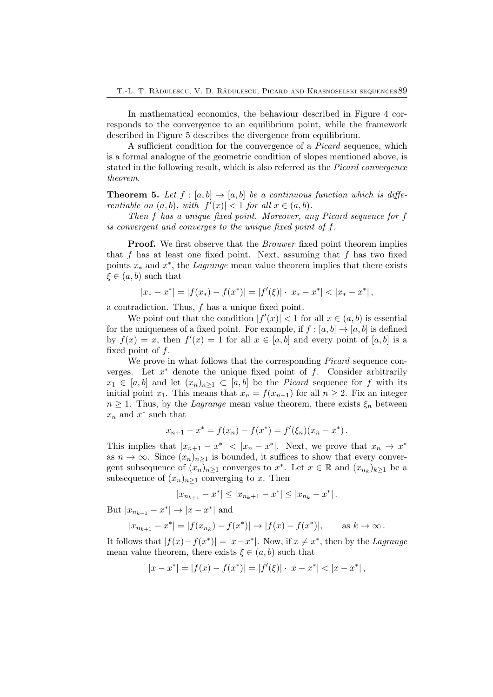In mathematical economics, the behaviour described in Figure 4 corresponds to the convergence to an equilibrium point, while the framework described in Figure 5 describes the divergence from equilibrium.

A sufficient condition for the convergence of a *Picard* sequence, which is a formal analogue of the geometric condition of slopes mentioned above, is stated in the following result, which is also referred as the *Picard convergence theorem*.

**Theorem 5.** Let  $f : [a, b] \rightarrow [a, b]$  be a continuous function which is diffe*rentiable on*  $(a, b)$ *, with*  $|f'(x)| < 1$  *for all*  $x \in (a, b)$ *.* 

*Then* f *has a unique fixed point. Moreover, any Picard sequence for* f *is convergent and converges to the unique fixed point of* f*.*

Proof. We first observe that the *Brouwer* fixed point theorem implies that  $f$  has at least one fixed point. Next, assuming that  $f$  has two fixed points x<sup>∗</sup> and x ∗ , the *Lagrange* mean value theorem implies that there exists  $\xi \in (a, b)$  such that

$$
|x_* - x^*| = |f(x_*) - f(x^*)| = |f'(\xi)| \cdot |x_* - x^*| < |x_* - x^*| \,,
$$

a contradiction. Thus, f has a unique fixed point.

We point out that the condition  $|f'(x)| < 1$  for all  $x \in (a, b)$  is essential for the uniqueness of a fixed point. For example, if  $f : [a, b] \to [a, b]$  is defined by  $f(x) = x$ , then  $f'(x) = 1$  for all  $x \in [a, b]$  and every point of  $[a, b]$  is a fixed point of  $f$ .

We prove in what follows that the corresponding *Picard* sequence converges. Let  $x^*$  denote the unique fixed point of  $f$ . Consider arbitrarily  $x_1 \in [a, b]$  and let  $(x_n)_{n \geq 1} \subset [a, b]$  be the *Picard* sequence for f with its initial point x<sub>1</sub>. This means that  $x_n = f(x_{n-1})$  for all  $n \geq 2$ . Fix an integer  $n \geq 1$ . Thus, by the *Lagrange* mean value theorem, there exists  $\xi_n$  between  $x_n$  and  $x^*$  such that

$$
x_{n+1} - x^* = f(x_n) - f(x^*) = f'(\xi_n)(x_n - x^*).
$$

This implies that  $|x_{n+1} - x^*| < |x_n - x^*|$ . Next, we prove that  $x_n \to x^*$ as  $n \to \infty$ . Since  $(x_n)_{n\geq 1}$  is bounded, it suffices to show that every convergent subsequence of  $(x_n)_{n\geq 1}$  converges to  $x^*$ . Let  $x \in \mathbb{R}$  and  $(x_{n_k})_{k\geq 1}$  be a subsequence of  $(x_n)_{n\geq 1}$  converging to x. Then

$$
|x_{n_{k+1}} - x^*| \le |x_{n_k+1} - x^*| \le |x_{n_k} - x^*|.
$$

But  $|x_{n_{k+1}} - x^*| \to |x - x^*|$  and

$$
|x_{n_{k+1}} - x^*| = |f(x_{n_k}) - f(x^*)| \to |f(x) - f(x^*)|,
$$
 as  $k \to \infty$ .

It follows that  $|f(x) - f(x^*)| = |x - x^*|$ . Now, if  $x \neq x^*$ , then by the *Lagrange* mean value theorem, there exists  $\xi \in (a, b)$  such that

$$
|x - x^*| = |f(x) - f(x^*)| = |f'(\xi)| \cdot |x - x^*| < |x - x^*| \,,
$$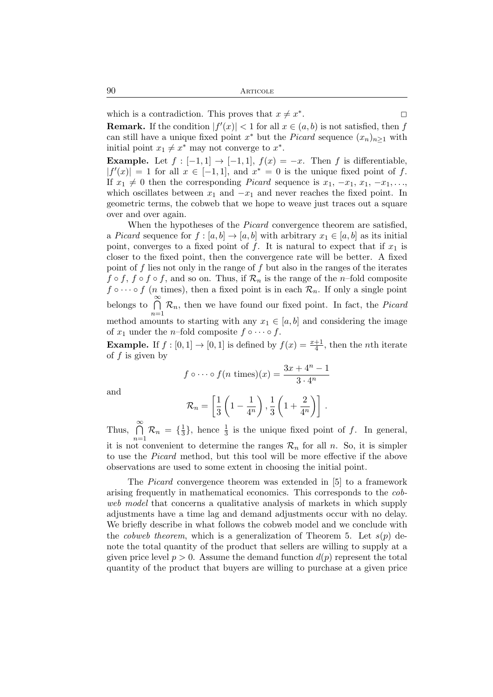which is a contradiction. This proves that  $x \neq x^*$ 

**Remark.** If the condition  $|f'(x)| < 1$  for all  $x \in (a, b)$  is not satisfied, then f can still have a unique fixed point  $x^*$  but the *Picard* sequence  $(x_n)_{n\geq 1}$  with initial point  $x_1 \neq x^*$  may not converge to  $x^*$ .

**Example.** Let  $f : [-1, 1] \rightarrow [-1, 1]$ ,  $f(x) = -x$ . Then f is differentiable,  $|f'(x)| = 1$  for all  $x \in [-1, 1]$ , and  $x^* = 0$  is the unique fixed point of f. If  $x_1 \neq 0$  then the corresponding *Picard* sequence is  $x_1, -x_1, x_1, -x_1, \ldots$ , which oscillates between  $x_1$  and  $-x_1$  and never reaches the fixed point. In geometric terms, the cobweb that we hope to weave just traces out a square over and over again.

When the hypotheses of the *Picard* convergence theorem are satisfied, a *Picard* sequence for  $f : [a, b] \to [a, b]$  with arbitrary  $x_1 \in [a, b]$  as its initial point, converges to a fixed point of f. It is natural to expect that if  $x_1$  is closer to the fixed point, then the convergence rate will be better. A fixed point of  $f$  lies not only in the range of  $f$  but also in the ranges of the iterates  $f \circ f$ ,  $f \circ f \circ f$ , and so on. Thus, if  $\mathcal{R}_n$  is the range of the *n*-fold composite  $f \circ \cdots \circ f$  (*n* times), then a fixed point is in each  $\mathcal{R}_n$ . If only a single point belongs to  $\bigcap^{\infty}$  $\bigcap_{n=1}$   $\mathcal{R}_n$ , then we have found our fixed point. In fact, the *Picard* method amounts to starting with any  $x_1 \in [a, b]$  and considering the image of  $x_1$  under the *n*–fold composite  $f \circ \cdots \circ f$ .

**Example.** If  $f : [0,1] \to [0,1]$  is defined by  $f(x) = \frac{x+1}{4}$ , then the *n*th iterate of  $f$  is given by

$$
f \circ \cdots \circ f(n \text{ times})(x) = \frac{3x + 4^n - 1}{3 \cdot 4^n}
$$

and

$$
\mathcal{R}_n = \left[\frac{1}{3}\left(1 - \frac{1}{4^n}\right), \frac{1}{3}\left(1 + \frac{2}{4^n}\right)\right].
$$

Thus,  $\bigcap^{\infty}$  $\bigcap_{n=1}$   $\mathcal{R}_n = \{\frac{1}{3}$  $\frac{1}{3}$ , hence  $\frac{1}{3}$  is the unique fixed point of f. In general, it is not convenient to determine the ranges  $\mathcal{R}_n$  for all n. So, it is simpler to use the *Picard* method, but this tool will be more effective if the above observations are used to some extent in choosing the initial point.

The *Picard* convergence theorem was extended in [5] to a framework arising frequently in mathematical economics. This corresponds to the *cobweb model* that concerns a qualitative analysis of markets in which supply adjustments have a time lag and demand adjustments occur with no delay. We briefly describe in what follows the cobweb model and we conclude with the *cobweb theorem*, which is a generalization of Theorem 5. Let  $s(p)$  denote the total quantity of the product that sellers are willing to supply at a given price level  $p > 0$ . Assume the demand function  $d(p)$  represent the total quantity of the product that buyers are willing to purchase at a given price

. 2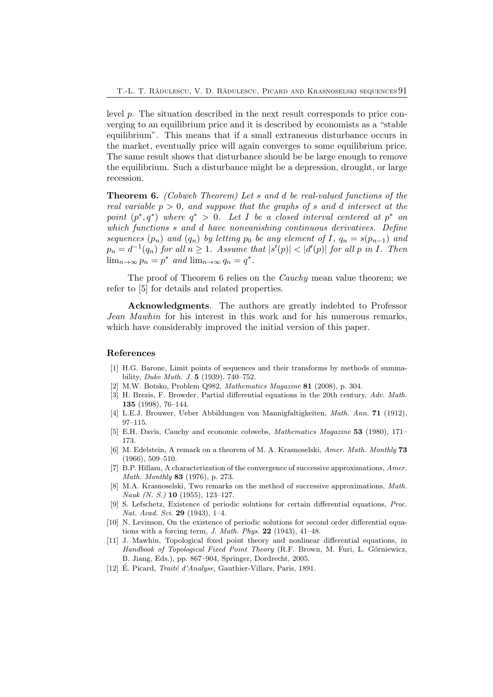level p. The situation described in the next result corresponds to price converging to an equilibrium price and it is described by economists as a "stable equilibrium". This means that if a small extraneous disturbance occurs in the market, eventually price will again converges to some equilibrium price. The same result shows that disturbance should be be large enough to remove the equilibrium. Such a disturbance might be a depression, drought, or large recession.

Theorem 6. *(Cobweb Theorem) Let* s *and* d *be real-valued functions of the real variable*  $p > 0$ , and *suppose that the graphs of* s and d *intersect* at the  $point (p^*, q^*)$  where  $q^* > 0$ . Let I be a closed interval centered at  $p^*$  on *which functions* s *and* d *have nonvanishing continuous derivatives. Define sequences*  $(p_n)$  *and*  $(q_n)$  *by letting*  $p_0$  *be any element of* I,  $q_n = s(p_{n-1})$  *and*  $p_n = d^{-1}(q_n)$  for all  $n \ge 1$ *. Assume that*  $|s'(p)| < |d'(p)|$  for all p in I. Then  $\lim_{n\to\infty} p_n = p^*$  *and*  $\lim_{n\to\infty} q_n = q^*$ .

The proof of Theorem 6 relies on the *Cauchy* mean value theorem; we refer to [5] for details and related properties.

Acknowledgments. The authors are greatly indebted to Professor *Jean Mawhin* for his interest in this work and for his numerous remarks, which have considerably improved the initial version of this paper.

#### References

- [1] H.G. Barone, Limit points of sequences and their transforms by methods of summability, *Duke Math. J.* 5 (1939). 740–752.
- [2] M.W. Botsko, Problem Q982, *Mathematics Magazine* 81 (2008), p. 304.
- [3] H. Brezis, F. Browder, Partial differential equations in the 20th century, *Adv. Math.* 135 (1998), 76–144.
- [4] L.E.J. Brouwer, Ueber Abbildungen von Mannigfaltigkeiten, *Math. Ann.* 71 (1912), 97–115.
- [5] E.H. Davis, Cauchy and economic cobwebs, *Mathematics Magazine* 53 (1980), 171– 173.
- [6] M. Edelstein, A remark on a theorem of M. A. Krasnoselski, *Amer. Math. Monthly* 73 (1966), 509–510.
- [7] B.P. Hillam, A characterization of the convergence of successive approximations, *Amer. Math. Monthly* 83 (1976), p. 273.
- [8] M.A. Krasnoselski, Two remarks on the method of successive approximations, *Math. Nauk (N. S.)* 10 (1955), 123–127.
- [9] S. Lefschetz, Existence of periodic solutions for certain differential equations, *Proc. Nat. Acad. Sci.* 29 (1943), 1–4.
- [10] N. Levinson, On the existence of periodic solutions for second order differential equations with a forcing term, *J. Math. Phys.* 22 (1943), 41–48.
- [11] J. Mawhin, Topological fixed point theory and nonlinear differential equations, in *Handbook of Topological Fixed Point Theory* (R.F. Brown, M. Furi, L. Górniewicz, B. Jiang, Eds.), pp. 867–904, Springer, Dordrecht, 2005.
- [12] E. Picard, *Traité d'Analyse*, Gauthier-Villars, Paris, 1891.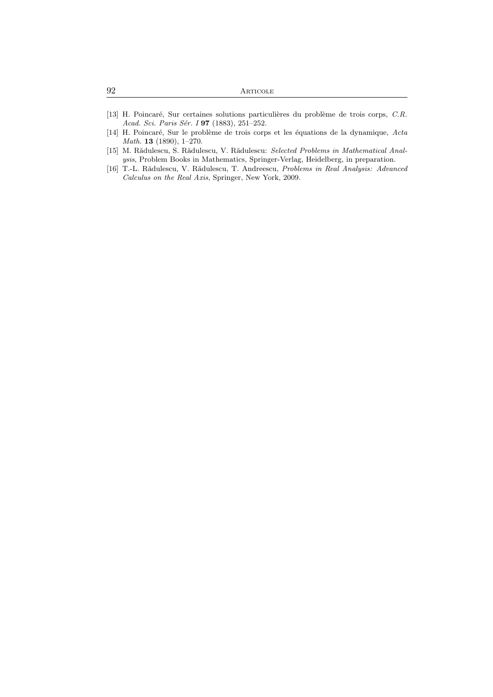| 92 | ARTICOLE |
|----|----------|
|    |          |

- [13] H. Poincaré, Sur certaines solutions particulières du problème de trois corps, *C.R. Acad. Sci. Paris S´er. I* 97 (1883), 251–252.
- [14] H. Poincar´e, Sur le probl`eme de trois corps et les ´equations de la dynamique, *Acta Math.* 13 (1890), 1–270.
- [15] M. Rădulescu, S. Rădulescu, V. Rădulescu: *Selected Problems in Mathematical Analysis*, Problem Books in Mathematics, Springer-Verlag, Heidelberg, in preparation.
- [16] T.-L. R˘adulescu, V. R˘adulescu, T. Andreescu, *Problems in Real Analysis: Advanced Calculus on the Real Axis*, Springer, New York, 2009.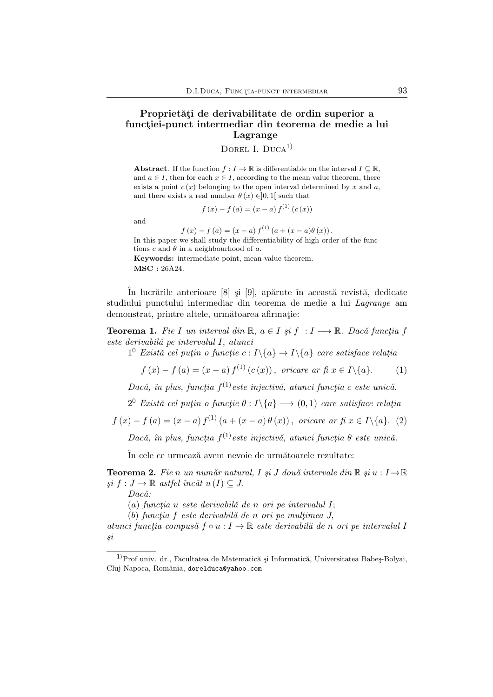## Proprietăți de derivabilitate de ordin superior a funcției-punct intermediar din teorema de medie a lui Lagrange

DOREL I. DUCA $<sup>1</sup>$ </sup>

Abstract. If the function  $f: I \to \mathbb{R}$  is differentiable on the interval  $I \subseteq \mathbb{R}$ , and  $a \in I$ , then for each  $x \in I$ , according to the mean value theorem, there exists a point  $c(x)$  belonging to the open interval determined by x and a, and there exists a real number  $\theta(x) \in ]0,1[$  such that

$$
f(x) - f(a) = (x - a) f(1) (c(x))
$$

and

 $f(x) - f(a) = (x - a) f<sup>(1)</sup> (a + (x - a) \theta (x)).$ In this paper we shall study the differentiability of high order of the functions c and  $\theta$  in a neighbourhood of a. Keywords: intermediate point, mean-value theorem. MSC : 26A24.

În lucrările anterioare [8] și [9], apărute în această revistă, dedicate studiului punctului intermediar din teorema de medie a lui *Lagrange* am demonstrat, printre altele, următoarea afirmație:

**Teorema 1.** Fie I un interval din R,  $a \in I$  si f : I  $\longrightarrow$  R. Dacă funcția f *este derivabil˘a pe intervalul* I, *atunci*

 $1^0$  *Există cel puțin o funcție*  $c: I \setminus \{a\} \rightarrow I \setminus \{a\}$  *care satisface relația* 

$$
f(x) - f(a) = (x - a) f(1) (c(x)),
$$
 *oricare ar fi*  $x \in I \setminus \{a\}.$  (1)

 $Dac\breve{a}$ , în plus, funcția f<sup>(1)</sup>este injectivă, atunci funcția c este unică.

 $2^{0}$  *Există cel puțin o funcție*  $\theta : I \backslash \{a\} \longrightarrow (0,1)$  *care satisface relația* 

 $f(x) - f(a) = (x - a) f<sup>(1)</sup> (a + (x - a) \theta(x)),$  *oricare ar fi*  $x \in I \setminus \{a\}.$  (2)

 $Dac\breve{a}$ , în plus, funcția f<sup>(1)</sup>este injectivă, atunci funcția  $\theta$  este unică.

In cele ce urmează avem nevoie de următoarele rezultate:

**Teorema 2.** Fie n un număr natural, I și J două intervale din  $\mathbb{R}$  și  $u: I \to \mathbb{R}$  $si f: J \to \mathbb{R}$  astfel încât  $u(I) \subseteq J$ .

Dacă:

(a) *funct¸ia* u *este derivabil˘a de* n *ori pe intervalul* I;

(b) *functia* f *este derivabilă de* n *ori pe multimea* J,

*atunci funct¸ia compus˘a* f ◦ u : I → R *este derivabil˘a de* n *ori pe intervalul* I *¸si*

 $1)$ Prof univ. dr., Facultatea de Matematică și Informatică, Universitatea Babeș-Bolyai, Cluj-Napoca, România, dorelduca@yahoo.com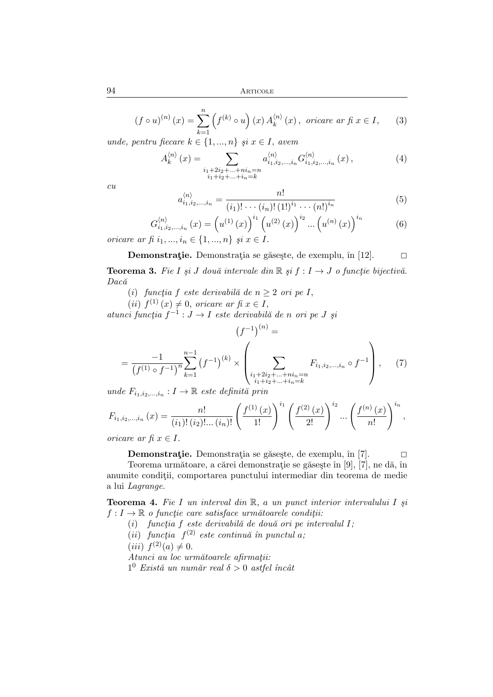$$
(f \circ u)^{(n)}(x) = \sum_{k=1}^{n} \left( f^{(k)} \circ u \right)(x) A_k^{(n)}(x), \text{ oricare ar f} (x \in I, \quad (3)
$$

*unde, pentru fiecare*  $k \in \{1, ..., n\}$  *și*  $x \in I$ *, avem* 

$$
A_{k}^{\langle n\rangle}(x) = \sum_{\substack{i_1+2i_2+\ldots+ni_n=n\\i_1+i_2+\ldots+i_n=k}} a_{i_1,i_2,\ldots,i_n}^{\langle n\rangle} G_{i_1,i_2,\ldots,i_n}^{\langle n\rangle}(x) ,\qquad (4)
$$

*cu*

$$
a_{i_1, i_2, \dots, i_n}^{(n)} = \frac{n!}{(i_1)! \cdots (i_n)! (1!)^{i_1} \cdots (n!)^{i_n}}
$$
(5)

$$
G_{i_1, i_2, \dots, i_n}^{(n)}(x) = (u^{(1)}(x))^{i_1} (u^{(2)}(x))^{i_2} \dots (u^{(n)}(x))^{i_n}
$$
 (6)

*oricare ar fi*  $i_1, ..., i_n \in \{1, ..., n\}$  *și*  $x \in I$ .

**Demonstratie.** Demonstratia se găsește, de exemplu, în [12].  $\Box$ 

**Teorema 3.** Fie I și J două intervale din  $\mathbb{R}$  și  $f: I \rightarrow J$  o funcție bijectivă. *Dac˘a*

- (i) *functia f este derivabilă de*  $n \geq 2$  *ori pe I*,
- $(ii)$   $f^{(1)}(x) \neq 0$ , *oricare ar fi*  $x \in I$ ,

 $\alpha$ *atunci funcția*  $f^{-1}: J \to I$  *este derivabilă de n ori pe J și*  $\sim$ 

$$
(f^{-1})^{(n)} =
$$
  
= 
$$
\frac{-1}{(f^{(1)} \circ f^{-1})^n} \sum_{k=1}^{n-1} (f^{-1})^{(k)} \times \left( \sum_{\substack{i_1+2i_2+\dots+ni_n=n\\i_1+i_2+\dots+i_n=k}} F_{i_1,i_2,\dots,i_n} \circ f^{-1} \right), \quad (7)
$$

 $u$ nde  $F_{i_1,i_2,\dots,i_n}: I \to \mathbb{R}$  este definită prin

$$
F_{i_1, i_2, \dots, i_n}(x) = \frac{n!}{(i_1)!(i_2)!\dots(i_n)!} \left(\frac{f^{(1)}(x)}{1!}\right)^{i_1} \left(\frac{f^{(2)}(x)}{2!}\right)^{i_2} \dots \left(\frac{f^{(n)}(x)}{n!}\right)^{i_n},
$$
  
orice as  $f_1 x \in I$ 

*oricare ar fi*  $x \in I$ .

**Demonstratie.** Demonstratia se găsește, de exemplu, în [7].  $\Box$ 

Teorema următoare, a cărei demonstrație se găsește în [9], [7], ne dă, în anumite conditii, comportarea punctului intermediar din teorema de medie a lui *Lagrange*.

Teorema 4. *Fie* I *un interval din* R*,* a *un punct interior intervalului* I *¸si*  $f: I \to \mathbb{R}$  *o functie care satisface următoarele conditii:* 

- (i) *funct¸ia* f *este derivabil˘a de dou˘a ori pe intervalul* I*;*
- $(iii)$  *funcția*  $f^{(2)}$  *este continuă în punctul a*;

(*iii*)  $f^{(2)}(a) \neq 0$ .

 $\overline{Atunci\ au\ loc\ următoarele\ afirmatii}:$ 

 $1^0$  *Există un număr real*  $\delta > 0$  *astfel încât*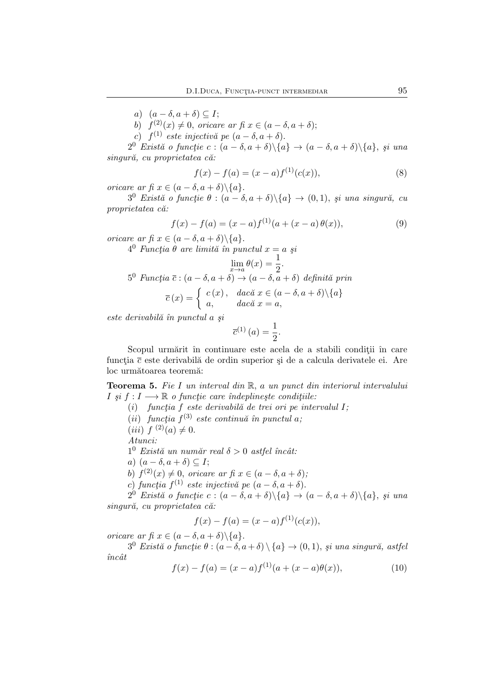a)  $(a - \delta, a + \delta) \subseteq I$ ;

b)  $f^{(2)}(x) \neq 0$ , *oricare ar fi*  $x \in (a - \delta, a + \delta);$ 

 $(c)$   $f^{(1)}$  *este injectivă pe*  $(a - \delta, a + \delta).$ 

 $2^0$  *Există o funcție* c :  $(a - \delta, a + \delta) \setminus \{a\} \rightarrow (a - \delta, a + \delta) \setminus \{a\}, \; si \; una$  $singur\check{a}$ , cu proprietatea că:

$$
f(x) - f(a) = (x - a)f(1)(c(x)),
$$
\n(8)

*oricare ar fi*  $x \in (a - \delta, a + \delta) \setminus \{a\}.$ 

 $3^0$  *Există o funcție*  $\theta : (a - \delta, a + \delta) \setminus \{a\} \rightarrow (0, 1)$ , *și una singură*, *cu proprietatea c˘a:*

$$
f(x) - f(a) = (x - a)f(1)(a + (x - a) \theta(x)),
$$
\n(9)

*oricare ar fi*  $x \in (a - \delta, a + \delta) \setminus \{a\}.$ 

 $4^0$  *Funcția*  $\theta$  *are limită în punctul*  $x = a$  *şi* 

$$
\lim_{x \to a} \theta(x) = \frac{1}{2}.
$$
  
5<sup>0</sup> Funcția  $\overline{c}$  :  $(a - \delta, a + \delta) \to (a - \delta, a + \delta)$  definită prin  

$$
\overline{c}(x) = \begin{cases} c(x), & \text{dacă } x \in (a - \delta, a + \delta) \setminus \{a\} \\ a, & \text{dacă } x = a, \end{cases}
$$

*este derivabil˘a ˆın punctul* a *¸si*

$$
\overline{c}^{(1)}(a) = \frac{1}{2}.
$$

Scopul urmărit în continuare este acela de a stabili conditii în care funcția  $\bar{c}$  este derivabilă de ordin superior și de a calcula derivatele ei. Are loc următoarea teoremă:

Teorema 5. *Fie* I *un interval din* R, a *un punct din interiorul intervalului*  $I \nvert s \nvert i : I \longrightarrow \mathbb{R}$  *o functie care îndeplinește conditiile*:

- $(i)$  *funcția f este derivabilă de trei ori pe intervalul I;*
- $(iii)$  *funcția*  $f^{(3)}$  *este continuă în punctul a*;

(*iii*)  $f^{(2)}(a) \neq 0$ .

*Atunci:*

 $1^0$  *Există un număr real*  $\delta > 0$  *astfel încât:* 

a)  $(a - \delta, a + \delta) \subseteq I;$ 

b)  $f^{(2)}(x) \neq 0$ , *oricare ar fi*  $x \in (a - \delta, a + \delta);$ 

c) *funcția*  $f^{(1)}$  *este injectivă* pe  $(a - \delta, a + \delta)$ .

 $2^0$  *Există o funcție* c :  $(a - \delta, a + \delta) \setminus \{a\} \rightarrow (a - \delta, a + \delta) \setminus \{a\}, \; si \; una$  $s$ *ingură, cu proprietatea că:* 

$$
f(x) - f(a) = (x - a)f(1)(c(x)),
$$

*oricare ar fi*  $x \in (a - \delta, a + \delta) \setminus \{a\}.$ 

 $3^0$  *Există o funcție*  $\theta$  :  $(a-\delta, a+\delta) \setminus \{a\} \rightarrow (0, 1)$ , *și una singură*, *astfel*  $\hat{u}nc\hat{a}t$ 

$$
f(x) - f(a) = (x - a)f(1)(a + (x - a)\theta(x)),
$$
\n(10)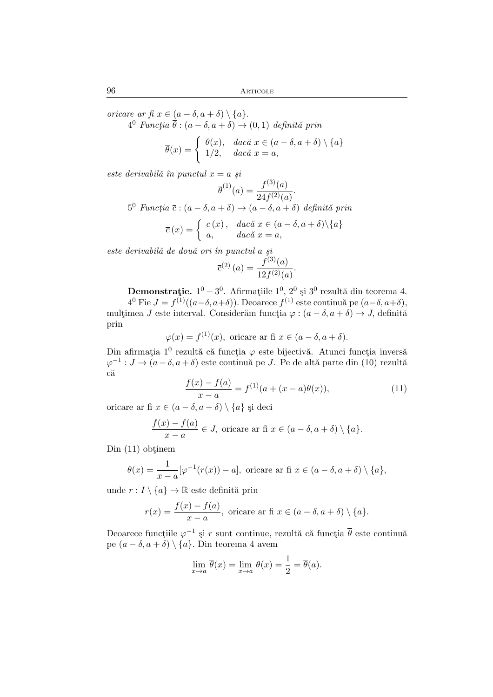*oricare ar fi*  $x \in (a - \delta, a + \delta) \setminus \{a\}.$ 

 $4^0$  *Funcția*  $\overline{\theta}$  :  $(a - \delta, a + \delta) \rightarrow (0, 1)$  *definită prin* 

$$
\overline{\theta}(x) = \begin{cases} \theta(x), & \text{dacă } x \in (a - \delta, a + \delta) \setminus \{a\} \\ 1/2, & \text{dacă } x = a, \end{cases}
$$

*este derivabilă în punctul*  $x = a$  *și* 

$$
\overline{\theta}^{(1)}(a) = \frac{f^{(3)}(a)}{24f^{(2)}(a)}.
$$

 $5^0$  *Funcția*  $\bar{c}$  :  $(a - \delta, a + \delta) \rightarrow (a - \delta, a + \delta)$  *definită prin* 

$$
\overline{c}(x) = \begin{cases} c(x), & \text{dacă } x \in (a - \delta, a + \delta) \setminus \{a\} \\ a, & \text{dacă } x = a, \end{cases}
$$

*este derivabil˘a de dou˘a ori ˆın punctul* a *¸si*

$$
\overline{c}^{(2)}(a) = \frac{f^{(3)}(a)}{12f^{(2)}(a)}.
$$

Demonstrație.  $1^0 - 3^0$ . Afirmațiile  $1^0$ ,  $2^0$  și  $3^0$  rezultă din teorema 4.

 $4^0$  Fie  $J = f^{(1)}((a-\delta, a+\delta))$ . Deoarece  $f^{(1)}$  este continuă pe  $(a-\delta, a+\delta)$ , multimea J este interval. Considerăm funcția  $\varphi : (a - \delta, a + \delta) \to J$ , definită prin

$$
\varphi(x) = f^{(1)}(x)
$$
, oricare ar fi  $x \in (a - \delta, a + \delta)$ .

Din afirmația 1<sup>0</sup> rezultă că funcția  $\varphi$  este bijectivă. Atunci funcția inversă  $\varphi^{-1}: J \to (a-\delta, a+\delta)$  este continuă pe J. Pe de altă parte din (10) rezultă că

$$
\frac{f(x) - f(a)}{x - a} = f^{(1)}(a + (x - a)\theta(x)),\tag{11}
$$

oricare ar fi  $x \in (a - \delta, a + \delta) \setminus \{a\}$  și deci

$$
\frac{f(x) - f(a)}{x - a} \in J
$$
, oricare ar fi  $x \in (a - \delta, a + \delta) \setminus \{a\}$ .

 $D$ in  $(11)$  obtinem

$$
\theta(x) = \frac{1}{x-a} [\varphi^{-1}(r(x)) - a],
$$
 *oricare* ar fi  $x \in (a - \delta, a + \delta) \setminus \{a\},$ 

unde  $r: I \setminus \{a\} \to \mathbb{R}$  este definită prin

$$
r(x) = \frac{f(x) - f(a)}{x - a},
$$
 *oricare* ar fi  $x \in (a - \delta, a + \delta) \setminus \{a\}.$ 

Deoarece funcțiile  $\varphi^{-1}$  și  $r$  sunt continue, rezultă că funcția  $\overline{\theta}$  este continuă pe  $(a - \delta, a + \delta) \setminus \{a\}$ . Din teorema 4 avem

$$
\lim_{x \to a} \overline{\theta}(x) = \lim_{x \to a} \theta(x) = \frac{1}{2} = \overline{\theta}(a).
$$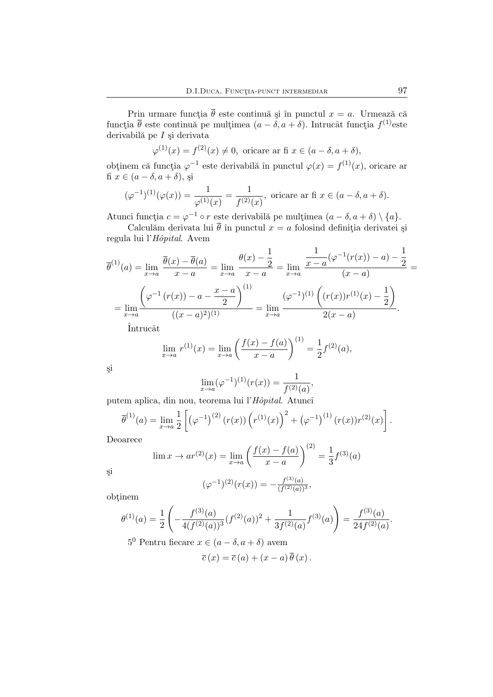Prin urmare funcția  $\bar{\theta}$  este continuă și în punctul  $x = a$ . Urmează că funcția  $\overline{\theta}$  este continuă pe mulțimea  $(a - \delta, a + \delta)$ . Intrucât funcția  $f^{(1)}$ este derivabilă pe $I$ și derivata

$$
\varphi^{(1)}(x) = f^{(2)}(x) \neq 0, \text{ oricare ar fi } x \in (a - \delta, a + \delta),
$$

obținem că funcția  $\varphi^{-1}$  este derivabilă în punctul  $\varphi(x) = f^{(1)}(x)$ , oricare ar fi  $x \in (a - \delta, a + \delta)$ , și

$$
(\varphi^{-1})^{(1)}(\varphi(x)) = \frac{1}{\varphi^{(1)}(x)} = \frac{1}{f^{(2)}(x)},
$$
 *oricare* ar fi  $x \in (a - \delta, a + \delta)$ .

Atunci funcția  $c = \varphi^{-1} \circ r$  este derivabilă pe mulțimea  $(a - \delta, a + \delta) \setminus \{a\}.$ 

Calculăm derivata lui  $\bar{\theta}$  în punctul  $x = a$  folosind definiția derivatei și regula lui l'*Hˆopital*. Avem

$$
\overline{\theta}^{(1)}(a) = \lim_{x \to a} \frac{\overline{\theta}(x) - \overline{\theta}(a)}{x - a} = \lim_{x \to a} \frac{\theta(x) - \frac{1}{2}}{x - a} = \lim_{x \to a} \frac{\frac{1}{x - a} (\varphi^{-1}(r(x)) - a) - \frac{1}{2}}{(x - a)} = \lim_{x \to a} \frac{\left(\varphi^{-1}(r(x)) - a - \frac{x - a}{2}\right)^{(1)}}{((x - a)^2)^{(1)}} = \lim_{x \to a} \frac{(\varphi^{-1})^{(1)} \left((r(x))r^{(1)}(x) - \frac{1}{2}\right)}{2(x - a)}.
$$

Intrucât

$$
\lim_{x \to a} r^{(1)}(x) = \lim_{x \to a} \left( \frac{f(x) - f(a)}{x - a} \right)^{(1)} = \frac{1}{2} f^{(2)}(a),
$$

¸si

$$
\lim_{x \to a} (\varphi^{-1})^{(1)}(r(x)) = \frac{1}{f^{(2)}(a)},
$$

putem aplica, din nou, teorema lui l'*Hˆopital*. Atunci

$$
\overline{\theta}^{(1)}(a) = \lim_{x \to a} \frac{1}{2} \left[ \left( \varphi^{-1} \right)^{(2)} (r(x)) \left( r^{(1)}(x) \right)^2 + \left( \varphi^{-1} \right)^{(1)} (r(x)) r^{(2)}(x) \right].
$$

Deoarece

$$
\lim_{x \to a} x^{(2)}(x) = \lim_{x \to a} \left( \frac{f(x) - f(a)}{x - a} \right)^{(2)} = \frac{1}{3} f^{(3)}(a)
$$

¸si

$$
(\varphi^{-1})^{(2)}(r(x)) = -\frac{f^{(3)}(a)}{(f^{(2)}(a))^3},
$$

obtinem

$$
\theta^{(1)}(a) = \frac{1}{2} \left( -\frac{f^{(3)}(a)}{4(f^{(2)}(a))^3} (f^{(2)}(a))^2 + \frac{1}{3f^{(2)}(a)} f^{(3)}(a) \right) = \frac{f^{(3)}(a)}{24f^{(2)}(a)}.
$$

5<sup>0</sup> Pentru fiecare  $x \in (a - \delta, a + \delta)$  avem

$$
\overline{c}(x) = \overline{c}(a) + (x - a) \theta(x).
$$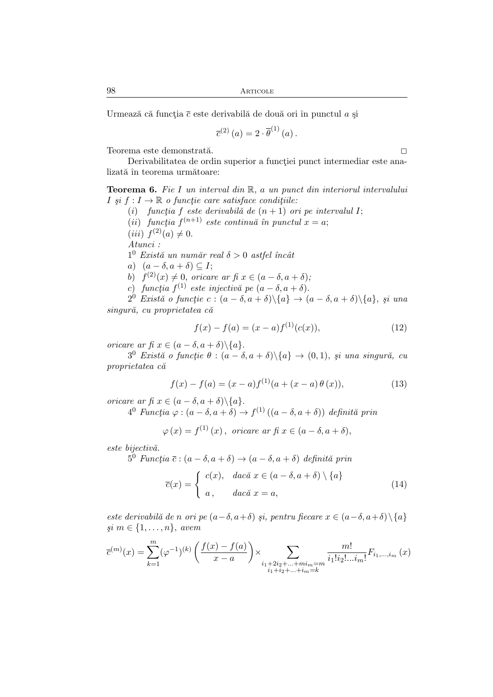Urmează că functia  $\bar{c}$  este derivabilă de două ori în punctul a și

$$
\overline{c}^{(2)}(a) = 2 \cdot \overline{\theta}^{(1)}(a) .
$$

Teorema este demonstrată. $\hfill \square$ 

Derivabilitatea de ordin superior a functiei punct intermediar este analizată în teorema următoare:

Teorema 6. *Fie* I *un interval din* R*,* a *un punct din interiorul intervalului*  $I \nvert si \nvert f : I \to \mathbb{R}$  *o functie care satisface conditiile:* 

- $(i)$  *functia* f *este derivabilă de*  $(n + 1)$  *ori pe intervalul I*;
- $(ii)$  *funcția*  $f^{(n+1)}$  *este continuă în punctul*  $x = a$ ;
- (*iii*)  $f^{(2)}(a) \neq 0$ .

*Atunci :*

 $1^0$  *Există un număr real*  $\delta > 0$  *astfel încât* 

- a)  $(a \delta, a + \delta) \subseteq I;$
- b)  $f^{(2)}(x) \neq 0$ , *oricare ar fi*  $x \in (a \delta, a + \delta);$
- c) *funcția*  $f^{(1)}$  *este injectivă* pe  $(a \delta, a + \delta)$ .

 $2^0$  *Există o funcție* c :  $(a - \delta, a + \delta) \setminus \{a\} \rightarrow (a - \delta, a + \delta) \setminus \{a\}, \; si \; una$ *singur˘a, cu proprietatea c˘a*

$$
f(x) - f(a) = (x - a)f(1)(c(x)),
$$
\n(12)

*oricare ar fi*  $x \in (a - \delta, a + \delta) \setminus \{a\}.$ 

 $3^0$  *Există o funcție*  $\theta : (a - \delta, a + \delta) \setminus \{a\} \to (0, 1)$ , *și una singură*, *cu proprietatea c˘a*

$$
f(x) - f(a) = (x - a)f(1)(a + (x - a) \theta (x)),
$$
\n(13)

*oricare ar fi*  $x \in (a - \delta, a + \delta) \setminus \{a\}.$ 

 $4^0$  *Funcția*  $\varphi : (a - \delta, a + \delta) \rightarrow f^{(1)} ((a - \delta, a + \delta))$  *definită prin* 

$$
\varphi(x) = f^{(1)}(x), \text{ oricare ar f}x \in (a - \delta, a + \delta),
$$

*este bijectiv˘a.*

 $5^0$  *Funcția*  $\overline{c}$  :  $(a - \delta, a + \delta) \rightarrow (a - \delta, a + \delta)$  *definită prin* 

$$
\overline{c}(x) = \begin{cases}\nc(x), & \text{dacă } x \in (a - \delta, a + \delta) \setminus \{a\} \\
a, & \text{dacă } x = a,\n\end{cases}
$$
\n(14)

*este derivabilă de n ori pe*  $(a-\delta, a+\delta)$  *și, pentru fiecare*  $x \in (a-\delta, a+\delta) \setminus \{a\}$ *¸si* m ∈ {1, . . . , n}, *avem*

$$
\overline{c}^{(m)}(x) = \sum_{k=1}^{m} (\varphi^{-1})^{(k)} \left( \frac{f(x) - f(a)}{x - a} \right) \times \sum_{\substack{i_1 + 2i_2 + \dots + mi_m = m \\ i_1 + i_2 + \dots + i_m = k}} \frac{m!}{i_1! i_2! \dots i_m!} F_{i_1, \dots, i_m}(x)
$$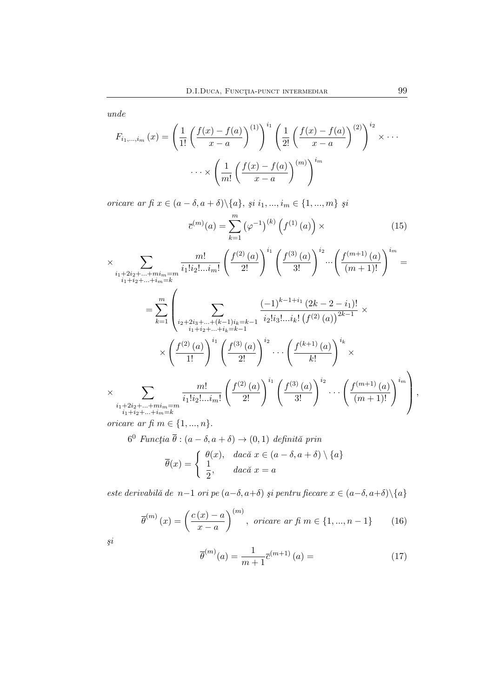*unde*

$$
F_{i_1,\dots,i_m}(x) = \left(\frac{1}{1!} \left(\frac{f(x) - f(a)}{x - a}\right)^{(1)}\right)^{i_1} \left(\frac{1}{2!} \left(\frac{f(x) - f(a)}{x - a}\right)^{(2)}\right)^{i_2} \times \cdots
$$

$$
\cdots \times \left(\frac{1}{m!} \left(\frac{f(x) - f(a)}{x - a}\right)^{(m)}\right)^{i_m}
$$

*oricare ar fi*  $x \in (a - \delta, a + \delta) \setminus \{a\}, \, \underline{\mathfrak{su}} \, i_1, ..., i_m \in \{1, ..., m\} \, \underline{\mathfrak{su}}$ 

$$
\bar{c}^{(m)}(a) = \sum_{k=1}^{m} (\varphi^{-1})^{(k)} \left( f^{(1)}(a) \right) \times
$$
 (15)

$$
\times \sum_{\substack{i_1+2i_2+\dots + mi_m=m\\i_1+i_2+\dots + i_m=k}} \frac{m!}{i_1! i_2! \dots i_m!} \left(\frac{f^{(2)}(a)}{2!}\right)^{i_1} \left(\frac{f^{(3)}(a)}{3!}\right)^{i_2} \cdots \left(\frac{f^{(m+1)}(a)}{(m+1)!}\right)^{i_m} =
$$
\n
$$
= \sum_{k=1}^m \left(\sum_{\substack{i_2+2i_3+\dots + (k-1)i_k=k-1\\i_1+i_2+\dots + i_k=k-1}} \frac{(-1)^{k-1+i_1} (2k-2-i_1)!}{i_2! i_3! \dots i_k! (f^{(2)}(a))^{2k-1}} \times \left(\frac{f^{(2)}(a)}{1!}\right)^{i_1} \left(\frac{f^{(3)}(a)}{2!}\right)^{i_2} \cdots \left(\frac{f^{(k+1)}(a)}{k!}\right)^{i_k} \times
$$
\n
$$
\times \sum_{\substack{i_1+2i_2+\dots + mi_m=m\\i_1+i_2+\dots + i_m=k}} \frac{m!}{i_1! i_2! \dots i_m!} \left(\frac{f^{(2)}(a)}{2!}\right)^{i_1} \left(\frac{f^{(3)}(a)}{3!}\right)^{i_2} \cdots \left(\frac{f^{(m+1)}(a)}{(m+1)!}\right)^{i_m}\right),
$$

*oricare ar fi*  $m \in \{1, ..., n\}$ .

 $6^0$  *Funcția*  $\overline{\theta}$  :  $(a - \delta, a + \delta) \rightarrow (0, 1)$  *definită prin* 

$$
\overline{\theta}(x) = \begin{cases} \theta(x), & \text{dacă } x \in (a - \delta, a + \delta) \setminus \{a\} \\ \frac{1}{2}, & \text{dacă } x = a \end{cases}
$$

*este derivabil˘a de* n−1 *ori pe* (a−δ, a+δ) *¸si pentru fiecare* x ∈ (a−δ, a+δ)\{a}

$$
\overline{\theta}^{(m)}(x) = \left(\frac{c(x) - a}{x - a}\right)^{(m)}, \text{ oricare ar f. } m \in \{1, ..., n - 1\} \tag{16}
$$

$$
\dot{s}i
$$

$$
\overline{\theta}^{(m)}(a) = \frac{1}{m+1} \overline{c}^{(m+1)}(a) = \tag{17}
$$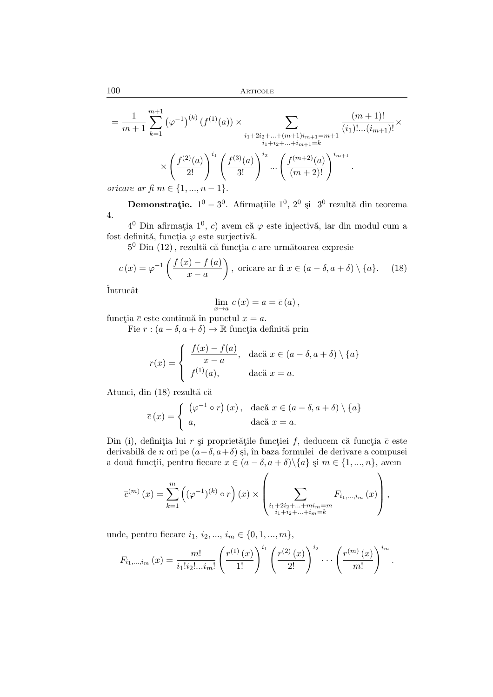$$
= \frac{1}{m+1} \sum_{k=1}^{m+1} (\varphi^{-1})^{(k)} (f^{(1)}(a)) \times \sum_{\substack{i_1+2i_2+\ldots+(m+1)i_{m+1}=m+1 \\ i_1+i_2+\ldots+i_{m+1}=k}} \frac{(m+1)!}{(i_1)!\ldots(i_{m+1})!} \times \left(\frac{f^{(2)}(a)}{2!}\right)^{i_1} \left(\frac{f^{(3)}(a)}{3!}\right)^{i_2} \ldots \left(\frac{f^{(m+2)}(a)}{(m+2)!}\right)^{i_{m+1}}.
$$
\npriceare

\nar

\nfi

\nar

\n
$$
= \frac{1}{m+1} \sum_{k=1}^{m+1} \frac{f^{(k)}(a)}{k!} \left(\frac{f^{(k)}(a)}{3!}\right)^{i_2} \ldots \left(\frac{f^{(m+2)}(a)}{m+2)!}\right)^{i_{m+1}}
$$

*oricare ar fi*  $m \in \{1, ..., n-1\}$ 

**Demonstrație.**  $1^0 - 3^0$ . Afirmațiile  $1^0$ ,  $2^0$  și  $3^0$  rezultă din teorema 4.

 $4^0$  Din afirmația  $1^0$ , c) avem că  $\varphi$  este injectivă, iar din modul cum a fost definită, funcția  $\varphi$  este surjectivă.

 $5^0$  Din  $(12)$ , rezultă că funcția c are următoarea expresie

$$
c(x) = \varphi^{-1}\left(\frac{f(x) - f(a)}{x - a}\right), \text{ oricare ar f} x \in (a - \delta, a + \delta) \setminus \{a\}. \tag{18}
$$

Întrucât

$$
\lim_{x \to a} c(x) = a = \overline{c}(a),
$$

funcția  $\bar{c}$  este continuă în punctul  $x = a$ .

Fie  $r : (a - \delta, a + \delta) \rightarrow \mathbb{R}$  funcția definită prin

$$
r(x) = \begin{cases} \frac{f(x) - f(a)}{x - a}, & \text{dacă } x \in (a - \delta, a + \delta) \setminus \{a\} \\ f^{(1)}(a), & \text{dacă } x = a. \end{cases}
$$

Atunci, din (18) rezultă că

$$
\overline{c}(x) = \begin{cases} (\varphi^{-1} \circ r)(x), & \text{dacă } x \in (a - \delta, a + \delta) \setminus \{a\} \\ a, & \text{dacă } x = a. \end{cases}
$$

Din (i), definiția lui r și proprietățile funcției f, deducem că funcția  $\bar{c}$  este derivabilă de n ori pe  $(a-\delta, a+\delta)$  și, în baza formulei de derivare a compusei a două funcții, pentru fiecare  $x \in (a - \delta, a + \delta) \setminus \{a\}$  și  $m \in \{1, ..., n\}$ , avem

$$
\overline{c}^{(m)}(x) = \sum_{k=1}^{m} \left( (\varphi^{-1})^{(k)} \circ r \right)(x) \times \left( \sum_{\substack{i_1 + 2i_2 + \dots + mi_m = m \\ i_1 + i_2 + \dots + i_m = k}} F_{i_1, \dots, i_m}(x) \right),
$$

unde, pentru fiecare  $i_1, i_2, ..., i_m \in \{0, 1, ..., m\},\$ 

$$
F_{i_1,\dots,i_m}(x) = \frac{m!}{i_1!i_2!\dots i_m!} \left(\frac{r^{(1)}(x)}{1!}\right)^{i_1} \left(\frac{r^{(2)}(x)}{2!}\right)^{i_2} \dots \left(\frac{r^{(m)}(x)}{m!}\right)^{i_m}.
$$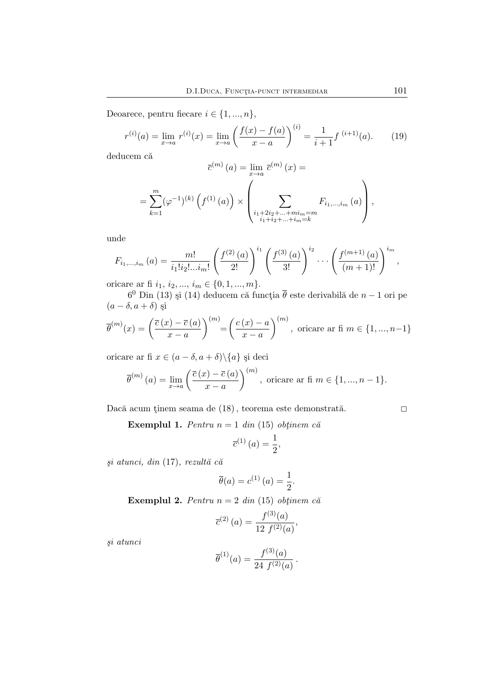Deoarece, pentru fiecare  $i\in\{1,...,n\},$ 

$$
r^{(i)}(a) = \lim_{x \to a} r^{(i)}(x) = \lim_{x \to a} \left( \frac{f(x) - f(a)}{x - a} \right)^{(i)} = \frac{1}{i + 1} f^{(i+1)}(a). \tag{19}
$$

deducem că

$$
\overline{c}^{(m)}(a) = \lim_{x \to a} \overline{c}^{(m)}(x) =
$$

$$
= \sum_{k=1}^{m} (\varphi^{-1})^{(k)} \left( f^{(1)}(a) \right) \times \left( \sum_{\substack{i_1+2i_2+\ldots+min=m\\i_1+i_2+\ldots+i_m=k}} F_{i_1,\ldots,i_m}(a) \right),
$$

unde

$$
F_{i_1,\dots,i_m}(a) = \frac{m!}{i_1!i_2!\dots i_m!} \left(\frac{f^{(2)}(a)}{2!}\right)^{i_1} \left(\frac{f^{(3)}(a)}{3!}\right)^{i_2} \dots \left(\frac{f^{(m+1)}(a)}{(m+1)!}\right)^{i_m},
$$

oricare ar fi  $i_1, i_2, ..., i_m \in \{0, 1, ..., m\}.$ 

 $6^0$  Din (13) și (14) deducem că funcția  $\overline{\theta}$  este derivabilă de  $n-1$  ori pe  $(a - \delta, a + \delta)$  și

$$
\overline{\theta}^{(m)}(x) = \left(\frac{\overline{c}(x) - \overline{c}(a)}{x - a}\right)^{(m)} = \left(\frac{c(x) - a}{x - a}\right)^{(m)}, \text{ oricare ar fi } m \in \{1, ..., n-1\}
$$

oricare ar fi  $x \in (a - \delta, a + \delta) \setminus \{a\}$  și deci

$$
\overline{\theta}^{(m)}(a) = \lim_{x \to a} \left( \frac{\overline{c}(x) - \overline{c}(a)}{x - a} \right)^{(m)}, \text{ oricare ar fi } m \in \{1, ..., n - 1\}.
$$

Dacă acum ținem seama de  $(18)$ , teorema este demonstrată.

Exemplul 1. *Pentru*  $n = 1$  *din* (15) *obtainem*  $c\breve{a}$ 

$$
\overline{c}^{(1)}(a) = \frac{1}{2},
$$

*¸si atunci, din* (17)*, rezult˘a c˘a*

$$
\overline{\theta}(a) = c^{(1)}(a) = \frac{1}{2}.
$$

Exemplul 2. *Pentru*  $n = 2$  *din* (15) *obtainem că* 

$$
\overline{c}^{(2)}(a) = \frac{f^{(3)}(a)}{12 f^{(2)}(a)},
$$

*¸si atunci*

$$
\overline{\theta}^{(1)}(a) = \frac{f^{(3)}(a)}{24 f^{(2)}(a)}.
$$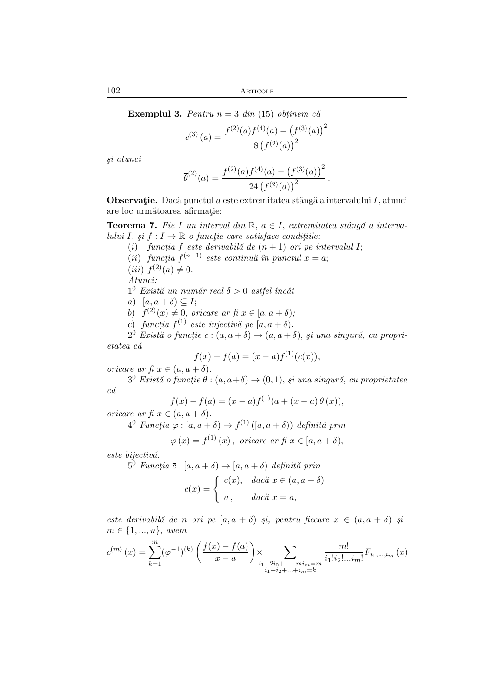**Exemplul 3.** *Pentru*  $n = 3$  *din* (15) *obtinem c* $\check{a}$ 

$$
\overline{c}^{(3)}(a) = \frac{f^{(2)}(a)f^{(4)}(a) - (f^{(3)}(a))^{2}}{8(f^{(2)}(a))^{2}}
$$

*¸si atunci*

$$
\overline{\theta}^{(2)}(a) = \frac{f^{(2)}(a)f^{(4)}(a) - (f^{(3)}(a))^{2}}{24 (f^{(2)}(a))^{2}}.
$$

**Observație.** Dacă punctul a este extremitatea stângă a intervalului I, atunci are loc următoarea afirmație:

**Teorema 7.** Fie I un interval din  $\mathbb{R}$ ,  $a \in I$ , extremitatea stângă a interva*lului I*, *si*  $f : I \to \mathbb{R}$  *o* functie care satisface conditiile:

- (i) *funcția* f este derivabilă de  $(n + 1)$  *ori pe intervalul* I;
- $(ii)$  *funcția*  $f^{(n+1)}$  *este continuă în punctul*  $x = a$ ;
- (*iii*)  $f^{(2)}(a) \neq 0$ .

*Atunci:*

- $1^0$  *Există un număr real*  $\delta > 0$  *astfel încât*
- a)  $[a, a + \delta) \subseteq I;$
- b)  $f^{(2)}(x) \neq 0$ , *oricare ar fi*  $x \in [a, a + \delta);$
- c) *funcția*  $f^{(1)}$  este injectivă pe  $[a, a + \delta)$ .

 $2^0$  *Există o funcție c* :  $(a, a + \delta) \rightarrow (a, a + \delta)$ , *și una singură, cu proprietatea c˘a*

$$
f(x) - f(a) = (x - a)f(1)(c(x)),
$$

*oricare ar fi*  $x \in (a, a + \delta)$ .

 $3^0$  *Există o funcție*  $\theta : (a, a+\delta) \rightarrow (0, 1)$ , *și una singură, cu proprietatea c˘a*

$$
f(x) - f(a) = (x - a) f(1) (a + (x - a) \theta (x)),
$$

*oricare ar fi*  $x \in (a, a + \delta)$ .

$$
4^0 \,\text{Functia } \varphi : [a, a + \delta) \to f^{(1)}\left( [a, a + \delta) \right) \,\text{definită prin}
$$

$$
\varphi(x) = f^{(1)}(x), \text{ oricare ar f}x \in [a, a + \delta),
$$

*este bijectiv˘a.*

 $5^0$  *Funcția*  $\overline{c}$ :  $[a, a + \delta) \rightarrow [a, a + \delta)$  *definită prin* 

$$
\overline{c}(x) = \begin{cases} c(x), & \text{dacă } x \in (a, a + \delta) \\ a, & \text{dacă } x = a, \end{cases}
$$

*este derivabilă de n ori pe*  $[a, a + \delta)$  *și, pentru fiecare*  $x \in (a, a + \delta)$  *și* m ∈ {1, ..., n}, *avem*

$$
\overline{c}^{(m)}(x) = \sum_{k=1}^{m} (\varphi^{-1})^{(k)} \left( \frac{f(x) - f(a)}{x - a} \right) \times \sum_{\substack{i_1 + 2i_2 + \dots + mi_m = m \\ i_1 + i_2 + \dots + i_m = k}} \frac{m!}{i_1! i_2! \dots i_m!} F_{i_1, \dots, i_m}(x)
$$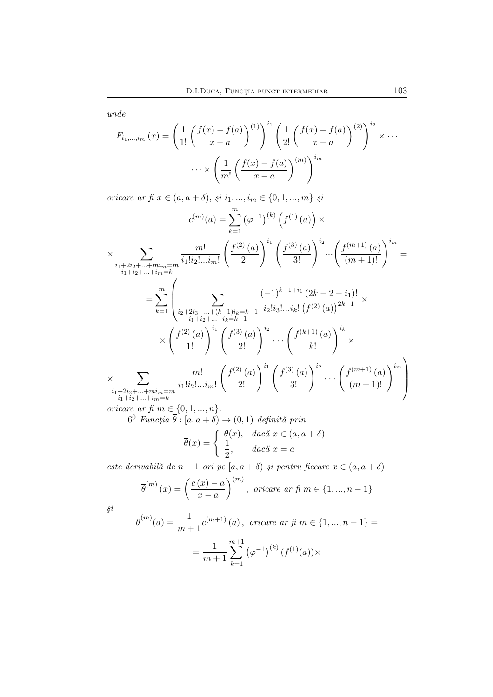*unde*

$$
F_{i_1,\dots,i_m}(x) = \left(\frac{1}{1!} \left(\frac{f(x) - f(a)}{x - a}\right)^{(1)}\right)^{i_1} \left(\frac{1}{2!} \left(\frac{f(x) - f(a)}{x - a}\right)^{(2)}\right)^{i_2} \times \cdots
$$

$$
\cdots \times \left(\frac{1}{m!} \left(\frac{f(x) - f(a)}{x - a}\right)^{(m)}\right)^{i_m}
$$

*oricare ar fi*  $x \in (a, a + \delta), \, \text{ } \{i_1, ..., i_m \in \{0, 1, ..., m\} \}$ 

$$
\overline{c}^{(m)}(a) = \sum_{k=1}^{m} (\varphi^{-1})^{(k)} (f^{(1)}(a)) \times
$$
  
\n
$$
\times \sum_{\substack{i_1+2i_2+\ldots+mi_m=m\\i_1+i_2+\ldots+i_m=k}} \frac{m!}{i_1!i_2!\ldots i_m!} \left(\frac{f^{(2)}(a)}{2!}\right)^{i_1} \left(\frac{f^{(3)}(a)}{3!}\right)^{i_2} \cdots \left(\frac{f^{(m+1)}(a)}{(m+1)!}\right)^{i_m} =
$$
  
\n
$$
= \sum_{k=1}^{m} \left(\sum_{\substack{i_2+2i_3+\ldots+(k-1)i_k=k-1\\i_1+i_2+\ldots+i_k=k-1}} \frac{(-1)^{k-1+i_1}(2k-2-i_1)!}{i_2!i_3!\ldots i_k! (f^{(2)}(a))^{2k-1}} \times \left(\frac{f^{(2)}(a)}{1!}\right)^{i_1} \left(\frac{f^{(3)}(a)}{2!}\right)^{i_2} \cdots \left(\frac{f^{(k+1)}(a)}{k!}\right)^{i_k} \times
$$
  
\n
$$
\times \sum_{\substack{i_1+2i_2+\ldots+mi_m=m\\i_1+i_2+\ldots+i_m=k}} \frac{m!}{i_1!i_2!\ldots i_m!} \left(\frac{f^{(2)}(a)}{2!}\right)^{i_1} \left(\frac{f^{(3)}(a)}{3!}\right)^{i_2} \cdots \left(\frac{f^{(m+1)}(a)}{(m+1)!}\right)^{i_m}\right),
$$

*oricare ar fi*  $m \in \{0, 1, ..., n\}$ .

 $6^0$  *Funcția*  $\overline{\theta}$  :  $[a, a + \delta) \rightarrow (0, 1)$  *definită prin* 

$$
\overline{\theta}(x) = \begin{cases} \theta(x), & \text{dacă } x \in (a, a + \delta) \\ \frac{1}{2}, & \text{dacă } x = a \end{cases}
$$

 $e$ *ste derivabilă de n* − 1 *ori pe* [a, a + δ) *și pentru fiecare*  $x \in (a, a + \delta)$ 

$$
\overline{\theta}^{(m)}(x) = \left(\frac{c(x) - a}{x - a}\right)^{(m)}, \text{ oricare ar f} \in \{1, ..., n - 1\}
$$

*¸si*

$$
\overline{\theta}^{(m)}(a) = \frac{1}{m+1} \overline{c}^{(m+1)}(a), \text{ oricare ar } f(m \in \{1, ..., n-1\}) =
$$

$$
= \frac{1}{m+1} \sum_{k=1}^{m+1} (\varphi^{-1})^{(k)} (f^{(1)}(a)) \times
$$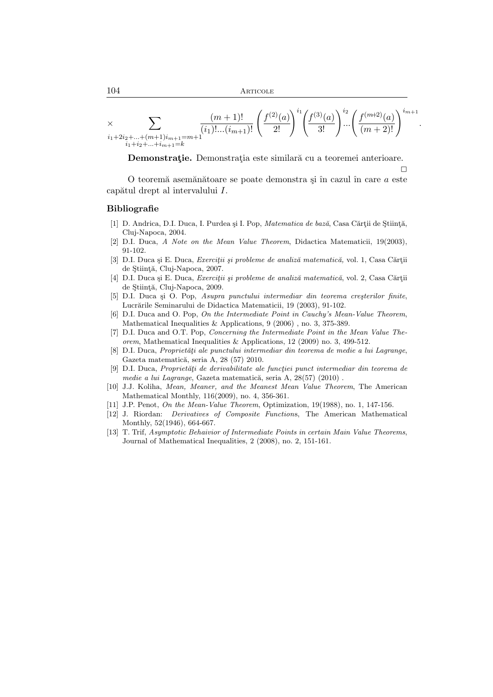$$
\times \sum_{\substack{i_1+2i_2+\ldots+(m+1)i_{m+1}=m+1\\i_1+i_2+\ldots+i_{m+1}=k}} \frac{(m+1)!}{(i_1)!\ldots(i_{m+1})!} \left(\frac{f^{(2)}(a)}{2!}\right)^{i_1} \left(\frac{f^{(3)}(a)}{3!}\right)^{i_2} \left(\frac{f^{(m+2)}(a)}{(m+2)!}\right)^{i_{m+1}}
$$

.

 $\Box$ 

Demonstrație. Demonstrația este similară cu a teoremei anterioare.

O teoremă asemănătoare se poate demonstra și în cazul în care  $a$  este  $capătul drept al intervalului I.$ 

#### Bibliografie

- [1] D. Andrica, D.I. Duca, I. Purdea și I. Pop, *Matematica de bază*, Casa Cărții de Știință, Cluj-Napoca, 2004.
- [2] D.I. Duca, *A Note on the Mean Value Theorem*, Didactica Matematicii, 19(2003), 91-102.
- [3] D.I. Duca și E. Duca, *Exerciții și probleme de analiză matematică*, vol. 1, Casa Cărții de Stiință, Cluj-Napoca, 2007.
- [4] D.I. Duca și E. Duca, *Exerciții și probleme de analiză matematică*, vol. 2, Casa Cărții de Stiință, Cluj-Napoca, 2009.
- [5] D.I. Duca și O. Pop, *Asupra punctului intermediar din teorema creșterilor finite*, Lucrările Seminarului de Didactica Matematicii, 19 (2003), 91-102.
- [6] D.I. Duca and O. Pop, *On the Intermediate Point in Cauchy's Mean-Value Theorem*, Mathematical Inequalities & Applications, 9 (2006) , no. 3, 375-389.
- [7] D.I. Duca and O.T. Pop, *Concerning the Intermediate Point in the Mean Value Theorem*, Mathematical Inequalities & Applications, 12 (2009) no. 3, 499-512.
- [8] D.I. Duca, *Proprietăți ale punctului intermediar din teorema de medie a lui Lagrange*, Gazeta matematică, seria A, 28 (57) 2010.
- [9] D.I. Duca, *Proprietăți de derivabilitate ale funcției punct intermediar din teorema de medie a lui Lagrange*, Gazeta matematică, seria A, 28(57) (2010).
- [10] J.J. Koliha, *Mean, Meaner, and the Meanest Mean Value Theorem*, The American Mathematical Monthly, 116(2009), no. 4, 356-361.
- [11] J.P. Penot, *On the Mean-Value Theorem*, Optimization, 19(1988), no. 1, 147-156.
- [12] J. Riordan: *Derivatives of Composite Function*s, The American Mathematical Monthly, 52(1946), 664-667.
- [13] T. Trif, *Asymptotic Behaivior of Intermediate Points in certain Main Value Theorems*, Journal of Mathematical Inequalities, 2 (2008), no. 2, 151-161.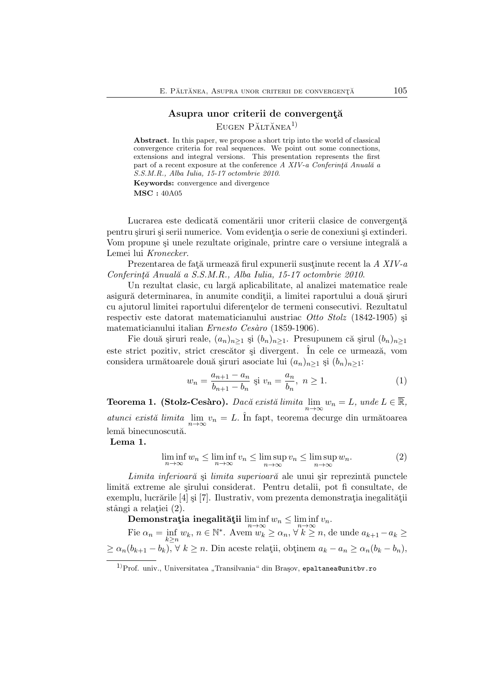# Asupra unor criterii de convergență  $E$ ugen Păltănea<sup>1)</sup>

Abstract. In this paper, we propose a short trip into the world of classical convergence criteria for real sequences. We point out some connections, extensions and integral versions. This presentation represents the first part of a recent exposure at the conference *A XIV-a Conferință Anuală a S.S.M.R., Alba Iulia, 15-17 octombrie 2010*. Keywords: convergence and divergence

MSC : 40A05

Lucrarea este dedicată comentării unor criterii clasice de convergență pentru siruri și serii numerice. Vom evidenția o serie de conexiuni și extinderi. Vom propune și unele rezultate originale, printre care o versiune integrală a Lemei lui *Kronecker*.

Prezentarea de față urmează firul expunerii sustinute recent la *A XIV-a Conferint¸˘a Anual˘a a S.S.M.R., Alba Iulia, 15-17 octombrie 2010*.

Un rezultat clasic, cu largă aplicabilitate, al analizei matematice reale asigură determinarea, în anumite conditii, a limitei raportului a două șiruri cu ajutorul limitei raportului diferentelor de termeni consecutivi. Rezultatul respectiv este datorat matematicianului austriac *Otto Stolz* (1842-1905) ¸si matematicianului italian *Ernesto Ces`aro* (1859-1906).

Fie două șiruri reale,  $(a_n)_{n\geq 1}$  și  $(b_n)_{n\geq 1}$ . Presupunem că șirul  $(b_n)_{n\geq 1}$ este strict pozitiv, strict crescător și divergent. În cele ce urmează, vom considera următoarele două șiruri asociate lui  $(a_n)_{n\geq 1}$  și  $(b_n)_{n\geq 1}$ :

$$
w_n = \frac{a_{n+1} - a_n}{b_{n+1} - b_n} \text{ si } v_n = \frac{a_n}{b_n}, \ n \ge 1. \tag{1}
$$

**Teorema 1. (Stolz-Cesàro).** *Dacă există limita*  $\lim_{n\to\infty} w_n = L$ *, unde*  $L \in \mathbb{R}$ *, atunci există limita*  $\lim_{n\to\infty} v_n = L$ . În fapt, teorema decurge din următoarea lemă binecunoscută.

Lema 1.

$$
\liminf_{n \to \infty} w_n \le \liminf_{n \to \infty} v_n \le \limsup_{n \to \infty} v_n \le \limsup_{n \to \infty} w_n. \tag{2}
$$

*Limita inferioară* și *limita superioară* ale unui șir reprezintă punctele limită extreme ale sirului considerat. Pentru detalii, pot fi consultate, de exemplu, lucrările [4] și [7]. Ilustrativ, vom prezenta demonstrația inegalității stângi a relatiei (2).

 $\textbf{Demonstratja inegalității} \liminf_{n\to\infty} w_n \leq \liminf_{n\to\infty} v_n.$ 

Fie  $\alpha_n = \inf_{k \geq n} w_k$ ,  $n \in \mathbb{N}^*$ . Avem  $w_k \geq \alpha_n$ ,  $\forall k \geq n$ , de unde  $a_{k+1} - a_k \geq$  $\geq \alpha_n(b_{k+1}-b_k), \forall k \geq n.$  Din aceste relații, obținem  $a_k - a_n \geq \alpha_n(b_k - b_n),$ 

<sup>&</sup>lt;sup>1)</sup>Prof. univ., Universitatea "Transilvania" din Braşov, epaltanea@unitbv.ro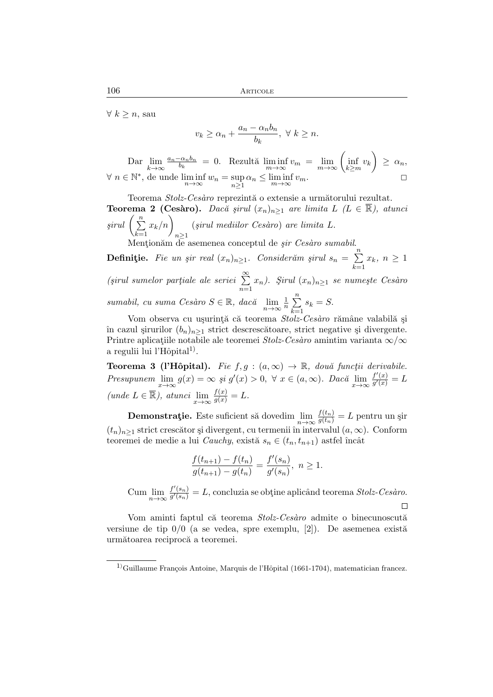$\forall k \geq n$ , sau

$$
v_k \ge \alpha_n + \frac{a_n - \alpha_n b_n}{b_k}, \ \forall \ k \ge n.
$$

Dar  $\lim_{k\to\infty}$  $a_n-\alpha_n b_n$  $\frac{c_{\alpha_n b_n}}{b_k} = 0.$  Rezultă  $\liminf_{m \to \infty} v_m = \lim_{m \to \infty} \left( \inf_{k \ge m} v_k \right) \ge \alpha_n,$  $\forall n \in \mathbb{N}^*,$  de unde  $\liminf_{n \to \infty} w_n = \sup_{n \ge 1} \alpha_n \le \liminf_{m \to \infty} v_m$ .

Teorema Stolz-Cesàro reprezintă o extensie a următorului rezultat. **Teorema 2 (Cesàro).** *Dacă șirul*  $(x_n)_{n\geq 1}$  *are limita*  $L$   $(L \in \mathbb{R})$ *, atunci*  $\text{ }$ *sirul*  $\left( \sum_{n=1}^{\infty} \right)$  $_{k=1}$  $x_k/n$  $n \geq 1$ (*¸sirul mediilor Ces`aro*) *are limita* L. Mentionăm de asemenea conceptul de *șir Cesàro sumabil*.

**Definiție.** *Fie un șir real*  $(x_n)_{n\geq 1}$ . Considerăm șirul  $s_n = \sum_{n=1}^n$ 

 $\sum_{k=1} x_k, n \geq 1$  $(sirul$  sumelor partiale ale seriei  $\sum_{n=1}^{\infty}$  $n=1$  $(x_n)$ . *Şirul*  $(x_n)_{n\geq 1}$  *se numeşte Cesàro sumabil, cu suma Cesàro*  $S \in \mathbb{R}$ *, dacă*  $\lim_{n \to \infty} \frac{1}{n} \sum_{k=1}^{n}$  $s_k = S$ .

 $k=1$ Vom observa cu ușurință că teorema Stolz-Cesàro rămâne valabilă și în cazul şirurilor  $(b_n)_{n\geq 1}$  strict descrescătoare, strict negative și divergente. Printre aplicațiile notabile ale teoremei *Stolz-Cesàro* amintim varianta  $\infty/\infty$ a regulii lui l'Hôpital<sup>1)</sup>.

**Teorema 3 (l'Hôpital).** *Fie*  $f, g : (a, \infty) \to \mathbb{R}$ , două funcții derivabile. *Presupunem*  $\lim_{x \to \infty} g(x) = \infty$  *şi*  $g'(x) > 0$ ,  $\forall x \in (a, \infty)$ *. Dacă*  $\lim_{x \to \infty} \frac{f'(x)}{g'(x)}$  $\frac{f^{\prime}\left(x\right)}{g^{\prime}\left(x\right)}=L$  $(unde L \in \overline{\mathbb{R}}),$   $atunci \lim_{x \to \infty} \frac{f(x)}{g(x)} = L.$ 

**Demonstrație.** Este suficient să dovedim  $\lim_{n \to \infty} \frac{f(t_n)}{g(t_n)} = L$  pentru un șir  $(t_n)_{n\geq 1}$  strict crescător și divergent, cu termenii în intervalul  $(a,\infty)$ . Conform teoremei de medie a lui *Cauchy*, există  $s_n \in (t_n, t_{n+1})$  astfel încât

$$
\frac{f(t_{n+1}) - f(t_n)}{g(t_{n+1}) - g(t_n)} = \frac{f'(s_n)}{g'(s_n)}, \ n \ge 1.
$$

Cum  $\lim_{n\to\infty}\frac{f'(s_n)}{g'(s_n)}$  $\frac{f(s_n)}{g'(s_n)} = L$ , concluzia se obține aplicând teorema *Stolz-Cesàro*.  $\Box$ 

Vom aminti faptul că teorema *Stolz-Cesàro* admite o binecunoscută versiune de tip  $0/0$  (a se vedea, spre exemplu, [2]). De asemenea există următoarea reciprocă a teoremei.

 $1)$ Guillaume François Antoine, Marquis de l'Hôpital (1661-1704), matematician francez.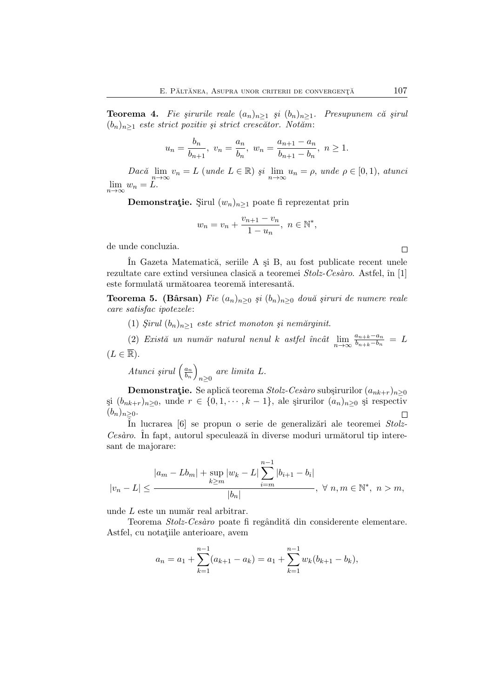**Teorema 4.** Fie şirurile reale  $(a_n)_{n\geq 1}$  și  $(b_n)_{n\geq 1}$ . Presupunem că șirul (bn)n≥<sup>1</sup> *este strict pozitiv ¸si strict cresc˘ator. Not˘am*:

$$
u_n = \frac{b_n}{b_{n+1}}, \ v_n = \frac{a_n}{b_n}, \ w_n = \frac{a_{n+1} - a_n}{b_{n+1} - b_n}, \ n \ge 1.
$$

 $Dac\breve{a}$   $\lim_{n\to\infty} v_n = L$  (*unde*  $L \in \mathbb{R}$ )  $\breve{s}i$   $\lim_{n\to\infty} u_n = \rho$ , *unde*  $\rho \in [0,1)$ , *atunci*  $\lim_{n\to\infty}w_n=L.$ 

**Demonstrație.** Şirul  $(w_n)_{n\geq 1}$  poate fi reprezentat prin

$$
w_n = v_n + \frac{v_{n+1} - v_n}{1 - u_n}, \ n \in \mathbb{N}^*,
$$

de unde concluzia.

In Gazeta Matematică, seriile A și B, au fost publicate recent unele rezultate care extind versiunea clasică a teoremei *Stolz-Cesàro*. Astfel, în [1] este formulată următoarea teoremă interesantă.

**Teorema 5. (Bârsan)** *Fie*  $(a_n)_{n\geq 0}$  *și*  $(b_n)_{n\geq 0}$  *două șiruri de numere reale care satisfac ipotezele*:

- (1)  $Sirul (b_n)_{n>1}$  *este strict monoton și nemărginit.*
- (2) *Există un număr natural nenul k astfel încât*  $\lim_{n\to\infty} \frac{a_{n+k}-a_n}{b_{n+k}-b_n}$  $\frac{a_{n+k}-a_n}{b_{n+k}-b_n} = L$

 $(L \in \overline{\mathbb{R}}).$ 

Atunci 
$$
\sin(l\left(\frac{a_n}{b_n}\right)_{n\geq 0}
$$
 are limita L.

**Demonstrație.** Se aplică teorema *Stolz-Cesàro* subșirurilor  $(a_{nk+r})_{n\geq 0}$  $\text{si } (b_{nk+r})_{n\geq 0}, \text{ unde } r \in \{0,1,\cdots,k-1\}, \text{ ale } \text{șirurilor } (a_n)_{n\geq 0} \text{ și respectiv }$  $(b_n)_{n>0}$ .  $\Box$ 

In lucrarea [6] se propun o serie de generalizări ale teoremei *Stolz*-Cesàro. În fapt, autorul speculează în diverse moduri următorul tip interesant de majorare:

$$
|v_n - L| \le \frac{|a_m - Lb_m| + \sup_{k \ge m} |w_k - L| \sum_{i=m}^{n-1} |b_{i+1} - b_i|}{|b_n|}, \ \forall \ n, m \in \mathbb{N}^*, \ n > m,
$$

unde  $L$  este un număr real arbitrar.

Teorema *Stolz-Cesàro* poate fi regândită din considerente elementare. Astfel, cu notațiile anterioare, avem

$$
a_n = a_1 + \sum_{k=1}^{n-1} (a_{k+1} - a_k) = a_1 + \sum_{k=1}^{n-1} w_k (b_{k+1} - b_k),
$$

 $\Box$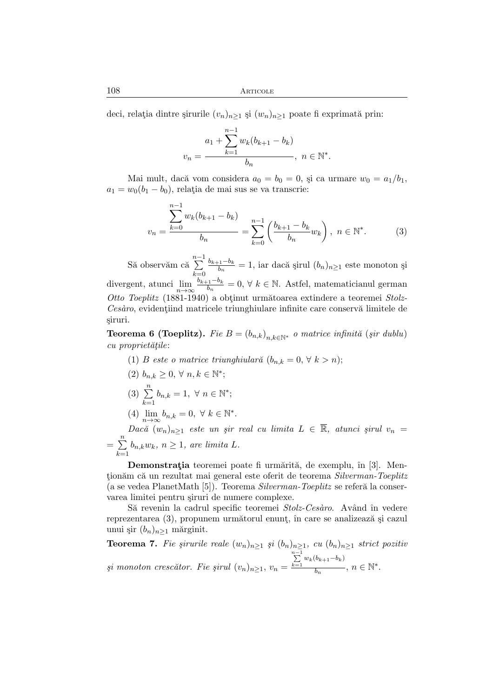108 Articole

deci, relația dintre șirurile  $(v_n)_{n\geq 1}$  și  $(w_n)_{n\geq 1}$  poate fi exprimată prin:

$$
v_n = \frac{a_1 + \sum_{k=1}^{n-1} w_k (b_{k+1} - b_k)}{b_n}, \ n \in \mathbb{N}^*.
$$

Mai mult, dacă vom considera  $a_0 = b_0 = 0$ , și ca urmare  $w_0 = a_1/b_1$ ,  $a_1 = w_0(b_1 - b_0)$ , relația de mai sus se va transcrie:

$$
v_n = \frac{\sum_{k=0}^{n-1} w_k (b_{k+1} - b_k)}{b_n} = \sum_{k=0}^{n-1} \left( \frac{b_{k+1} - b_k}{b_n} w_k \right), \ n \in \mathbb{N}^*.
$$
 (3)

Să observăm că  $\sum^{n-1}$  $_{k=0}$  $b_{k+1}-b_k$  $\frac{b_n}{b_n} = 1$ , iar dacă șirul  $(b_n)_{n \geq 1}$  este monoton și divergent, atunci  $\lim_{n\to\infty} \frac{b_{k+1}-b_k}{b_n}$  $\frac{e_1 - v_k}{b_n} = 0, \forall k \in \mathbb{N}$ . Astfel, matematicianul german *Otto Toeplitz* (1881-1940) a obtinut următoarea extindere a teoremei Stolz-*Cesàro*, evidentiind matricele triunghiulare infinite care conservă limitele de ¸siruri.

**Teorema 6 (Toeplitz).** *Fie*  $B = (b_{n,k})_{n,k \in \mathbb{N}^*}$  *o matrice infinită* (*şir dublu*)  $cu$  proprietățile:

- (1) B este o matrice triunghiulară  $(b_{n,k} = 0, \forall k > n);$
- (2)  $b_{n,k} \geq 0, \forall n, k \in \mathbb{N}^*;$  $(3) \sum_{n=1}^{\infty}$  $\sum_{k=1} b_{n,k} = 1, \ \forall \ n \in \mathbb{N}^*;$
- (4)  $\lim_{n\to\infty} b_{n,k} = 0, \forall k \in \mathbb{N}^*$ .

 $Dac\breve{a} (w_n)_{n \geq 1}$  *este un șir real cu limita*  $L \in \overline{\mathbb{R}}$ *, atunci șirul*  $v_n =$  $=$  $\sum_{n=1}^{n}$  $\sum_{k=1} b_{n,k} w_k, n \ge 1$ , are limita L.

Demonstrația teoremei poate fi urmărită, de exemplu, în [3]. Mentionăm că un rezultat mai general este oferit de teorema *Silverman-Toeplitz* (a se vedea PlanetMath [5]). Teorema *Silverman-Toeplitz* se referă la conservarea limitei pentru siruri de numere complexe.

Să revenin la cadrul specific teoremei *Stolz-Cesàro*. Având în vedere reprezentarea (3), propunem următorul enunț, în care se analizează și cazul unui șir  $(b_n)_{n>1}$  mărginit.

**Teorema 7.** Fie șirurile reale  $(w_n)_{n\geq 1}$  și  $(b_n)_{n\geq 1}$ , cu  $(b_n)_{n\geq 1}$  strict pozitiv  $\delta$ *si monoton crescător. Fie șirul*  $(v_n)_{n\geq 1}$ ,  $v_n =$  $\sum_{k=1}^{n-1} w_k(b_{k+1}-b_k)$  $\frac{1}{b_n}, n \in \mathbb{N}^*$ .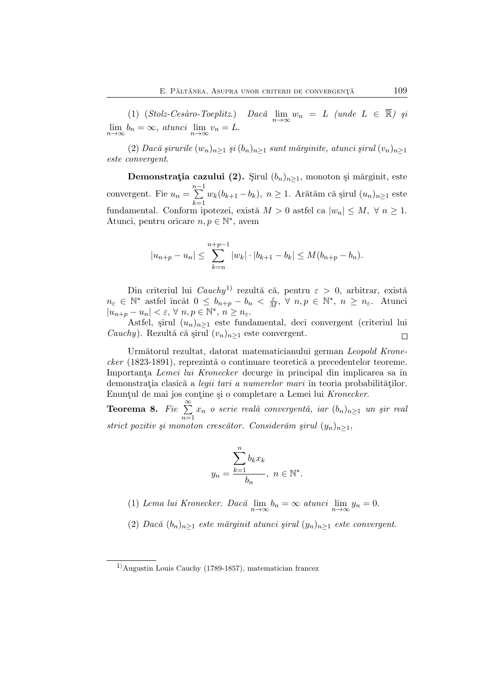(1)  $(\textit{Stolz-Cesàro-Toeplitz.})$  *Dacă*  $\lim_{n\to\infty} w_n = L$  (unde  $L \in \mathbb{R}$ ) și  $\lim_{n\to\infty} b_n = \infty$ , *atunci*  $\lim_{n\to\infty} v_n = L$ .

 $(2)$  *Dacă şirurile*  $(w_n)_{n>1}$  *și*  $(b_n)_{n>1}$  *sunt mărginite, atunci șirul*  $(v_n)_{n>1}$ *este convergent*.

**Demonstrația cazului (2).** Şirul  $(b_n)_{n\geq 1}$ , monoton și mărginit, este convergent. Fie  $u_n =$  $\sum^{n-1}$  $\sum_{k=1} w_k(b_{k+1}-b_k)$ ,  $n \ge 1$ . Arătăm că șirul  $(u_n)_{n \ge 1}$  este fundamental. Conform ipotezei, există  $M > 0$  astfel ca  $|w_n| \leq M$ ,  $\forall n \geq 1$ . Atunci, pentru oricare  $n, p \in \mathbb{N}^*$ , avem

$$
|u_{n+p} - u_n| \le \sum_{k=n}^{n+p-1} |w_k| \cdot |b_{k+1} - b_k| \le M(b_{n+p} - b_n).
$$

Din criteriul lui  $Cauchy<sup>1</sup>$  rezultă că, pentru  $\varepsilon > 0$ , arbitrar, există  $n_{\varepsilon} \in \mathbb{N}^*$  astfel încât  $0 \leq b_{n+p} - b_n < \frac{\varepsilon}{M}$ ,  $\forall n, p \in \mathbb{N}^*, n \geq n_{\varepsilon}$ . Atunci  $|u_{n+p} - u_n| < \varepsilon, \forall n, p \in \mathbb{N}^*, n \geq n_{\varepsilon}.$ 

Astfel, şirul  $(u_n)_{n\geq 1}$  este fundamental, deci convergent (criteriul lui *Cauchy*). Rezultă că șirul  $(v_n)_{n\geq 1}$  este convergent.  $\Box$ 

Următorul rezultat, datorat matematicianului german *Leopold Kronecker* (1823-1891), reprezintă o continuare teoretică a precedentelor teoreme. Importanta *Lemei lui Kronecker* decurge în principal din implicarea sa în demonstrația clasică a *legii tari a numerelor mari* în teoria probabilităților. Enunțul de mai jos conține și o completare a Lemei lui *Kronecker*.

Teorema 8. Fie  $\sum_{i=1}^{\infty}$  $n=1$  $x_n$  *o serie reală convergentă, iar*  $(b_n)_{n\geq 1}$  *un șir real strict pozitiv și monoton crescător. Considerăm șirul*  $(y_n)_{n\geq 1}$ ,

$$
y_n = \frac{\sum_{k=1}^n b_k x_k}{b_n}, \ n \in \mathbb{N}^*
$$

- (1) *Lema lui Kronecker. Dacă*  $\lim_{n \to \infty} b_n = \infty$  *atunci*  $\lim_{n \to \infty} y_n = 0$ .
- (2) *Dacă*  $(b_n)_{n\geq 1}$  *este mărginit atunci șirul*  $(y_n)_{n\geq 1}$  *este convergent.*

.

 $<sup>1</sup>$ Augustin Louis Cauchy (1789-1857), matematician francez</sup>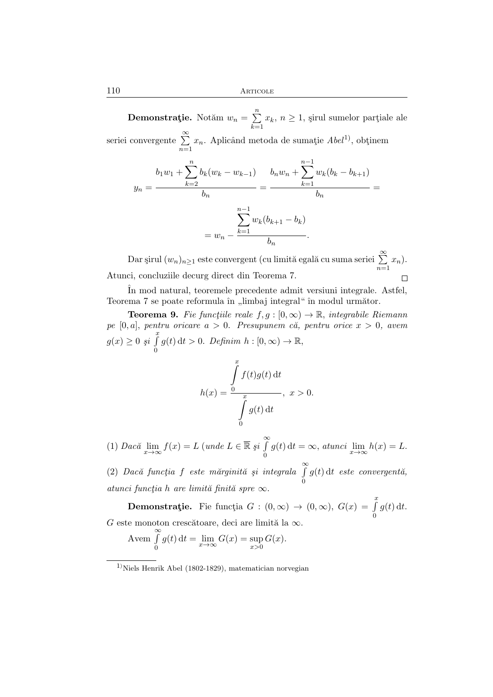**Demonstrație.** Notăm  $w_n = \sum_{n=1}^n$  $\sum_{k=1} x_k$ ,  $n \geq 1$ , sirul sumelor partiale ale seriei convergente  $\sum^{\infty}$  $n=1$  $x_n$ . Aplicând metoda de sumație  $Abel<sup>1</sup>$ , obținem

$$
y_n = \frac{b_1 w_1 + \sum_{k=2}^n b_k (w_k - w_{k-1})}{b_n} = \frac{b_n w_n + \sum_{k=1}^{n-1} w_k (b_k - b_{k+1})}{b_n} = \frac{\sum_{k=1}^{n-1} w_k (b_{k+1} - b_k)}{b_n} = w_n - \frac{\sum_{k=1}^{n-1} w_k (b_{k+1} - b_k)}{b_n}.
$$

Dar şirul  $(w_n)_{n\geq 1}$  este convergent (cu limită egală cu suma seriei  $\sum\limits^{\infty}$  $x_n$ ).  $n=1$ Atunci, concluziile decurg direct din Teorema 7.  $\Box$ 

ˆIn mod natural, teoremele precedente admit versiuni integrale. Astfel, Teorema 7 se poate reformula în "limbaj integral" în modul următor.

**Teorema 9.** Fie functiile reale  $f, g : [0, \infty) \to \mathbb{R}$ , integrabile Riemann  $pe [0, a],$  pentru oricare  $a > 0$ . Presupunem că, pentru orice  $x > 0$ , avem  $g(x) \geq 0$  *şi*  $\int_{0}^{x} g(t) dt > 0$ . *Definim*  $h : [0, \infty) \to \mathbb{R}$ ,

$$
h(x) = \frac{\int_{0}^{x} f(t)g(t) dt}{\int_{0}^{x} g(t) dt}, \quad x > 0.
$$

(1) *Dacă*  $\lim_{x \to \infty} f(x) = L$  (*unde*  $L \in \mathbb{\overline{R}}$  *şi*  $\int_{0}^{\infty} g(t) dt = \infty$ , *atunci*  $\lim_{x \to \infty} h(x) = L$ .

(2) *Dac˘a funct¸ia* <sup>f</sup> *este m˘arginit˘a ¸si integrala* <sup>R</sup><sup>∞</sup> 0  $g(t)$ dt este convergentă, *atunci funct¸ia* h *are limit˘a finit˘a spre* ∞.

**Demonstrație.** Fie funcția  $G : (0, \infty) \to (0, \infty)$ ,  $G(x) = \int_{0}^{x}$  $g(t)$  dt. G este monoton crescătoare, deci are limită la  $\infty$ .

$$
\text{Avem } \int_{0}^{\infty} g(t) \, \mathrm{d}t = \lim_{x \to \infty} G(x) = \sup_{x > 0} G(x).
$$

 $1)$ Niels Henrik Abel (1802-1829), matematician norvegian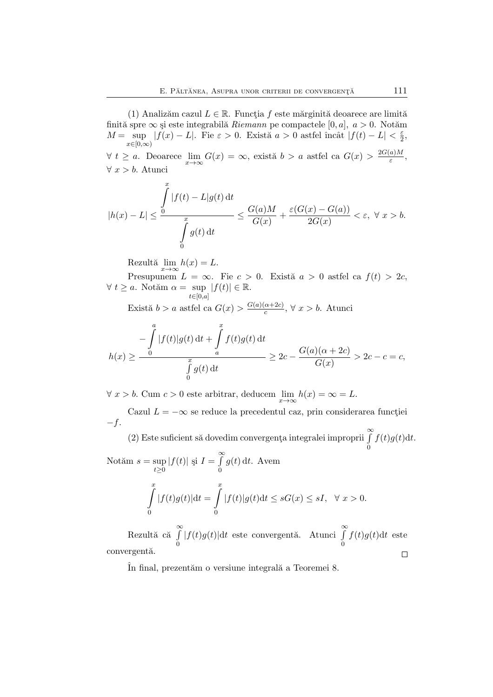(1) Analizăm cazul  $L \in \mathbb{R}$ . Functia f este mărginită deoarece are limită finită spre  $\infty$  și este integrabilă *Riemann* pe compactele [0, a],  $a > 0$ . Notăm  $M = \sup_{t \in \mathbb{R}^n} |f(x) - L|$ . Fie  $\varepsilon > 0$ . Există  $a > 0$  astfel încât  $|f(t) - L| < \frac{\varepsilon}{2}$  $x\in [0,\infty)$  $\frac{\varepsilon}{2}$ ,  $\forall t \geq a$ . Deoarece  $\lim_{x \to \infty} G(x) = \infty$ , există  $b > a$  astfel ca  $G(x) > \frac{2G(a)M}{\varepsilon}$  $\frac{a_{jM}}{\varepsilon},$ 

 $∀ x > b$ . Atunci  $\frac{x}{c}$ 

$$
|h(x) - L| \le \frac{\int_{0}^{\infty} |f(t) - L|g(t) dt}{\int_{0}^{x} g(t) dt} \le \frac{G(a)M}{G(x)} + \frac{\varepsilon(G(x) - G(a))}{2G(x)} < \varepsilon, \ \forall \ x > b.
$$

Rezultă  $\lim_{x \to \infty} h(x) = L$ .

 $\boldsymbol{0}$ 

Presupunem  $L = \infty$ . Fie  $c > 0$ . Există  $a > 0$  astfel ca  $f(t) > 2c$ ,  $\forall t \geq a$ . Notăm  $\alpha = \sup_{t \in [0,a]} |f(t)| \in \mathbb{R}$ .

Există  $b > a$  astfel ca  $G(x) > \frac{G(a)(\alpha+2c)}{c}$  $\frac{\alpha+2c}{c}$ ,  $\forall x > b$ . Atunci

$$
h(x) \ge \frac{\int_{0}^{a} |f(t)|g(t) dt + \int_{a}^{x} f(t)g(t) dt}{\int_{0}^{x} g(t) dt} \ge 2c - \frac{G(a)(\alpha + 2c)}{G(x)} > 2c - c = c,
$$

 $\forall x > b.$  Cum  $c > 0$  este arbitrar, deducem  $\lim_{x \to \infty} h(x) = \infty = L$ .

Cazul  $L = -\infty$  se reduce la precedentul caz, prin considerarea functiei  $-f.$ 

(2) Este suficient să dovedim convergența integralei improprii  $\int_{0}^{\infty} f(t)g(t)dt$ .  $\boldsymbol{0}$ 

Notăm  $s = \sup$  $\sup_{t\geq 0} |f(t)|$  și  $I = \int_{0}^{\infty}$ 0  $g(t)$  dt. Avem  $\int$  $|f(t)g(t)|dt =$  $\int$  $|f(t)|g(t)dt \leq sG(x) \leq sI, \quad \forall x > 0.$ 

0

Rezultă că  $\int^{\infty}$  $\int_{0}^{\infty} |f(t)g(t)|dt$  este convergentă. Atunci  $\int_{0}^{\infty}$  $f(t)g(t)dt$  este convergentă.  $\Box$ 

In final, prezentăm o versiune integrală a Teoremei 8.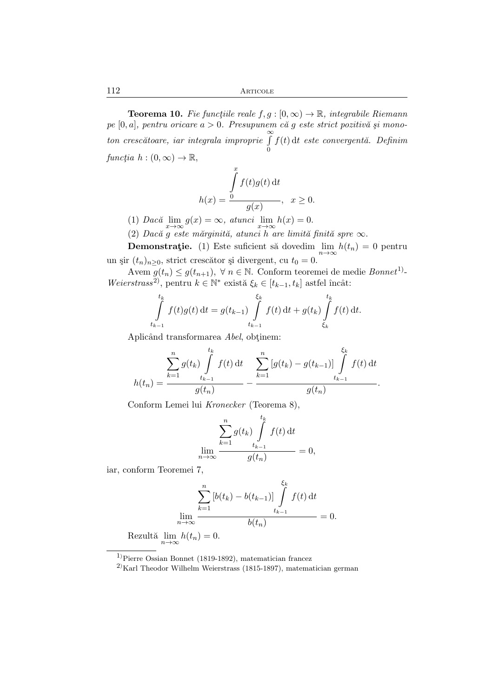**Teorema 10.** Fie functiile reale  $f, g : [0, \infty) \to \mathbb{R}$ , integrabile Riemann *pe* [0, a]*, pentru oricare* a > 0*. Presupunem c˘a* g *este strict pozitiv˘a ¸si monoton cresc*ătoare, iar integrala improprie  $\int^{\infty}$ 0  $f(t)$ dt *este convergentă.* Definim *functia*  $h:(0,\infty)\to\mathbb{R}$ ,

$$
h(x) = \frac{\int_{0}^{x} f(t)g(t) dt}{g(x)}, \quad x \ge 0.
$$

(1)  $Dac\breve{a} \lim_{x \to \infty} g(x) = \infty$ ,  $atunci \lim_{x \to \infty} h(x) = 0$ .

(2) *Dac˘a* g *este m˘arginit˘a, atunci* h *are limit˘a finit˘a spre* ∞.

**Demonstrație.** (1) Este suficient să dovedim  $\lim_{n\to\infty} h(t_n) = 0$  pentru un șir  $(t_n)_{n>0}$ , strict crescător și divergent, cu  $t_0 = 0$ .

Avem  $g(t_n) \leq g(t_{n+1}), \ \forall \ n \in \mathbb{N}.$  Conform teoremei de medie  $\textit{Bonnet}^{1}$  $Weierstrass<sup>2</sup>$ , pentru  $k \in \mathbb{N}^*$  există  $\xi_k \in [t_{k-1}, t_k]$  astfel încât:

$$
\int_{t_{k-1}}^{t_k} f(t)g(t) dt = g(t_{k-1}) \int_{t_{k-1}}^{\xi_k} f(t) dt + g(t_k) \int_{\xi_k}^{t_k} f(t) dt.
$$

Aplicând transformarea *Abel*, obtinem:

$$
h(t_n) = \frac{\sum_{k=1}^n g(t_k) \int_{t_{k-1}}^{t_k} f(t) dt}{g(t_n)} - \frac{\sum_{k=1}^n [g(t_k) - g(t_{k-1})] \int_{t_{k-1}}^{\xi_k} f(t) dt}{g(t_n)}.
$$

Conform Lemei lui *Kronecker* (Teorema 8),

$$
\lim_{n \to \infty} \frac{\sum_{k=1}^{n} g(t_k) \int_{t_{k-1}}^{t_k} f(t) dt}{g(t_n)} = 0,
$$

iar, conform Teoremei 7,

$$
\sum_{k=1}^{n} \left[ b(t_k) - b(t_{k-1}) \right] \int_{t_{k-1}}^{\xi_k} f(t) dt
$$
  
\n
$$
\lim_{n \to \infty} \frac{\lim_{t_{k-1}} f(t) dt}{b(t_n)} = 0.
$$
  
\nRezultă  $\lim_{n \to \infty} h(t_n) = 0.$ 

<sup>1</sup>)Pierre Ossian Bonnet (1819-1892), matematician francez

 $^{2)}$ Karl Theodor Wilhelm Weierstrass (1815-1897), matematician german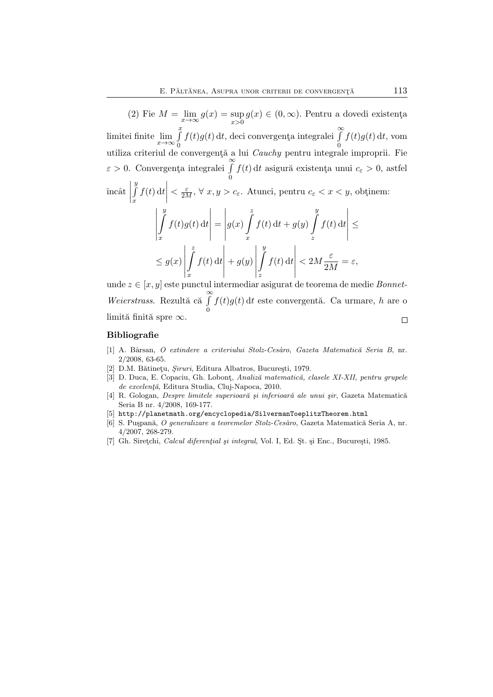(2) Fie  $M = \lim_{x \to \infty} g(x) = \sup_{x > 0}$  $\sup_{x>0} g(x) \in (0,\infty)$ . Pentru a dovedi existența limitei finite  $\lim_{x\to\infty}\int_{0}^{x}$  $\boldsymbol{0}$  $f(t)g(t)$  dt, deci convergența integralei  $\int_0^\infty$  $\boldsymbol{0}$  $f(t)g(t) dt$ , vom utiliza criteriul de convergență a lui *Cauchy* pentru integrale improprii. Fie  $\varepsilon > 0$ . Convergența integralei  $\int_0^\infty$ 0  $f(t)$ dt asigură existența unui  $c_{\varepsilon} > 0$ , astfel  $\overline{y}$ 

 $\hat{i}$ ncât R x  $f(t) dt$  $\langle \frac{\varepsilon}{2M}, \forall x, y \rangle$ c<sub>e</sub>. Atunci, pentru $c_{\varepsilon}$  <  $x$  <  $y$ , obtinem:

$$
\left| \int_{x}^{y} f(t)g(t) dt \right| = \left| g(x) \int_{x}^{z} f(t) dt + g(y) \int_{z}^{y} f(t) dt \right| \le
$$
  

$$
\le g(x) \left| \int_{x}^{z} f(t) dt \right| + g(y) \left| \int_{z}^{y} f(t) dt \right| < 2M \frac{\varepsilon}{2M} = \varepsilon,
$$

unde z ∈ [x, y] este punctul intermediar asigurat de teorema de medie *Bonnet-Weierstrass.* Rezultă că ∫  $f(t)g(t)$ dt este convergentă. Ca urmare, h are o  $\boldsymbol{0}$ limită finită spre  $\infty$ .  $\Box$ 

#### Bibliografie

- [1] A. Bˆarsan, *O extindere a criteriului Stolz-Ces`aro*, *Gazeta Matematic˘a Seria B*, nr. 2/2008, 63-65.
- [2] D.M. Bătinețu, *Șiruri*, Editura Albatros, București, 1979.
- [3] D. Duca, E. Copaciu, Gh. Lobont¸, *Analiz˘a matematic˘a, clasele XI-XII, pentru grupele*  $de\,\,e$ *zcelență*, Editura Studia, Cluj-Napoca, 2010.
- [4] R. Gologan, *Despre limitele superioar˘a ¸si inferioar˘a ale unui ¸sir*, Gazeta Matematic˘a Seria B nr. 4/2008, 169-177.
- [5] http://planetmath.org/encyclopedia/SilvermanToeplitzTheorem.html
- [6] S. Puspană, *O generalizare a teoremelor Stolz-Cesàro*, Gazeta Matematică Seria A, nr. 4/2007, 268-279.
- [7] Gh. Siretchi, *Calcul diferential și integral*, Vol. I, Ed. St. și Enc., București, 1985.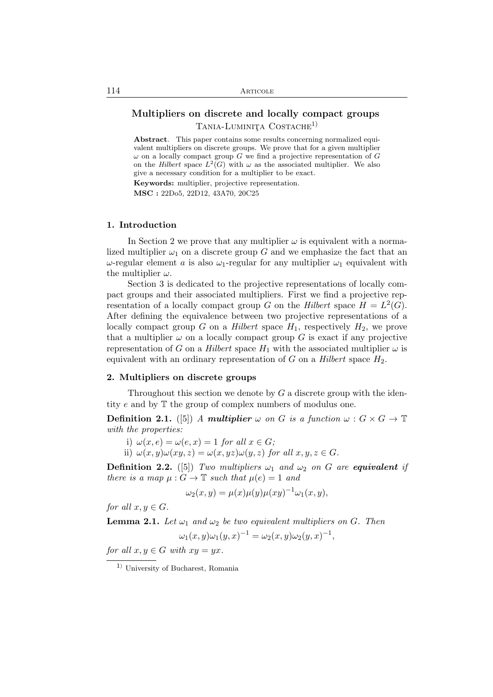# Multipliers on discrete and locally compact groups TANIA-LUMINITA COSTACHE<sup>1)</sup>

Abstract. This paper contains some results concerning normalized equivalent multipliers on discrete groups. We prove that for a given multiplier  $\omega$  on a locally compact group G we find a projective representation of G on the *Hilbert* space  $L^2(G)$  with  $\omega$  as the associated multiplier. We also give a necessary condition for a multiplier to be exact. Keywords: multiplier, projective representation.

MSC : 22Do5, 22D12, 43A70, 20C25

#### 1. Introduction

In Section 2 we prove that any multiplier  $\omega$  is equivalent with a normalized multiplier  $\omega_1$  on a discrete group G and we emphasize the fact that an  $ω$ -regular element *a* is also  $ω$ <sub>1</sub>-regular for any multiplier  $ω$ <sub>1</sub> equivalent with the multiplier  $\omega$ .

Section 3 is dedicated to the projective representations of locally compact groups and their associated multipliers. First we find a projective representation of a locally compact group G on the *Hilbert* space  $H = L^2(G)$ . After defining the equivalence between two projective representations of a locally compact group  $G$  on a *Hilbert* space  $H_1$ , respectively  $H_2$ , we prove that a multiplier  $\omega$  on a locally compact group G is exact if any projective representation of G on a *Hilbert* space  $H_1$  with the associated multiplier  $\omega$  is equivalent with an ordinary representation of  $G$  on a *Hilbert* space  $H_2$ .

#### 2. Multipliers on discrete groups

Throughout this section we denote by  $G$  a discrete group with the identity e and by T the group of complex numbers of modulus one.

**Definition 2.1.** ([5]) *A* multiplier  $\omega$  on G is a function  $\omega$ :  $G \times G \to \mathbb{T}$ *with the properties:*

i)  $\omega(x, e) = \omega(e, x) = 1$  *for all*  $x \in G$ ; ii)  $\omega(x, y)\omega(xy, z) = \omega(x, yz)\omega(y, z)$  *for all*  $x, y, z \in G$ *.* 

**Definition 2.2.** ([5]) *Two multipliers*  $\omega_1$  *and*  $\omega_2$  *on G are equivalent if there is a map*  $\mu: G \to \mathbb{T}$  *such that*  $\mu(e) = 1$  *and* 

$$
\omega_2(x, y) = \mu(x)\mu(y)\mu(xy)^{-1}\omega_1(x, y),
$$

*for all*  $x, y \in G$ *.* 

**Lemma 2.1.** Let  $\omega_1$  and  $\omega_2$  be two equivalent multipliers on G. Then

$$
\omega_1(x, y)\omega_1(y, x)^{-1} = \omega_2(x, y)\omega_2(y, x)^{-1},
$$

*for all*  $x, y \in G$  *with*  $xy = yx$ .

<sup>1</sup>) University of Bucharest, Romania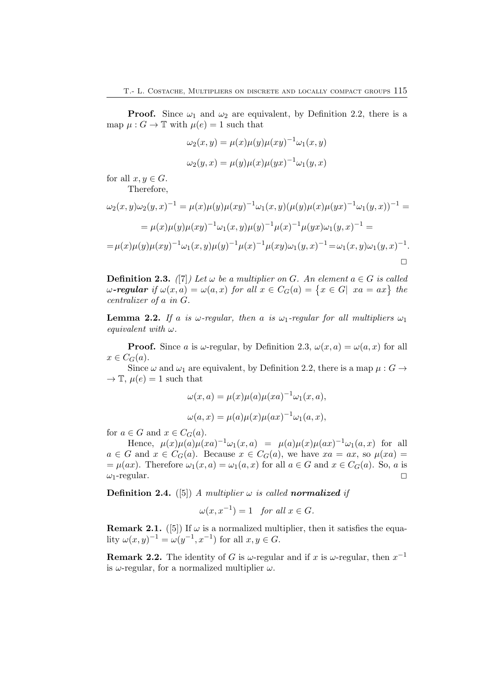**Proof.** Since  $\omega_1$  and  $\omega_2$  are equivalent, by Definition 2.2, there is a map  $\mu: G \to \mathbb{T}$  with  $\mu(e) = 1$  such that

$$
\omega_2(x, y) = \mu(x)\mu(y)\mu(xy)^{-1}\omega_1(x, y)
$$

$$
\omega_2(y, x) = \mu(y)\mu(x)\mu(yx)^{-1}\omega_1(y, x)
$$

for all  $x, y \in G$ . Therefore,

$$
\omega_2(x, y)\omega_2(y, x)^{-1} = \mu(x)\mu(y)\mu(xy)^{-1}\omega_1(x, y)(\mu(y)\mu(x)\mu(yx)^{-1}\omega_1(y, x))^{-1} =
$$
  
= 
$$
\mu(x)\mu(y)\mu(xy)^{-1}\omega_1(x, y)\mu(y)^{-1}\mu(x)^{-1}\mu(yx)\omega_1(y, x)^{-1} =
$$
  
= 
$$
\mu(x)\mu(y)\mu(xy)^{-1}\omega_1(x, y)\mu(y)^{-1}\mu(x)^{-1}\mu(xy)\omega_1(y, x)^{-1} = \omega_1(x, y)\omega_1(y, x)^{-1}.
$$

**Definition 2.3.** *(*[7]*)* Let  $\omega$  be a multiplier on G. An element  $a \in G$  is called  $\omega$ -regular if  $\omega(x, a) = \omega(a, x)$  for all  $x \in C_G(a) = \{x \in G | \ xa = ax\}$  the *centralizer of* a *in* G*.*

**Lemma 2.2.** If a is  $\omega$ -regular, then a is  $\omega_1$ -regular for all multipliers  $\omega_1$ *equivalent with* ω*.*

**Proof.** Since a is  $\omega$ -regular, by Definition 2.3,  $\omega(x, a) = \omega(a, x)$  for all  $x \in C_G(a)$ .

Since  $\omega$  and  $\omega_1$  are equivalent, by Definition 2.2, there is a map  $\mu : G \to$  $\rightarrow \mathbb{T}$ ,  $\mu(e) = 1$  such that

$$
\omega(x, a) = \mu(x)\mu(a)\mu(xa)^{-1}\omega_1(x, a),
$$
  

$$
\omega(a, x) = \mu(a)\mu(x)\mu(ax)^{-1}\omega_1(a, x),
$$

for  $a \in G$  and  $x \in C_G(a)$ .

Hence,  $\mu(x)\mu(a)\mu(xa)^{-1}\omega_1(x,a) = \mu(a)\mu(x)\mu(ax)^{-1}\omega_1(a,x)$  for all  $a \in G$  and  $x \in C_G(a)$ . Because  $x \in C_G(a)$ , we have  $xa = ax$ , so  $\mu(xa) =$ =  $\mu(ax)$ . Therefore  $\omega_1(x, a) = \omega_1(a, x)$  for all  $a \in G$  and  $x \in C_G(a)$ . So, a is  $\omega_1$ -regular.  $\omega_1$ -regular.

**Definition 2.4.** ([5]) *A multiplier*  $\omega$  *is called normalized if* 

$$
\omega(x, x^{-1}) = 1 \quad for all x \in G.
$$

**Remark 2.1.** ([5]) If  $\omega$  is a normalized multiplier, then it satisfies the equality  $\omega(x, y)^{-1} = \omega(y^{-1}, x^{-1})$  for all  $x, y \in G$ .

**Remark 2.2.** The identity of G is  $\omega$ -regular and if x is  $\omega$ -regular, then  $x^{-1}$ is  $\omega$ -regular, for a normalized multiplier  $\omega$ .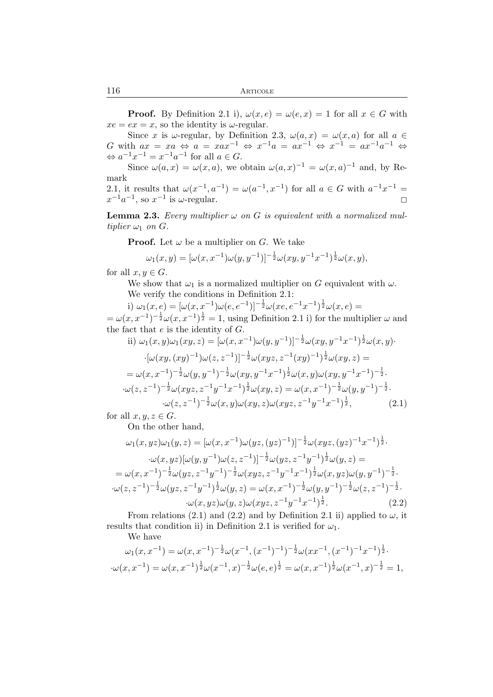**Proof.** By Definition 2.1 i),  $\omega(x, e) = \omega(e, x) = 1$  for all  $x \in G$  with  $xe = ex = x$ , so the identity is  $\omega$ -regular.

Since x is  $\omega$ -regular, by Definition 2.3,  $\omega(a,x) = \omega(x,a)$  for all  $a \in$ G with  $ax = xa \Leftrightarrow a = xax^{-1} \Leftrightarrow x^{-1}a = ax^{-1} \Leftrightarrow x^{-1} = ax^{-1}a^{-1} \Leftrightarrow$  $\Leftrightarrow a^{-1}x^{-1} = x^{-1}a^{-1}$  for all  $a \in G$ .

Since  $\omega(a,x) = \omega(x,a)$ , we obtain  $\omega(a,x)^{-1} = \omega(x,a)^{-1}$  and, by Remark

2.1, it results that  $\omega(x^{-1}, a^{-1}) = \omega(a^{-1}, x^{-1})$  for all  $a \in G$  with  $a^{-1}x^{-1} =$  $x^{-1}a^{-1}$ , so  $x^{-1}$  is  $\omega$ -regular.

**Lemma 2.3.** *Every multiplier*  $\omega$  *on*  $G$  *is equivalent with a normalized multiplier*  $\omega_1$  *on*  $G$ *.* 

**Proof.** Let  $\omega$  be a multiplier on G. We take

$$
\omega_1(x, y) = [\omega(x, x^{-1})\omega(y, y^{-1})]^{-\frac{1}{2}}\omega(xy, y^{-1}x^{-1})^{\frac{1}{2}}\omega(x, y),
$$

for all  $x, y \in G$ .

We show that  $\omega_1$  is a normalized multiplier on G equivalent with  $\omega$ . We verify the conditions in Definition 2.1:

i)  $\omega_1(x,e) = [\omega(x,x^{-1})\omega(e,e^{-1})]^{-\frac{1}{2}}\omega(xe,e^{-1}x^{-1})^{\frac{1}{2}}\omega(x,e) =$  $=\omega(x,x^{-1})^{-\frac{1}{2}}\omega(x,x^{-1})^{\frac{1}{2}}=1$ , using Definition 2.1 i) for the multiplier  $\omega$  and the fact that  $e$  is the identity of  $G$ .

ii) 
$$
\omega_1(x, y)\omega_1(xy, z) = [\omega(x, x^{-1})\omega(y, y^{-1})]^{-\frac{1}{2}}\omega(xy, y^{-1}x^{-1})^{\frac{1}{2}}\omega(x, y) \cdot
$$
  
\n $\cdot[\omega(xy, (xy)^{-1})\omega(z, z^{-1})]^{-\frac{1}{2}}\omega(xyz, z^{-1}(xy)^{-1})^{\frac{1}{2}}\omega(xy, z) =$   
\n $= \omega(x, x^{-1})^{-\frac{1}{2}}\omega(y, y^{-1})^{-\frac{1}{2}}\omega(xy, y^{-1}x^{-1})^{\frac{1}{2}}\omega(x, y)\omega(xy, y^{-1}x^{-1})^{-\frac{1}{2}} \cdot$   
\n $\cdot\omega(z, z^{-1})^{-\frac{1}{2}}\omega(xyz, z^{-1}y^{-1}x^{-1})^{\frac{1}{2}}\omega(xy, z) = \omega(x, x^{-1})^{-\frac{1}{2}}\omega(y, y^{-1})^{-\frac{1}{2}} \cdot$   
\n $\cdot\omega(z, z^{-1})^{-\frac{1}{2}}\omega(x, y)\omega(xy, z)\omega(xyz, z^{-1}y^{-1}x^{-1})^{\frac{1}{2}},$  (2.1)

for all  $x, y, z \in G$ .

On the other hand,

$$
\omega_1(x, yz)\omega_1(y, z) = [\omega(x, x^{-1})\omega(yz, (yz)^{-1})]^{-\frac{1}{2}}\omega(xyz, (yz)^{-1}x^{-1})^{\frac{1}{2}}.
$$

$$
\cdot \omega(x, yz)[\omega(y, y^{-1})\omega(z, z^{-1})]^{-\frac{1}{2}}\omega(yz, z^{-1}y^{-1})^{\frac{1}{2}}\omega(y, z) =
$$

$$
= \omega(x, x^{-1})^{-\frac{1}{2}}\omega(yz, z^{-1}y^{-1})^{-\frac{1}{2}}\omega(xyz, z^{-1}y^{-1}x^{-1})^{\frac{1}{2}}\omega(x, yz)\omega(y, y^{-1})^{-\frac{1}{2}}.
$$

$$
\cdot \omega(z, z^{-1})^{-\frac{1}{2}}\omega(yz, z^{-1}y^{-1})^{\frac{1}{2}}\omega(y, z) = \omega(x, x^{-1})^{-\frac{1}{2}}\omega(y, y^{-1})^{-\frac{1}{2}}\omega(z, z^{-1})^{-\frac{1}{2}}.
$$
(2.2)

From relations (2.1) and (2.2) and by Definition 2.1 ii) applied to  $\omega$ , it results that condition ii) in Definition 2.1 is verified for  $\omega_1$ .

We have

$$
\omega_1(x, x^{-1}) = \omega(x, x^{-1})^{-\frac{1}{2}} \omega(x^{-1}, (x^{-1})^{-1})^{-\frac{1}{2}} \omega(xx^{-1}, (x^{-1})^{-1}x^{-1})^{\frac{1}{2}}.
$$

$$
\omega(x, x^{-1}) = \omega(x, x^{-1})^{\frac{1}{2}} \omega(x^{-1}, x)^{-\frac{1}{2}} \omega(e, e)^{\frac{1}{2}} = \omega(x, x^{-1})^{\frac{1}{2}} \omega(x^{-1}, x)^{-\frac{1}{2}} = 1,
$$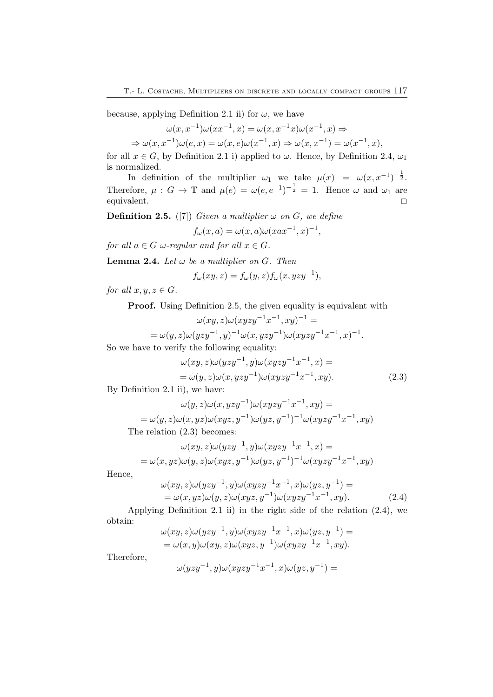because, applying Definition 2.1 ii) for  $\omega$ , we have

 $\omega(x, x^{-1})\omega(xx^{-1}, x) = \omega(x, x^{-1}x)\omega(x^{-1}, x) \Rightarrow$ 

 $\Rightarrow \omega(x, x^{-1})\omega(e, x) = \omega(x, e)\omega(x^{-1}, x) \Rightarrow \omega(x, x^{-1}) = \omega(x^{-1}, x),$ 

for all  $x \in G$ , by Definition 2.1 i) applied to  $\omega$ . Hence, by Definition 2.4,  $\omega_1$ is normalized.

In definition of the multiplier  $\omega_1$  we take  $\mu(x) = \omega(x, x^{-1})^{-\frac{1}{2}}$ . Therefore,  $\mu: G \to \mathbb{T}$  and  $\mu(e) = \omega(e, e^{-1})^{-\frac{1}{2}} = 1$ . Hence  $\omega$  and  $\omega_1$  are equivalent.  $\hfill \square$ 

**Definition 2.5.** ([7]) *Given a multiplier*  $\omega$  *on G*, *we define* 

$$
f_{\omega}(x,a) = \omega(x,a)\omega(xax^{-1},x)^{-1},
$$

*for all*  $a \in G$  *ω*-regular and for all  $x \in G$ .

**Lemma 2.4.** *Let*  $\omega$  *be a multiplier on G. Then* 

$$
f_{\omega}(xy, z) = f_{\omega}(y, z) f_{\omega}(x, yzy^{-1}),
$$

*for all*  $x, y, z \in G$ *.* 

Proof. Using Definition 2.5, the given equality is equivalent with

$$
\omega(xy, z)\omega(xyzy^{-1}x^{-1}, xy)^{-1} =
$$
  
=  $\omega(y, z)\omega(yzy^{-1}, y)^{-1}\omega(x, yzy^{-1})\omega(xyzy^{-1}x^{-1}, x)^{-1}.$ 

So we have to verify the following equality:

$$
\omega(xy, z)\omega(yzy^{-1}, y)\omega(xyzy^{-1}x^{-1}, x) =
$$
  
=  $\omega(y, z)\omega(x, yzy^{-1})\omega(xyzy^{-1}x^{-1}, xy).$  (2.3)

By Definition 2.1 ii), we have:

$$
\omega(y, z)\omega(x, yzy^{-1})\omega(xyzy^{-1}x^{-1}, xy) =
$$
  
=  $\omega(y, z)\omega(x, yz)\omega(xyz, y^{-1})\omega(yz, y^{-1})^{-1}\omega(xyzy^{-1}x^{-1}, xy)$ 

The relation (2.3) becomes:

$$
\begin{aligned} \omega(xy,z)\omega(yzy^{-1},y)\omega(xyzy^{-1}x^{-1},x)= \\ =\omega(x,yz)\omega(y,z)\omega(xyz,y^{-1})\omega(yz,y^{-1})^{-1}\omega(xyzy^{-1}x^{-1},xy) \end{aligned}
$$

Hence,

$$
\omega(xy, z)\omega(yzy^{-1}, y)\omega(xyzy^{-1}x^{-1}, x)\omega(yz, y^{-1}) =
$$
  
=  $\omega(x, yz)\omega(y, z)\omega(xyz, y^{-1})\omega(xyzy^{-1}x^{-1}, xy).$  (2.4)

Applying Definition 2.1 ii) in the right side of the relation (2.4), we obtain:

$$
\omega(xy, z)\omega(yzy^{-1}, y)\omega(xyzy^{-1}x^{-1}, x)\omega(yz, y^{-1}) = \n= \omega(x, y)\omega(xy, z)\omega(xyz, y^{-1})\omega(xyzy^{-1}x^{-1}, xy).
$$

Therefore,

$$
\omega(yzy^{-1},y)\omega(xyzy^{-1}x^{-1},x)\omega(yz,y^{-1}) =
$$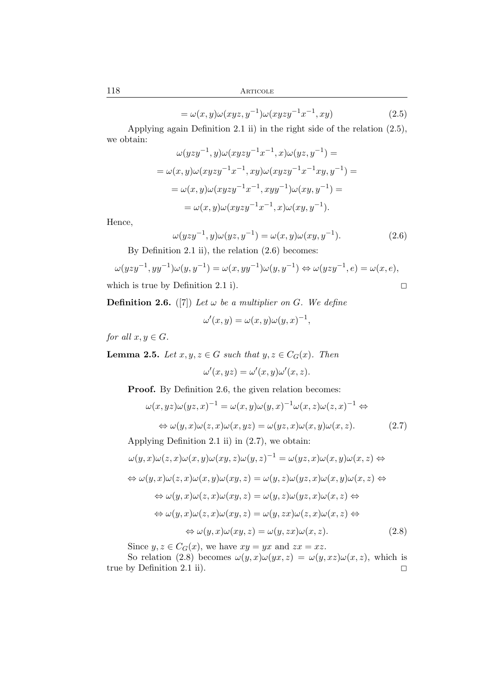118 Articole

$$
= \omega(x, y)\omega(xyz, y^{-1})\omega(xyzy^{-1}x^{-1}, xy)
$$
\n(2.5)

Applying again Definition 2.1 ii) in the right side of the relation (2.5), we obtain:

$$
\omega(yzy^{-1}, y)\omega(xyzy^{-1}x^{-1}, x)\omega(yz, y^{-1}) =
$$
  
= 
$$
\omega(x, y)\omega(xyzy^{-1}x^{-1}, xy)\omega(xyzy^{-1}x^{-1}xy, y^{-1}) =
$$
  
= 
$$
\omega(x, y)\omega(xyzy^{-1}x^{-1}, xyy^{-1})\omega(xy, y^{-1}) =
$$
  
= 
$$
\omega(x, y)\omega(xyzy^{-1}x^{-1}, x)\omega(xy, y^{-1}).
$$

Hence,

$$
\omega(yzy^{-1}, y)\omega(yz, y^{-1}) = \omega(x, y)\omega(xy, y^{-1}).
$$
\n(2.6)

By Definition 2.1 ii), the relation (2.6) becomes:

$$
\omega(yzy^{-1}, yy^{-1})\omega(y,y^{-1}) = \omega(x, yy^{-1})\omega(y,y^{-1}) \Leftrightarrow \omega(yzy^{-1}, e) = \omega(x, e),
$$
  
which is true by Definition 2.1 i).

**Definition 2.6.** ([7]) Let  $\omega$  be a multiplier on G. We define

$$
\omega'(x, y) = \omega(x, y)\omega(y, x)^{-1},
$$

*for all*  $x, y \in G$ *.* 

**Lemma 2.5.** *Let*  $x, y, z \in G$  *such that*  $y, z \in C_G(x)$ *. Then* 

$$
\omega'(x, yz) = \omega'(x, y)\omega'(x, z).
$$

Proof. By Definition 2.6, the given relation becomes:

$$
\omega(x, yz)\omega(yz, x)^{-1} = \omega(x, y)\omega(y, x)^{-1}\omega(x, z)\omega(z, x)^{-1} \Leftrightarrow
$$
  

$$
\Leftrightarrow \omega(y, x)\omega(z, x)\omega(x, yz) = \omega(yz, x)\omega(x, y)\omega(x, z).
$$
 (2.7)

Applying Definition 2.1 ii) in (2.7), we obtain:

$$
\omega(y, x)\omega(z, x)\omega(x, y)\omega(xy, z)\omega(y, z)^{-1} = \omega(yz, x)\omega(x, y)\omega(x, z) \Leftrightarrow
$$
  
\n
$$
\Leftrightarrow \omega(y, x)\omega(z, x)\omega(x, y)\omega(xy, z) = \omega(y, z)\omega(yz, x)\omega(x, y)\omega(x, z) \Leftrightarrow
$$
  
\n
$$
\Leftrightarrow \omega(y, x)\omega(z, x)\omega(xy, z) = \omega(y, z)\omega(yz, x)\omega(x, z) \Leftrightarrow
$$
  
\n
$$
\Leftrightarrow \omega(y, x)\omega(z, x)\omega(xy, z) = \omega(y, zx)\omega(z, x)\omega(x, z) \Leftrightarrow
$$
  
\n
$$
\Leftrightarrow \omega(y, x)\omega(xy, z) = \omega(y, zx)\omega(x, z).
$$
 (2.8)

Since  $y, z \in C_G(x)$ , we have  $xy = yx$  and  $zx = xz$ .

So relation (2.8) becomes  $\omega(y, x)\omega(y, z) = \omega(y, xz)\omega(x, z)$ , which is true by Definition 2.1 ii).  $\square$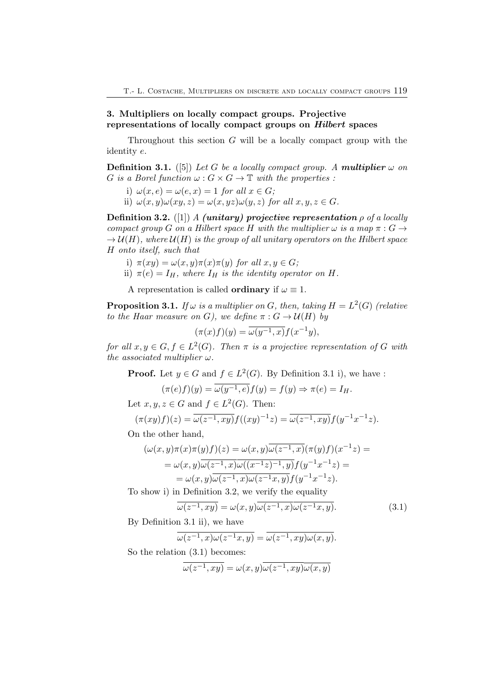## 3. Multipliers on locally compact groups. Projective representations of locally compact groups on Hilbert spaces

Throughout this section  $G$  will be a locally compact group with the identity e.

**Definition 3.1.** ([5]) Let G be a locally compact group. A **multiplier**  $\omega$  on G is a Borel function  $\omega$ :  $G \times G \rightarrow \mathbb{T}$  with the properties:

- i)  $\omega(x, e) = \omega(e, x) = 1$  *for all*  $x \in G$ ;
- ii)  $\omega(x, y)\omega(xy, z) = \omega(x, yz)\omega(y, z)$  *for all*  $x, y, z \in G$ *.*

Definition 3.2. ([1]) *A* (unitary) projective representation ρ *of a locally compact group* G *on a Hilbert space* H *with the multiplier*  $\omega$  *is a map*  $\pi$  :  $G \rightarrow$  $\rightarrow \mathcal{U}(H)$ *, where*  $\mathcal{U}(H)$  *is the group of all unitary operators on the Hilbert space* H *onto itself, such that*

- i)  $\pi(xy) = \omega(x, y)\pi(x)\pi(y)$  *for all*  $x, y \in G$ *;*
- ii)  $\pi(e) = I_H$ , where  $I_H$  *is the identity operator on* H.
- A representation is called **ordinary** if  $\omega \equiv 1$ .

**Proposition 3.1.** If  $\omega$  is a multiplier on G, then, taking  $H = L^2(G)$  (relative *to the Haar measure on* G*), we define*  $\pi : G \to \mathcal{U}(H)$  *by* 

$$
(\pi(x)f)(y) = \overline{\omega(y^{-1},x)}f(x^{-1}y),
$$

for all  $x, y \in G, f \in L^2(G)$ . Then  $\pi$  *is a projective representation of* G with *the associated multiplier* ω*.*

**Proof.** Let  $y \in G$  and  $f \in L^2(G)$ . By Definition 3.1 i), we have :

$$
(\pi(e)f)(y) = \omega(y^{-1}, e)f(y) = f(y) \Rightarrow \pi(e) = I_H.
$$

Let  $x, y, z \in G$  and  $f \in L^2(G)$ . Then:

$$
(\pi(xy)f)(z) = \overline{\omega(z^{-1}, xy)} f((xy)^{-1}z) = \overline{\omega(z^{-1}, xy)} f(y^{-1}x^{-1}z).
$$

On the other hand,

$$
(\omega(x, y)\pi(x)\pi(y)f)(z) = \omega(x, y)\overline{\omega(z^{-1}, x)}(\pi(y)f)(x^{-1}z) =
$$
  
=  $\omega(x, y)\overline{\omega(z^{-1}, x)}\omega((x^{-1}z)^{-1}, y)f(y^{-1}x^{-1}z) =$   
=  $\omega(x, y)\overline{\omega(z^{-1}, x)}\omega(z^{-1}x, y)f(y^{-1}x^{-1}z).$ 

To show i) in Definition 3.2, we verify the equality

$$
\overline{\omega(z^{-1}, xy)} = \omega(x, y)\overline{\omega(z^{-1}, x)\omega(z^{-1}x, y)}.
$$
\n(3.1)

By Definition 3.1 ii), we have

$$
\overline{\omega(z^{-1},x)\omega(z^{-1}x,y)} = \overline{\omega(z^{-1},xy)\omega(x,y)}.
$$

So the relation  $(3.1)$  becomes:

$$
\overline{\omega(z^{-1}, xy)} = \omega(x, y)\overline{\omega(z^{-1}, xy)\omega(x, y)}
$$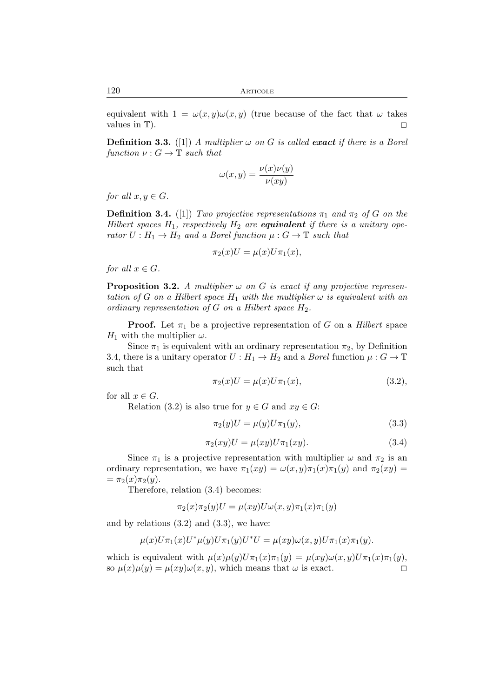120 ARTICOLE

equivalent with  $1 = \omega(x, y) \overline{\omega(x, y)}$  (true because of the fact that  $\omega$  takes values in T).  $\Box$ 

**Definition 3.3.** ([1]) *A multiplier*  $\omega$  *on G is called* **exact** *if there is a Borel function*  $\nu: G \to \mathbb{T}$  *such that* 

$$
\omega(x,y) = \frac{\nu(x)\nu(y)}{\nu(xy)}
$$

*for all*  $x, y \in G$ *.* 

**Definition 3.4.** ([1]) *Two projective representations*  $\pi_1$  *and*  $\pi_2$  *of* G *on the Hilbert spaces*  $H_1$ *, respectively*  $H_2$  *are equivalent if there is a unitary operator*  $U: H_1 \to H_2$  *and a Borel function*  $\mu: G \to \mathbb{T}$  *such that* 

$$
\pi_2(x)U = \mu(x)U\pi_1(x),
$$

*for all*  $x \in G$ *.* 

**Proposition 3.2.** A multiplier  $\omega$  on G is exact if any projective represen*tation of* G *on a Hilbert space*  $H_1$  *with the multiplier*  $\omega$  *is equivalent with an ordinary representation of* G *on a Hilbert space* H2*.*

**Proof.** Let  $\pi_1$  be a projective representation of G on a *Hilbert* space  $H_1$  with the multiplier  $\omega$ .

Since  $\pi_1$  is equivalent with an ordinary representation  $\pi_2$ , by Definition 3.4, there is a unitary operator  $U : H_1 \to H_2$  and a *Borel* function  $\mu : G \to \mathbb{T}$ such that

$$
\pi_2(x)U = \mu(x)U\pi_1(x), \tag{3.2}
$$

for all  $x \in G$ .

Relation (3.2) is also true for  $y \in G$  and  $xy \in G$ :

$$
\pi_2(y)U = \mu(y)U\pi_1(y),\tag{3.3}
$$

$$
\pi_2(xy)U = \mu(xy)U\pi_1(xy). \tag{3.4}
$$

Since  $\pi_1$  is a projective representation with multiplier  $\omega$  and  $\pi_2$  is an ordinary representation, we have  $\pi_1(xy) = \omega(x, y)\pi_1(x)\pi_1(y)$  and  $\pi_2(xy) =$  $=\pi_2(x)\pi_2(y).$ 

Therefore, relation (3.4) becomes:

$$
\pi_2(x)\pi_2(y)U = \mu(xy)U\omega(x,y)\pi_1(x)\pi_1(y)
$$

and by relations  $(3.2)$  and  $(3.3)$ , we have:

$$
\mu(x)U\pi_1(x)U^*\mu(y)U\pi_1(y)U^*U=\mu(xy)\omega(x,y)U\pi_1(x)\pi_1(y).
$$

which is equivalent with  $\mu(x)\mu(y)U\pi_1(x)\pi_1(y) = \mu(xy)\omega(x,y)U\pi_1(x)\pi_1(y),$ so  $\mu(x)\mu(y) = \mu(xy)\omega(x, y)$ , which means that  $\omega$  is exact.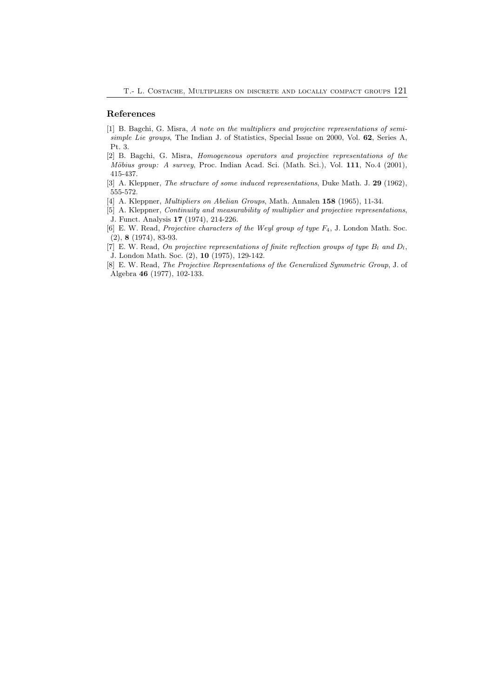#### References

- [1] B. Bagchi, G. Misra, *A note on the multipliers and projective representations of semisimple Lie groups*, The Indian J. of Statistics, Special Issue on 2000, Vol. 62, Series A, Pt. 3.
- [2] B. Bagchi, G. Misra, *Homogeneous operators and projective representations of the Möbius group: A survey*, Proc. Indian Acad. Sci. (Math. Sci.), Vol. 111, No.4 (2001), 415-437.
- [3] A. Kleppner, *The structure of some induced representations*, Duke Math. J. 29 (1962), 555-572.
- [4] A. Kleppner, *Multipliers on Abelian Groups*, Math. Annalen 158 (1965), 11-34.
- [5] A. Kleppner, *Continuity and measurability of multiplier and projective representations*, J. Funct. Analysis 17 (1974), 214-226.
- [6] E. W. Read, *Projective characters of the Weyl group of type*  $F_4$ , J. London Math. Soc. (2), 8 (1974), 83-93.
- [7] E. W. Read, *On projective representations of finite reflection groups of type*  $B_l$  *and*  $D_l$ *,* J. London Math. Soc. (2), 10 (1975), 129-142.
- [8] E. W. Read, *The Projective Representations of the Generalized Symmetric Group*, J. of Algebra 46 (1977), 102-133.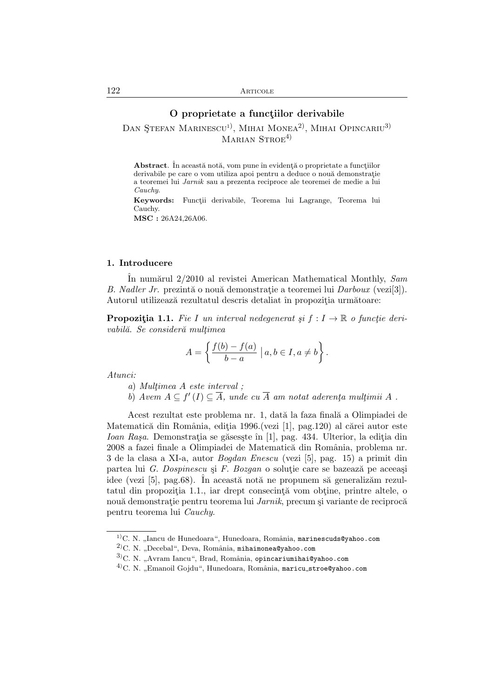## O proprietate a functiilor derivabile

DAN ŞTEFAN MARINESCU<sup>1</sup>), MIHAI MONEA<sup>2)</sup>, MIHAI OPINCARIU<sup>3)</sup> MARIAN STROE<sup>4)</sup>

Abstract. În această notă, vom pune în evidentă o proprietate a functiilor derivabile pe care o vom utiliza apoi pentru a deduce o nouă demonstrație a teoremei lui *Jarnik* sau a prezenta reciproce ale teoremei de medie a lui *Cauchy*.

Keywords: Funcții derivabile, Teorema lui Lagrange, Teorema lui Cauchy.

MSC : 26A24,26A06.

## 1. Introducere

ˆIn num˘arul 2/2010 al revistei American Mathematical Monthly, *Sam B. Nadler Jr.* prezintă o nouă demonstrație a teoremei lui *Darboux* (vezi[3]). Autorul utilizează rezultatul descris detaliat în propoziția următoare:

**Propozitia 1.1.** *Fie I un interval nedegenerat si*  $f: I \to \mathbb{R}$  *o functie deri* $vabilă. Se consideră multimea$ 

$$
A = \left\{ \frac{f(b) - f(a)}{b - a} \mid a, b \in I, a \neq b \right\}.
$$

*Atunci:*

- *a*) *Mult¸imea* A *este interval ;*
- *b*) *Avem*  $A \subseteq f'(I) \subseteq \overline{A}$ *, unde cu*  $\overline{A}$  *am notat aderența mulțimii*  $A$ .

Acest rezultat este problema nr. 1, dată la faza finală a Olimpiadei de Matematică din România, ediția 1996.(vezi [1], pag.120) al cărei autor este Ioan Rașa. Demonstrația se găsesște în [1], pag. 434. Ulterior, la ediția din 2008 a fazei finale a Olimpiadei de Matematică din România, problema nr. 3 de la clasa a XI-a, autor *Bogdan Enescu* (vezi [5], pag. 15) a primit din partea lui *G. Dospinescu* și *F. Bozgan* o soluție care se bazează pe aceeași idee (vezi [5], pag.68). În această notă ne propunem să generalizăm rezultatul din propoziția 1.1., iar drept consecință vom obține, printre altele, o nouă demonstrație pentru teorema lui *Jarnik*, precum și variante de reciprocă pentru teorema lui *Cauchy*.

 $1)$ C. N. "Iancu de Hunedoara", Hunedoara, România, marinescuds@yahoo.com

 $^{2)}$ C. N. "Decebal", Deva, România, mihaimonea@yahoo.com

 $3$ C. N. "Avram Iancu", Brad, România, opincariumihai@yahoo.com

 $4$ C. N. "Emanoil Gojdu", Hunedoara, România, maricu\_stroe@yahoo.com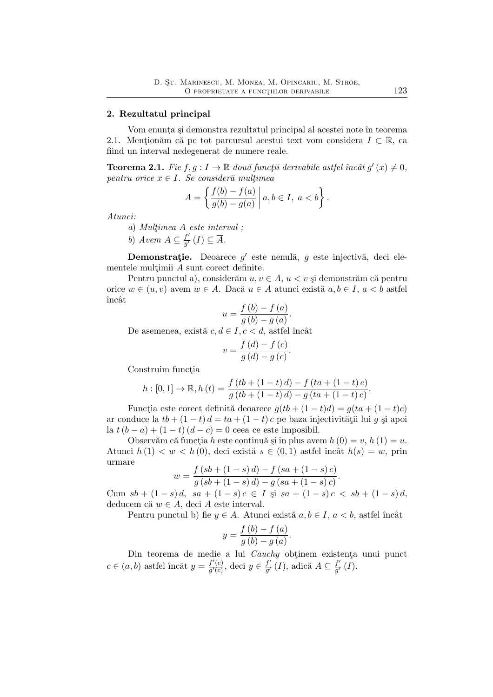## 2. Rezultatul principal

Vom enunța și demonstra rezultatul principal al acestei note în teorema 2.1. Mentionăm că pe tot parcursul acestui text vom considera  $I \subset \mathbb{R}$ , ca fiind un interval nedegenerat de numere reale.

**Teorema 2.1.** Fie  $f, g: I \to \mathbb{R}$  două funcții derivabile astfel încât  $g'(x) \neq 0$ ,  $pentru$  *orice*  $x \in I$ *. Se consideră multimea* 

$$
A = \left\{ \frac{f(b) - f(a)}{g(b) - g(a)} \, \middle| \, a, b \in I, \ a < b \right\}.
$$

*Atunci:*

*a*) *Mult¸imea* A *este interval ;*

*b*) *Avem*  $A \subseteq \frac{f'}{g'}$  $\frac{f}{g'}(I) \subseteq A$ .

Demonstrație. Deoarece  $g'$  este nenulă,  $g$  este injectivă, deci elementele multimii  $A$  sunt corect definite.

Pentru punctul a), considerăm  $u, v \in A$ ,  $u < v$  și demonstrăm că pentru orice  $w \in (u, v)$  avem  $w \in A$ . Dacă  $u \in A$  atunci există  $a, b \in I$ ,  $a < b$  astfel încât

$$
u = \frac{f(b) - f(a)}{g(b) - g(a)}.
$$

De asemenea, există  $c, d \in I, c < d$ , astfel încât

$$
v = \frac{f\left(d\right) - f\left(c\right)}{g\left(d\right) - g\left(c\right)}.
$$

Construim funcția

$$
h: [0,1] \to \mathbb{R}, h(t) = \frac{f(tb + (1-t) d) - f(ta + (1-t) c)}{g(tb + (1-t) d) - g(ta + (1-t) c)}.
$$

Functia este corect definită deoarece  $q(tb + (1-t)d) = q(ta + (1-t)c)$ ar conduce la  $tb + (1-t) d = ta + (1-t)c$  pe baza injectivității lui g și apoi la  $t(b - a) + (1 - t)(d - c) = 0$  ceea ce este imposibil.

Observăm că funcția h este continuă și în plus avem  $h(0) = v, h(1) = u$ . Atunci  $h(1) < w < h(0)$ , deci există  $s \in (0,1)$  astfel încât  $h(s) = w$ , prin urmare

$$
w = \frac{f(sb + (1 - s) d) - f(sa + (1 - s)c)}{g(sb + (1 - s) d) - g(sa + (1 - s)c)}.
$$

Cum  $sb + (1-s)d$ ,  $sa + (1-s)c \in I$   $si$   $sa + (1-s)c < sb + (1-s)d$ , deducem că  $w \in A$ , deci A este interval.

Pentru punctul b) fie  $y \in A$ . Atunci există  $a, b \in I$ ,  $a < b$ , astfel încât

$$
y = \frac{f(b) - f(a)}{g(b) - g(a)}.
$$

Din teorema de medie a lui *Cauchy* obtinem existenta unui punct  $c \in (a, b)$  astfel încât  $y = \frac{f'(c)}{g'(c)}$  $\frac{f'(c)}{g'(c)}$ , deci $y \in \frac{f'}{g'}$  $\frac{f'}{g'}(I)$ , adică  $A \subseteq \frac{f'}{g'}$  $\frac{J}{g'}(I).$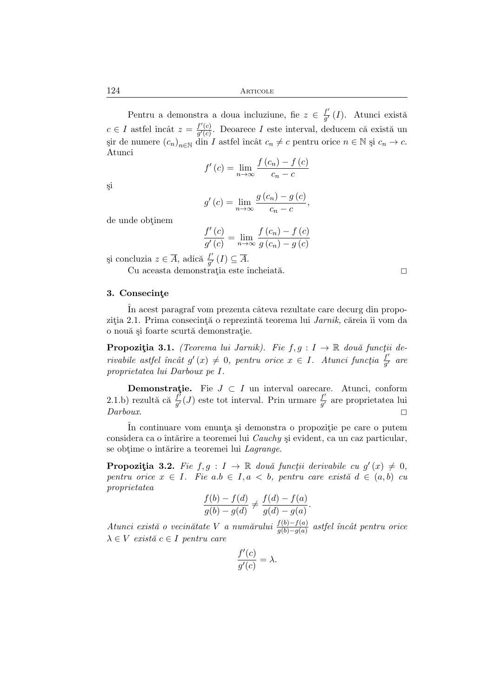Pentru a demonstra a doua incluziune, fie  $z \in \frac{f'}{g'}$  $\frac{J}{g'}(I)$ . Atunci există  $c \in I$  astfel încât  $z = \frac{f'(c)}{g'(c)}$  $\frac{f'(c)}{g'(c)}$ . Deoarece I este interval, deducem că există un şir de numere  $(c_n)_{n \in \mathbb{N}}$  din *I* astfel încât  $c_n \neq c$  pentru orice  $n \in \mathbb{N}$  și  $c_n \to c$ . Atunci

$$
f'(c) = \lim_{n \to \infty} \frac{f(c_n) - f(c)}{c_n - c}
$$

¸si

$$
g'(c) = \lim_{n \to \infty} \frac{g(c_n) - g(c)}{c_n - c},
$$

de unde obtinem

$$
\frac{f'(c)}{g'(c)} = \lim_{n \to \infty} \frac{f(c_n) - f(c)}{g(c_n) - g(c)}
$$

şi concluzia $z \in \overline{A}$ , adică $\frac{f'}{g'}$  $\frac{f}{g'}(I) \subseteq A.$ 

Cu aceasta demonstrația este încheiată.  $\Box$ 

## 3. Consecinte

In acest paragraf vom prezenta câteva rezultate care decurg din propozitia 2.1. Prima consecintă o reprezintă teorema lui *Jarnik*, căreia îi vom da o nouă și foarte scurtă demonstratie.

**Propoziția 3.1.** *(Teorema lui Jarnik). Fie*  $f, g: I \to \mathbb{R}$  două funcții de $rivable \; a stfel \; inc\^{at} g'(x) \neq 0, \; pentru \; orice \; x \in I. \; Atunci \; funcția \; \frac{f'}{g'}$ g ′ *are proprietatea lui Darboux pe* I*.*

**Demonstrație.** Fie  $J \subset I$  un interval oarecare. Atunci, conform 2.1.b) rezultă că  $\frac{\vec{f}^{\prime}}{g^{\prime}}$  $\frac{f'}{g'}(J)$  este tot interval. Prin urmare  $\frac{f'}{g'}$  $\frac{J}{g'}$  are proprietatea lui  $Darboux.$ 

In continuare vom enunta și demonstra o propoziție pe care o putem considera ca o întărire a teoremei lui *Cauchy* și evident, ca un caz particular, se obtime o întărire a teoremei lui *Lagrange*.

**Propozitia 3.2.** Fie  $f, g: I \to \mathbb{R}$  două funcții derivabile cu  $g'(x) \neq 0$ , *pentru orice*  $x \in I$ *. Fie*  $a.b \in I, a < b$ *, pentru care există*  $d \in (a, b)$  *cu proprietatea*

$$
\frac{f(b) - f(d)}{g(b) - g(d)} \neq \frac{f(d) - f(a)}{g(d) - g(a)}.
$$

*Atunci există o vecinătate V a numărului*  $\frac{f(b)-f(a)}{g(b)-g(a)}$  *astfel încât pentru orice*  $\lambda \in V$  *există*  $c \in I$  *pentru care* 

$$
\frac{f'(c)}{g'(c)} = \lambda.
$$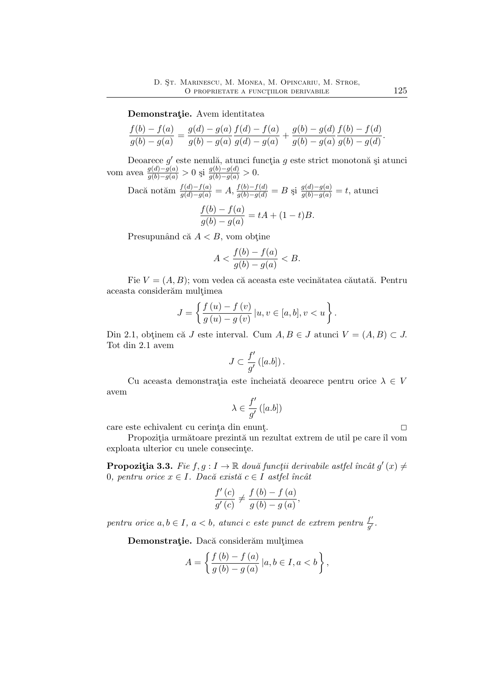Demonstratie. Avem identitatea

$$
\frac{f(b) - f(a)}{g(b) - g(a)} = \frac{g(d) - g(a)}{g(b) - g(a)} \frac{f(d) - f(a)}{g(d) - g(a)} + \frac{g(b) - g(d)}{g(b) - g(a)} \frac{f(b) - f(d)}{g(b) - g(d)}.
$$

Deoarece  $g'$  este nenulă, atunci funcția  $g$  este strict monotonă și atunci vom avea  $\frac{g(d)-g(a)}{g(b)-g(a)} > 0$  și  $\frac{g(b)-g(d)}{g(b)-g(a)} > 0$ .

Dacă notăm 
$$
\frac{f(d)-f(a)}{g(d)-g(a)} = A
$$
,  $\frac{f(b)-f(d)}{g(b)-g(d)} = B$  și  $\frac{g(d)-g(a)}{g(b)-g(a)} = t$ , atunci  

$$
\frac{f(b)-f(a)}{g(b)-g(a)} = tA + (1-t)B.
$$

Presupunând că  $A < B$ , vom obține

$$
A < \frac{f(b) - f(a)}{g(b) - g(a)} < B.
$$

Fie  $V = (A, B)$ ; vom vedea că aceasta este vecinătatea căutată. Pentru aceasta considerăm mulțimea

$$
J = \left\{ \frac{f(u) - f(v)}{g(u) - g(v)} | u, v \in [a, b], v < u \right\}.
$$

Din 2.1, obtinem că J este interval. Cum  $A, B \in J$  atunci  $V = (A, B) \subset J$ . Tot din 2.1 avem

$$
J\subset \frac{f'}{g'}\left(\left[a.b\right]\right).
$$

Cu aceasta demonstrația este încheiată deoarece pentru orice  $\lambda \in V$ avem

$$
\lambda\in\frac{f'}{g'}\left([a.b]\right)
$$

care este echivalent cu cerința din enunț.  $\square$ 

Propoziția următoare prezintă un rezultat extrem de util pe care îl vom exploata ulterior cu unele consecinte.

**Propozitia 3.3.** *Fie*  $f, g: I \to \mathbb{R}$  *două funcții derivabile astfel încât*  $g'(x) \neq$ 0*, pentru orice*  $x \in I$ *. Dacă există*  $c \in I$  *astfel încât* 

$$
\frac{f'(c)}{g'(c)} \neq \frac{f(b) - f(a)}{g(b) - g(a)},
$$

*pentru orice*  $a, b \in I$ ,  $a < b$ , *atuncic c este punct de extrem pentru*  $\frac{f'}{g'}$  $\frac{J'}{g'}$  .

Demonstratie. Dacă considerăm multimea

$$
A = \left\{ \frac{f(b) - f(a)}{g(b) - g(a)} | a, b \in I, a < b \right\},\,
$$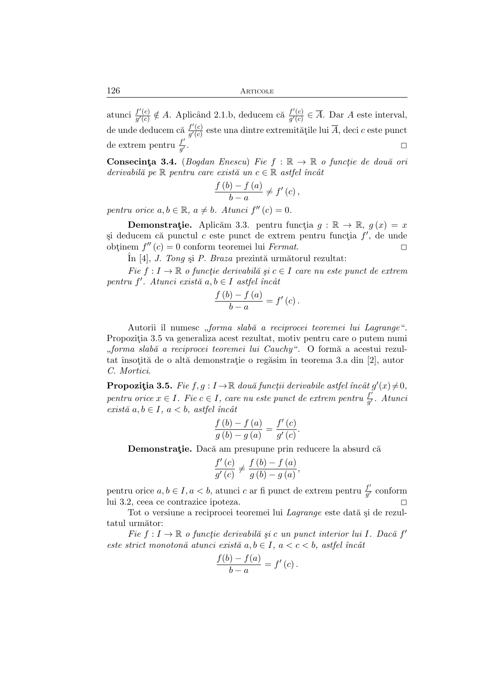atunci  $\frac{f'(c)}{g'(c)}$  $\frac{f'(c)}{g'(c)} \notin A$ . Aplicând 2.1.b, deducem că  $\frac{f'(c)}{g'(c)}$  $\frac{f(c)}{g'(c)} \in A$ . Dar A este interval, de unde deducem că  $\frac{f'(c)}{a'(c)}$  $\frac{f(c)}{g'(c)}$  este una dintre extremitățile lui A, deci c este punct de extrem pentru  $\frac{f'}{q'}$ g  $\frac{7}{7}$ .

**Consecinta 3.4.** (*Bogdan Enescu*) *Fie*  $f : \mathbb{R} \to \mathbb{R}$  *o functie de două ori*  $derivabil\breve{a}$  pe  $\mathbb R$  pentru care există un  $c \in \mathbb R$  astfel încât

$$
\frac{f(b)-f(a)}{b-a}\neq f'(c),
$$

*pentru orice*  $a, b \in \mathbb{R}$ ,  $a \neq b$ *. Atunci*  $f''(c) = 0$ *.* 

**Demonstratie.** Aplicăm 3.3. pentru funcția  $g : \mathbb{R} \to \mathbb{R}$ ,  $g(x) = x$ și deducem că punctul c este punct de extrem pentru funcția  $f'$ , de unde obtinem  $f''(c) = 0$  conform teoremei lui *Fermat*.

 $\hat{\text{In}}$  [4], *J. Tong* și *P. Braza* prezintă următorul rezultat:

 $Fie f: I \to \mathbb{R}$  *o functie derivabilă și*  $c \in I$  *care nu este punct de extrem pentru f'. Atunci există a,b* ∈ *I astfel încât* 

$$
\frac{f(b)-f(a)}{b-a}=f'(c).
$$

Autorii îl numesc "*forma slabă a reciprocei teoremei lui Lagrange"*. Propoziția 3.5 va generaliza acest rezultat, motiv pentru care o putem numi "*forma slabă a reciprocei teoremei lui Cauchy"*. O formă a acestui rezultat însoțită de o altă demonstrație o regăsim în teorema 3.a din [2], autor *C. Mortici*.

**Propoziția 3.5.** *Fie*  $f, g: I \to \mathbb{R}$  două funcții derivabile astfel încât  $g'(x) \neq 0$ ,  ${\it part {\it wave}}$  *pentru orice*  $x \in I$ *. Fie*  $c \in I$ *, care nu este punct de extrem pentru*  $\frac{f^j}{g^{\prime}}$ g ′ *. Atunci*  $exist\check{a} a, b \in I, a < b, astfel \text{ } \hat{u}ac\hat{a}t$ 

$$
\frac{f\left(b\right)-f\left(a\right)}{g\left(b\right)-g\left(a\right)}=\frac{f'\left(c\right)}{g'\left(c\right)}.
$$

Demonstratie. Dacă am presupune prin reducere la absurd că

$$
\frac{f'(c)}{g'(c)} \neq \frac{f(b) - f(a)}{g(b) - g(a)},
$$

pentru orice $a,b\in I, a< b,$ atunci $c$ ar fi punct de extrem pentru $\frac{f'}{g'}$  $\frac{f}{g'}$  conform lui 3.2, ceea ce contrazice ipoteza. 2

Tot o versiune a reciprocei teoremei lui *Lagrange* este dată și de rezultatul următor:

 $Fie \ f: I \to \mathbb{R}$  *o funcție derivabilă și c un punct interior lui I. Dacă*  $f'$ *este strict monotonă atunci există*  $a, b \in I$ ,  $a < c < b$ , astfel încât

$$
\frac{f(b) - f(a)}{b - a} = f'(c).
$$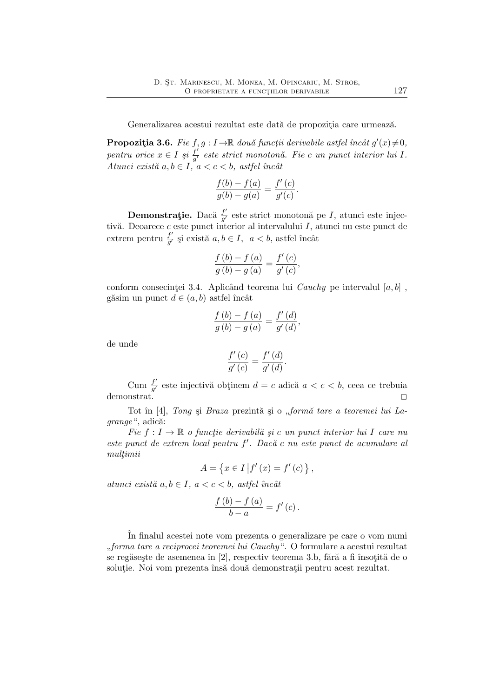Generalizarea acestui rezultat este dată de propoziția care urmează.

**Propoziția 3.6.** *Fie*  $f, g: I \to \mathbb{R}$  două funcții derivabile astfel încât  $g'(x) \neq 0$ , *pentru orice*  $x \in I$  *și*  $\frac{f'}{g'}$ g ′ *este strict monoton˘a. Fie* c *un punct interior lui* I*. Atunci există*  $a, b \in I$ ,  $a < c < b$ , astfel încât

$$
\frac{f(b) - f(a)}{g(b) - g(a)} = \frac{f'(c)}{g'(c)}.
$$

Demonstrație. Dacă  $\frac{f'}{a'}$  $\frac{J'}{g'}$  este strict monotonă pe *I*, atunci este injectivă. Deoarece  $c$  este punct interior al intervalului  $I$ , atunci nu este punct de extrem pentru $\frac{f'}{g'}$ și există  $a, b \in I$ ,  $a < b$ , astfel încât

$$
\frac{f\left(b\right)-f\left(a\right)}{g\left(b\right)-g\left(a\right)}=\frac{f'\left(c\right)}{g'\left(c\right)},
$$

conform consecintei 3.4. Aplicând teorema lui *Cauchy* pe intervalul  $[a, b]$ , găsim un punct  $d \in (a, b)$  astfel încât

$$
\frac{f(b) - f(a)}{g(b) - g(a)} = \frac{f'(d)}{g'(d)},
$$

de unde

$$
\frac{f'(c)}{g'(c)} = \frac{f'(d)}{g'(d)}.
$$

Cum  $\frac{f'}{q'}$  $\frac{f}{g'}$  este injectivă obținem  $d = c$  adică  $a < c < b$ , ceea ce trebuia demonstrat.  $\Box$ 

Tot în [4], *Tong* și *Braza* prezintă și o "formă tare a teoremei lui La*grange*", adică:

 $Fie f: I \to \mathbb{R}$  *o functie derivabil* $\tilde{a}$  *si c un punct interior lui I care nu este punct de extrem local pentru* f ′ *. Dac˘a* c *nu este punct de acumulare al*  $multimi$ 

$$
A = \{ x \in I | f'(x) = f'(c) \},
$$

 $atunci\ exist\ a,b\in I,\ a < c < b,\ astfel\ inc\`at$ 

$$
\frac{f(b)-f(a)}{b-a}=f'(c).
$$

ˆIn finalul acestei note vom prezenta o generalizare pe care o vom numi ,,*forma tare a reciprocei teoremei lui Cauchy*". O formulare a acestui rezultat se regăsește de asemenea în [2], respectiv teorema 3.b, fără a fi însotită de o soluție. Noi vom prezenta însă două demonstrații pentru acest rezultat.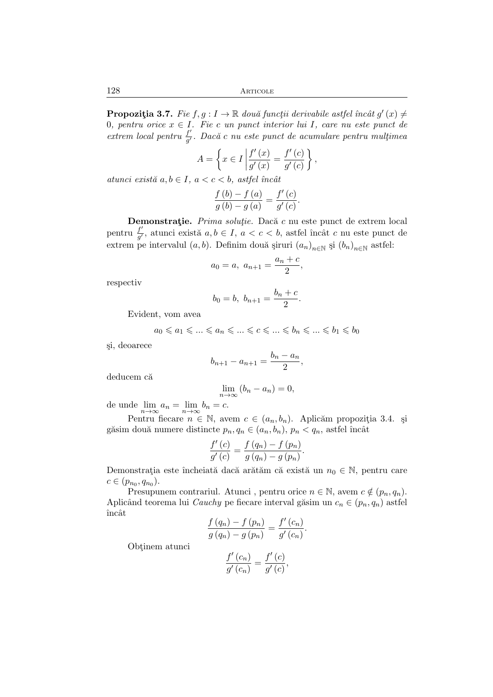128 Articole

**Propozitia 3.7.** *Fie*  $f, g: I \to \mathbb{R}$  *două funcții derivabile astfel încât*  $g'(x) \neq$ 0*, pentru orice* x ∈ I*. Fie* c *un punct interior lui* I*, care nu este punct de*  $extrem$  *local pentru*  $\frac{f'}{g'}$  $\frac{J'}{g'}$ *. Dacă c nu este punct de acumulare pentru mulțimea* 

$$
A = \left\{ x \in I \left| \frac{f'(x)}{g'(x)} \right| = \frac{f'(c)}{g'(c)} \right\},\,
$$

 $atunci\;exist\check{a}\;a,b\in I,\;a$ 

$$
\frac{f\left(b\right)-f\left(a\right)}{g\left(b\right)-g\left(a\right)}=\frac{f'\left(c\right)}{g'\left(c\right)}
$$

.

Demonstrație. *Prima soluție*. Dacă c nu este punct de extrem local pentru  $\frac{f'}{g'}$ , atunci există  $a, b \in I$ ,  $a < c < b$ , astfel încât c nu este punct de extrem pe intervalul  $(a, b)$ . Definim două șiruri  $(a_n)_{n \in \mathbb{N}}$  și  $(b_n)_{n \in \mathbb{N}}$  astfel:

$$
a_0 = a, \ a_{n+1} = \frac{a_n + c}{2},
$$

respectiv

$$
b_0 = b, \ b_{n+1} = \frac{b_n + c}{2}.
$$

Evident, vom avea

$$
a_0 \leqslant a_1 \leqslant \ldots \leqslant a_n \leqslant \ldots \leqslant c \leqslant \ldots \leqslant b_n \leqslant \ldots \leqslant b_1 \leqslant b_0
$$

¸si, deoarece

$$
b_{n+1} - a_{n+1} = \frac{b_n - a_n}{2},
$$

deducem că

$$
\lim_{n \to \infty} (b_n - a_n) = 0,
$$

de unde  $\lim_{n \to \infty} a_n = \lim_{n \to \infty} b_n = c.$ 

Pentru fiecare  $n \in \mathbb{N}$ , avem  $c \in (a_n, b_n)$ . Aplicăm propoziția 3.4. și găsim două numere distincte  $p_n, q_n \in (a_n, b_n), p_n < q_n$ , astfel încât

$$
\frac{f'(c)}{g'(c)} = \frac{f(q_n) - f(p_n)}{g(q_n) - g(p_n)}.
$$

Demonstrația este încheiată dacă arătăm că există un $n_0 \in \mathbb{N}$ , pentru care  $c \in (p_{n_0}, q_{n_0}).$ 

Presupunem contrariul. Atunci , pentru orice  $n \in \mathbb{N}$ , avem  $c \notin (p_n, q_n)$ . Aplicând teorema lui *Cauchy* pe fiecare interval găsim un  $c_n \in (p_n, q_n)$  astfel încât

$$
\frac{f(q_n) - f(p_n)}{g(q_n) - g(p_n)} = \frac{f'(c_n)}{g'(c_n)}.
$$

Obtinem atunci

$$
\frac{f'(c_n)}{g'(c_n)} = \frac{f'(c)}{g'(c)},
$$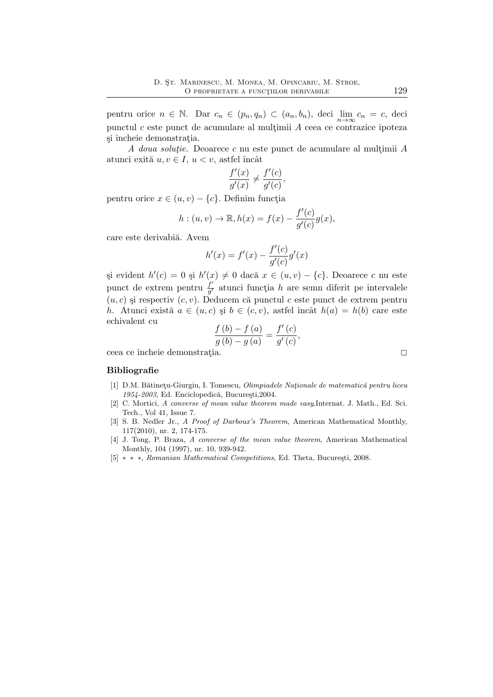pentru orice  $n \in \mathbb{N}$ . Dar  $c_n \in (p_n, q_n) \subset (a_n, b_n)$ , deci  $\lim_{n \to \infty} c_n = c$ , deci punctul  $c$  este punct de acumulare al multimii  $A$  ceea ce contrazice ipoteza si încheie demonstrația.

*A doua soluție.* Deoarece c nu este punct de acumulare al mulțimii A atunci exită  $u, v \in I$ ,  $u < v$ , astfel încât

$$
\frac{f'(x)}{g'(x)} \neq \frac{f'(c)}{g'(c)},
$$

pentru orice  $x \in (u, v) - \{c\}$ . Definim funcția

$$
h: (u, v) \to \mathbb{R}, h(x) = f(x) - \frac{f'(c)}{g'(c)}g(x),
$$

care este derivabiă. Avem

$$
h'(x) = f'(x) - \frac{f'(c)}{g'(c)}g'(x)
$$

și evident  $h'(c) = 0$  și  $h'(x) ≠ 0$  dacă  $x ∈ (u, v) - \{c\}$ . Deoarece c nu este punct de extrem pentru  $\frac{\hat{f}'}{g'}$  $\frac{J}{g'}$  atunci funcția h are semn diferit pe intervalele  $(u, c)$  și respectiv  $(c, v)$ . Deducem că punctul c este punct de extrem pentru h. Atunci există  $a \in (u, c)$  și  $b \in (c, v)$ , astfel încât  $h(a) = h(b)$  care este echivalent cu

$$
\frac{f\left(b\right) - f\left(a\right)}{g\left(b\right) - g\left(a\right)} = \frac{f'\left(c\right)}{g'\left(c\right)}
$$

,

ceea ce încheie demonstrația. $\hfill \square$ 

#### Bibliografie

- [1] D.M. Bătinețu-Giurgiu, I. Tomescu, *Olimpiadele Nationale de matematică pentru liceu* 1954-2003, Ed. Enciclopedică, București, 2004.
- [2] C. Mortici, *A converse of mean value theorem made easy*,Internat. J. Math., Ed. Sci. Tech., Vol 41, Issue 7.
- [3] S. B. Nedler Jr., *A Proof of Darboux's Theorem*, American Mathematical Monthly, 117(2010), nr. 2, 174-175.
- [4] J. Tong, P. Braza, *A converse of the mean value theorem*, American Mathematical Monthly, 104 (1997), nr. 10, 939-942.
- [5] \* \* \*, *Romanian Mathematical Competitions*, Ed. Theta, București, 2008.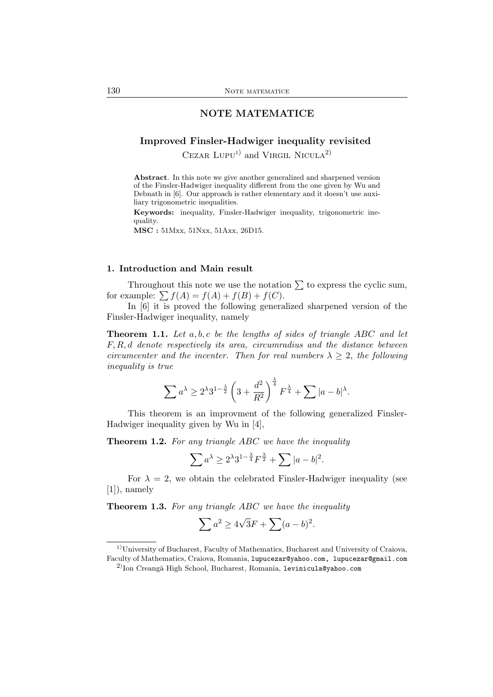## NOTE MATEMATICE

## Improved Finsler-Hadwiger inequality revisited

CEZAR  $LUPU<sup>1</sup>$  and VIRGIL NICULA<sup>2)</sup>

Abstract. In this note we give another generalized and sharpened version of the Finsler-Hadwiger inequality different from the one given by Wu and Debnath in [6]. Our approach is rather elementary and it doesn't use auxiliary trigonometric inequalities.

Keywords: inequality, Finsler-Hadwiger inequality, trigonometric inequality.

MSC : 51Mxx, 51Nxx, 51Axx, 26D15.

## 1. Introduction and Main result

Throughout this note we use the notation  $\Sigma$  to express the cyclic sum, for example:  $\sum f(A) = f(A) + f(B) + f(C)$ .

In [6] it is proved the following generalized sharpened version of the Finsler-Hadwiger inequality, namely

Theorem 1.1. *Let* a, b, c *be the lengths of sides of triangle* ABC *and let* F, R, d *denote respectively its area, circumradius and the distance between circumcenter and the incenter. Then for real numbers*  $\lambda \geq 2$ *, the following inequality is true*

$$
\sum a^{\lambda} \ge 2^{\lambda} 3^{1-\frac{\lambda}{2}} \left(3 + \frac{d^2}{R^2}\right)^{\frac{\lambda}{4}} F^{\frac{\lambda}{4}} + \sum |a - b|^{\lambda}.
$$

This theorem is an improvment of the following generalized Finsler-Hadwiger inequality given by Wu in [4],

Theorem 1.2. *For any triangle* ABC *we have the inequality*

$$
\sum a^{\lambda} \ge 2^{\lambda} 3^{1 - \frac{\lambda}{4}} F^{\frac{\lambda}{2}} + \sum |a - b|^2.
$$

For  $\lambda = 2$ , we obtain the celebrated Finsler-Hadwiger inequality (see [1]), namely

Theorem 1.3. *For any triangle* ABC *we have the inequality*

$$
\sum a^2 \ge 4\sqrt{3}F + \sum (a-b)^2.
$$

<sup>&</sup>lt;sup>1)</sup>University of Bucharest, Faculty of Mathematics, Bucharest and University of Craiova, Faculty of Mathematics, Craiova, Romania, lupucezar@yahoo.com, lupucezar@gmail.com

 $^{2)}$ Ion Creangă High School, Bucharest, Romania, 1evinicula@yahoo.com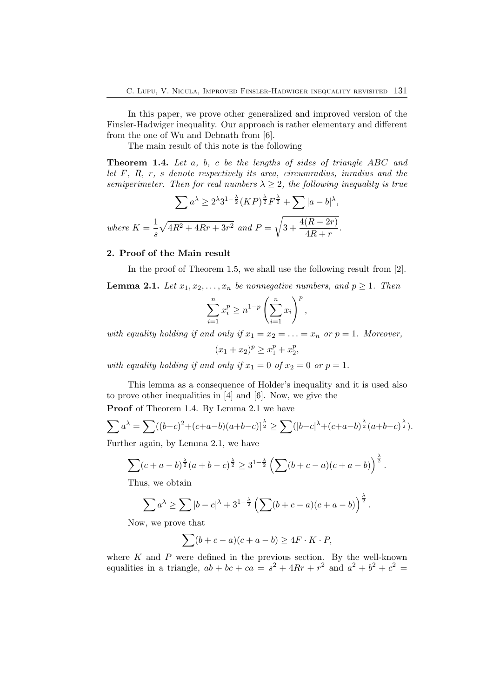In this paper, we prove other generalized and improved version of the Finsler-Hadwiger inequality. Our approach is rather elementary and different from the one of Wu and Debnath from [6].

The main result of this note is the following

Theorem 1.4. *Let* a*,* b*,* c *be the lengths of sides of triangle* ABC *and let* F*,* R*,* r*,* s *denote respectively its area, circumradius, inradius and the semiperimeter. Then for real numbers*  $\lambda \geq 2$ *, the following inequality is true* 

$$
\sum a^{\lambda} \ge 2^{\lambda} 3^{1-\frac{\lambda}{2}} (KP)^{\frac{\lambda}{2}} F^{\frac{\lambda}{2}} + \sum |a-b|^{\lambda},
$$
  
where  $K = \frac{1}{s} \sqrt{4R^2 + 4Rr + 3r^2}$  and  $P = \sqrt{3 + \frac{4(R - 2r)}{4R + r}}$ .

#### 2. Proof of the Main result

In the proof of Theorem 1.5, we shall use the following result from [2].

**Lemma 2.1.** Let  $x_1, x_2, \ldots, x_n$  be nonnegative numbers, and  $p \geq 1$ . Then

$$
\sum_{i=1}^{n} x_i^p \ge n^{1-p} \left(\sum_{i=1}^{n} x_i\right)^p,
$$

*with equality holding if and only if*  $x_1 = x_2 = \ldots = x_n$  *or*  $p = 1$ *. Moreover,* 

 $(x_1+x_2)^p \ge x_1^p + x_2^p$  $\frac{p}{2}$ 

*with equality holding if and only if*  $x_1 = 0$  *of*  $x_2 = 0$  *or*  $p = 1$ *.* 

This lemma as a consequence of Holder's inequality and it is used also to prove other inequalities in [4] and [6]. Now, we give the

Proof of Theorem 1.4. By Lemma 2.1 we have

$$
\sum a^{\lambda} = \sum ((b-c)^2 + (c+a-b)(a+b-c))^{\frac{\lambda}{2}} \ge \sum (|b-c|^{\lambda} + (c+a-b)^{\frac{\lambda}{2}}(a+b-c)^{\frac{\lambda}{2}}).
$$

Further again, by Lemma 2.1, we have

$$
\sum (c+a-b)^{\frac{\lambda}{2}}(a+b-c)^{\frac{\lambda}{2}} \ge 3^{1-\frac{\lambda}{2}} \left(\sum (b+c-a)(c+a-b)\right)^{\frac{\lambda}{2}}.
$$

Thus, we obtain

$$
\sum a^{\lambda} \ge \sum |b - c|^{\lambda} + 3^{1 - \frac{\lambda}{2}} \left( \sum (b + c - a)(c + a - b) \right)^{\frac{\lambda}{2}}.
$$

Now, we prove that

$$
\sum (b + c - a)(c + a - b) \ge 4F \cdot K \cdot P,
$$

where  $K$  and  $P$  were defined in the previous section. By the well-known equalities in a triangle,  $ab + bc + ca = s^2 + 4Rr + r^2$  and  $a^2 + b^2 + c^2 =$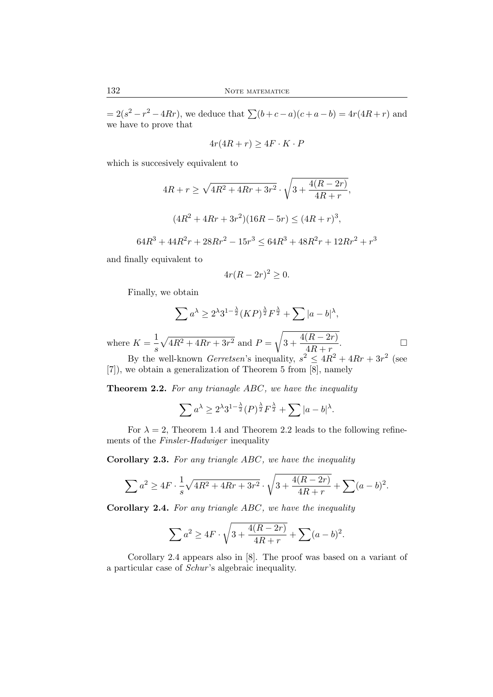$= 2(s^2 - r^2 - 4Rr)$ , we deduce that  $\sum (b + c - a)(c + a - b) = 4r(4R + r)$  and we have to prove that

$$
4r(4R+r) \ge 4F \cdot K \cdot P
$$

which is succesively equivalent to

$$
4R + r \ge \sqrt{4R^2 + 4Rr + 3r^2} \cdot \sqrt{3 + \frac{4(R - 2r)}{4R + r}},
$$
  

$$
(4R^2 + 4Rr + 3r^2)(16R - 5r) \le (4R + r)^3,
$$

$$
64R^3 + 44R^2r + 28Rr^2 - 15r^3 \le 64R^3 + 48R^2r + 12Rr^2 + r^3
$$

and finally equivalent to

$$
4r(R - 2r)^2 \ge 0.
$$

Finally, we obtain

$$
\sum a^{\lambda} \ge 2^{\lambda} 3^{1-\frac{\lambda}{2}} (KP)^{\frac{\lambda}{2}} F^{\frac{\lambda}{2}} + \sum |a-b|^{\lambda},
$$

where  $K = \frac{1}{1}$ s  $\sqrt{4R^2+4Rr+3r^2}$  and  $P=$ <sup>1</sup>  $3 + \frac{4(R - 2r)}{4R}$ 

 $\frac{(n-2r)}{4R+r}$ . By the well-known *Gerretsen*'s inequality,  $s^2 \leq 4R^2 + 4Rr + 3r^2$  (see [7]), we obtain a generalization of Theorem 5 from [8], namely

Theorem 2.2. *For any trianagle* ABC*, we have the inequality*

$$
\sum a^{\lambda} \ge 2^{\lambda} 3^{1-\frac{\lambda}{2}} (P)^{\frac{\lambda}{2}} F^{\frac{\lambda}{2}} + \sum |a-b|^{\lambda}.
$$

For  $\lambda = 2$ , Theorem 1.4 and Theorem 2.2 leads to the following refinements of the *Finsler-Hadwiger* inequality

Corollary 2.3. *For any triangle* ABC*, we have the inequality*

$$
\sum a^{2} \geq 4F \cdot \frac{1}{s} \sqrt{4R^{2} + 4Rr + 3r^{2}} \cdot \sqrt{3 + \frac{4(R - 2r)}{4R + r}} + \sum (a - b)^{2}.
$$

Corollary 2.4. *For any triangle* ABC*, we have the inequality*

$$
\sum a^{2} \geq 4F \cdot \sqrt{3 + \frac{4(R - 2r)}{4R + r}} + \sum (a - b)^{2}.
$$

Corollary 2.4 appears also in [8]. The proof was based on a variant of a particular case of *Schur* 's algebraic inequality.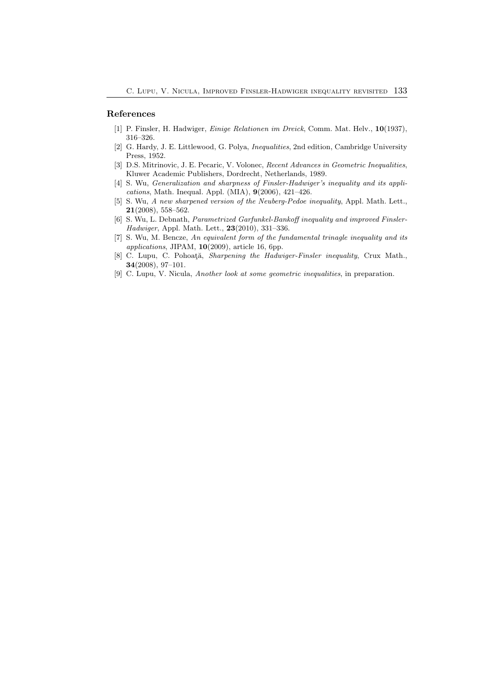#### References

- [1] P. Finsler, H. Hadwiger, *Einige Relationen im Dreick*, Comm. Mat. Helv., 10(1937), 316–326.
- [2] G. Hardy, J. E. Littlewood, G. Polya, *Inequalities*, 2nd edition, Cambridge University Press, 1952.
- [3] D.S. Mitrinovic, J. E. Pecaric, V. Volonec, *Recent Advances in Geometric Inequalities*, Kluwer Academic Publishers, Dordrecht, Netherlands, 1989.
- [4] S. Wu, *Generalization and sharpness of Finsler-Hadwiger's inequality and its applications*, Math. Inequal. Appl. (MIA), 9(2006), 421–426.
- [5] S. Wu, *A new sharpened version of the Neuberg-Pedoe inequality*, Appl. Math. Lett., 21(2008), 558–562.
- [6] S. Wu, L. Debnath, *Parametrized Garfunkel-Bankoff inequality and improved Finsler-Hadwiger*, Appl. Math. Lett., 23(2010), 331–336.
- [7] S. Wu, M. Bencze, *An equivalent form of the fundamental trinagle inequality and its applications*, JIPAM, 10(2009), article 16, 6pp.
- [8] C. Lupu, C. Pohoată, *Sharpening the Hadwiger-Finsler inequality*, Crux Math., 34(2008), 97–101.
- [9] C. Lupu, V. Nicula, *Another look at some geometric inequalities*, in preparation.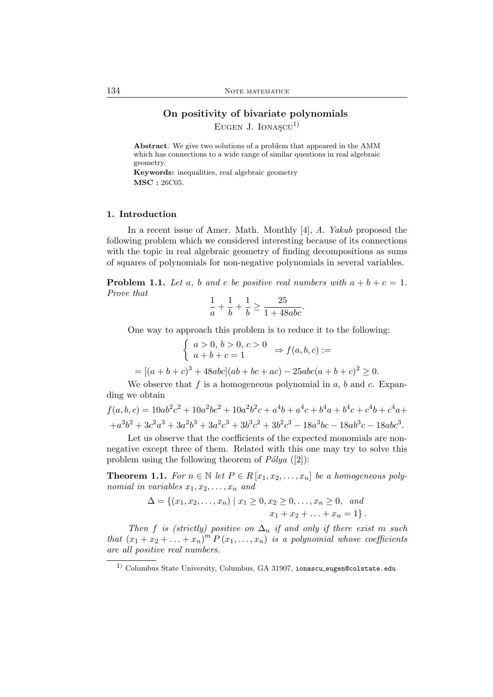## On positivity of bivariate polynomials EUGEN J. IONAS $CU<sup>1</sup>$

Abstract. We give two solutions of a problem that appeared in the AMM which has connections to a wide range of similar questions in real algebraic geometry.

Keywords: inequalities, real algebraic geometry MSC : 26C05.

#### 1. Introduction

In a recent issue of Amer. Math. Monthly [4], *A. Yakub* proposed the following problem which we considered interesting because of its connections with the topic in real algebraic geometry of finding decompositions as sums of squares of polynomials for non-negative polynomials in several variables.

**Problem 1.1.** Let a, b and c be positive real numbers with  $a + b + c = 1$ . *Prove that*

$$
\frac{1}{a} + \frac{1}{b} + \frac{1}{b} \ge \frac{25}{1 + 48abc}.
$$

One way to approach this problem is to reduce it to the following:

$$
\begin{cases}\n a > 0, \, b > 0, \, c > 0 \\
a + b + c = 1\n\end{cases} \Rightarrow f(a, b, c) :=
$$
\n
$$
= [(a + b + c)^3 + 48abc](ab + bc + ac) - 25abc(a + b + c)^2 \ge 0.
$$

We observe that  $f$  is a homogeneous polynomial in  $a, b$  and  $c$ . Expanding we obtain

$$
f(a, b, c) = 10ab^{2}c^{2} + 10a^{2}bc^{2} + 10a^{2}b^{2}c + a^{4}b + a^{4}c + b^{4}a + b^{4}c + c^{4}b + c^{4}a + a^{3}b^{2} + 3c^{2}a^{3} + 3a^{2}b^{3} + 3a^{2}c^{3} + 3b^{3}c^{2} + 3b^{2}c^{3} - 18a^{3}bc - 18ab^{3}c - 18abc^{3}.
$$

Let us observe that the coefficients of the expected monomials are nonnegative except three of them. Related with this one may try to solve this problem using the following theorem of  $P\'{o}lya$  ([2]):

**Theorem 1.1.** *For*  $n \in \mathbb{N}$  *let*  $P \in R[x_1, x_2, \ldots, x_n]$  *be a homogeneous polynomial in variables*  $x_1, x_2, \ldots, x_n$  *and* 

$$
\Delta = \{(x_1, x_2, \dots, x_n) \mid x_1 \ge 0, x_2 \ge 0, \dots, x_n \ge 0, \text{ and } x_1 + x_2 + \dots + x_n = 1\}.
$$

*Then* f *is (strictly)* positive on  $\Delta_n$  *if and only if there exist* m *such that*  $(x_1 + x_2 + \ldots + x_n)^m P(x_1, \ldots, x_n)$  *is a polynomial whose coefficients are all positive real numbers.*

 $^{\rm 1)}$  Columbus State University, Columbus, GA 31907, ionascu\_eugen@colstate.edu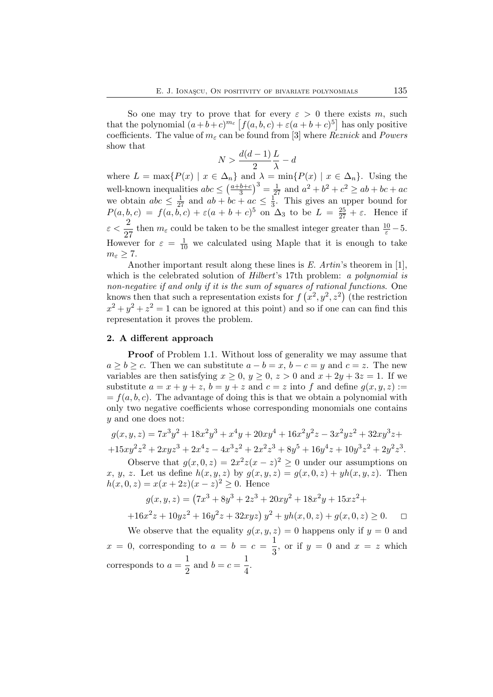So one may try to prove that for every  $\varepsilon > 0$  there exists m, such that the polynomial  $(a+b+c)^{m_{\varepsilon}} \left[ f(a,b,c) + \varepsilon (a+b+c)^5 \right]$  has only positive coefficients. The value of  $m_{\varepsilon}$  can be found from [3] where *Reznick* and *Powers* show that

$$
N > \frac{d(d-1)}{2}\frac{L}{\lambda} - d
$$

where  $L = \max\{P(x) | x \in \Delta_n\}$  and  $\lambda = \min\{P(x) | x \in \Delta_n\}$ . Using the well-known inequalities  $abc \leq \left(\frac{a+b+c}{3}\right)$  $\left(\frac{b+c}{3}\right)^3 = \frac{1}{27}$  and  $a^2 + b^2 + c^2 \ge ab + bc + ac$ we obtain  $abc \leq \frac{1}{27}$  and  $ab + bc + ac \leq \frac{1}{3}$  $\frac{1}{3}$ . This gives an upper bound for  $P(a, b, c) = f(a, b, c) + \varepsilon (a + b + c)^5$  on  $\Delta_3$  to be  $L = \frac{25}{27} + \varepsilon$ . Hence if  $\varepsilon < \frac{2}{\alpha}$  $\frac{2}{27}$  then  $m_{\varepsilon}$  could be taken to be the smallest integer greater than  $\frac{10}{\varepsilon} - 5$ . However for  $\varepsilon = \frac{1}{10}$  we calculated using Maple that it is enough to take  $m_{\varepsilon}\geq 7.$ 

Another important result along these lines is *E. Artin*'s theorem in [1], which is the celebrated solution of *Hilbert*'s 17th problem: *a polynomial is non-negative if and only if it is the sum of squares of rational functions*. One knows then that such a representation exists for  $f(x^2, y^2, z^2)$  (the restriction  $x^2 + y^2 + z^2 = 1$  can be ignored at this point) and so if one can can find this representation it proves the problem.

#### 2. A different approach

**Proof** of Problem 1.1. Without loss of generality we may assume that  $a \ge b \ge c$ . Then we can substitute  $a - b = x$ ,  $b - c = y$  and  $c = z$ . The new variables are then satisfying  $x \geq 0$ ,  $y \geq 0$ ,  $z > 0$  and  $x + 2y + 3z = 1$ . If we substitute  $a = x + y + z$ ,  $b = y + z$  and  $c = z$  into f and define  $q(x, y, z) :=$  $=f(a, b, c)$ . The advantage of doing this is that we obtain a polynomial with only two negative coefficients whose corresponding monomials one contains y and one does not:

$$
g(x, y, z) = 7x3y2 + 18x2y3 + x4y + 20xy4 + 16x2y2z - 3x2yz2 + 32xy3z ++ 15xy2z2 + 2xyz3 + 2x4z - 4x3z2 + 2x2z3 + 8y5 + 16y4z + 10y3z2 + 2y2z3.
$$

Observe that  $g(x, 0, z) = 2x^2z(x - z)^2 \ge 0$  under our assumptions on x, y, z. Let us define  $h(x, y, z)$  by  $g(x, y, z) = g(x, 0, z) + yh(x, y, z)$ . Then  $h(x, 0, z) = x(x + 2z)(x - z)^{2} \ge 0$ . Hence

$$
g(x, y, z) = (7x3 + 8y3 + 2z3 + 20xy2 + 18x2y + 15xz2 +
$$

$$
+16x^{2}z + 10yz^{2} + 16y^{2}z + 32xyz y^{2} + yh(x, 0, z) + g(x, 0, z) \ge 0.
$$

We observe that the equality  $g(x, y, z) = 0$  happens only if  $y = 0$  and  $x = 0$ , corresponding to  $a = b = c = \frac{1}{2}$  $\frac{1}{3}$ , or if  $y = 0$  and  $x = z$  which corresponds to  $a = \frac{1}{2}$  $\frac{1}{2}$  and  $b = c = \frac{1}{4}$  $\frac{1}{4}$ .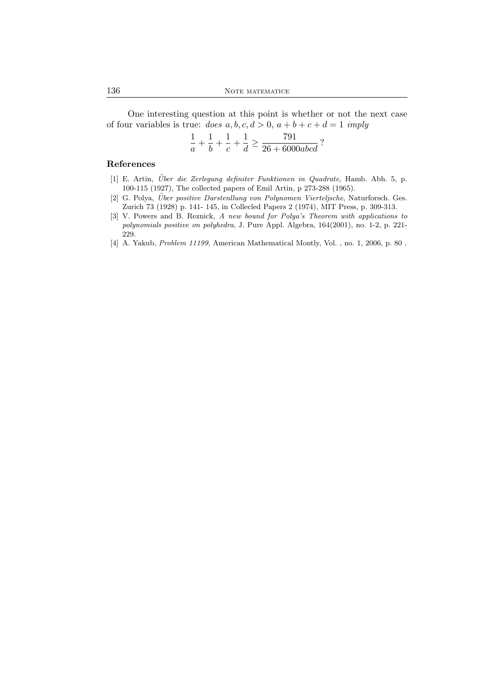One interesting question at this point is whether or not the next case of four variables is true:  $does a, b, c, d > 0, a + b + c + d = 1$  *imply* 

$$
\frac{1}{a} + \frac{1}{b} + \frac{1}{c} + \frac{1}{d} \ge \frac{791}{26 + 6000abcd}?
$$

#### References

- [1] E. Artin, *Über die Zerlegung definiter Funktionen in Quadrate*, Hamb. Abh. 5, p. 100-115 (1927), The collected papers of Emil Artin, p 273-288 (1965).
- [2] G. Polya, *Über positive Darstenllung von Polynomen Vierteljsche*, Naturforsch. Ges. Zurich 73 (1928) p. 141- 145, in Collecled Papers 2 (1974), MIT Press, p. 309-313.
- [3] V. Powers and B. Reznick, *A new bound for Polya's Theorem with applications to polynomials positive on polyhedra*, J. Pure Appl. Algebra, 164(2001), no. 1-2, p. 221- 229.
- [4] A. Yakub, *Problem 11199*, American Mathematical Montly, Vol. , no. 1, 2006, p. 80 .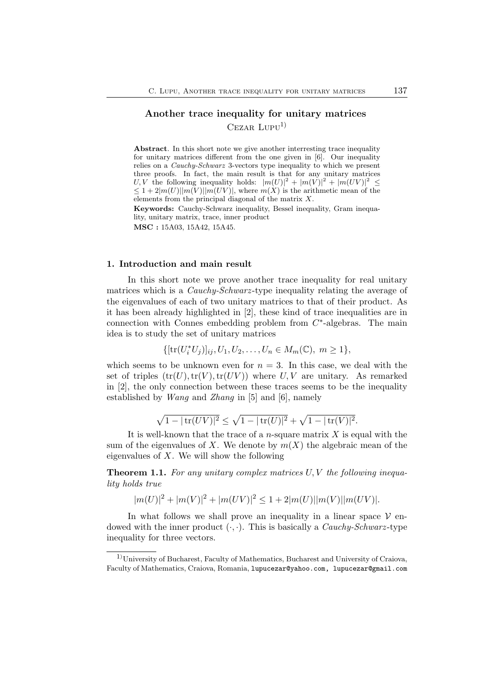# Another trace inequality for unitary matrices  $CezAR LUPU<sup>1</sup>$

Abstract. In this short note we give another interresting trace inequality for unitary matrices different from the one given in [6]. Our inequality relies on a *Cauchy-Schwarz* 3-vectors type inequality to which we present three proofs. In fact, the main result is that for any unitary matrices U, V the following inequality holds:  $|m(U)|^2 + |m(V)|^2 + |m(UV)|^2 \le$  $\leq 1 + 2|m(U)||m(V)||m(UV)|$ , where  $m(X)$  is the arithmetic mean of the elements from the principal diagonal of the matrix X.

Keywords: Cauchy-Schwarz inequality, Bessel inequality, Gram inequality, unitary matrix, trace, inner product MSC : 15A03, 15A42, 15A45.

#### 1. Introduction and main result

In this short note we prove another trace inequality for real unitary matrices which is a *Cauchy-Schwarz* -type inequality relating the average of the eigenvalues of each of two unitary matrices to that of their product. As it has been already highlighted in [2], these kind of trace inequalities are in connection with Connes embedding problem from  $C^*$ -algebras. The main idea is to study the set of unitary matrices

$$
\{[\text{tr}(U_i^*U_j)]_{ij}, U_1, U_2, \dots, U_n \in M_m(\mathbb{C}), m \ge 1\},\
$$

which seems to be unknown even for  $n = 3$ . In this case, we deal with the set of triples  $(tr(U), tr(V), tr(UV))$  where U, V are unitary. As remarked in [2], the only connection between these traces seems to be the inequality established by *Wang* and *Zhang* in [5] and [6], namely

$$
\sqrt{1-|\operatorname{tr}(UV)|^2} \le \sqrt{1-|\operatorname{tr}(U)|^2} + \sqrt{1-|\operatorname{tr}(V)|^2}.
$$

It is well-known that the trace of a *n*-square matrix  $X$  is equal with the sum of the eigenvalues of X. We denote by  $m(X)$  the algebraic mean of the eigenvalues of  $X$ . We will show the following

Theorem 1.1. *For any unitary complex matrices* U, V *the following inequality holds true*

$$
|m(U)|^2 + |m(V)|^2 + |m(UV)|^2 \le 1 + 2|m(U)||m(V)||m(UV)|.
$$

In what follows we shall prove an inequality in a linear space  $V$  endowed with the inner product (·, ·). This is basically a *Cauchy-Schwarz* -type inequality for three vectors.

 $1)$ University of Bucharest, Faculty of Mathematics, Bucharest and University of Craiova, Faculty of Mathematics, Craiova, Romania, lupucezar@yahoo.com, lupucezar@gmail.com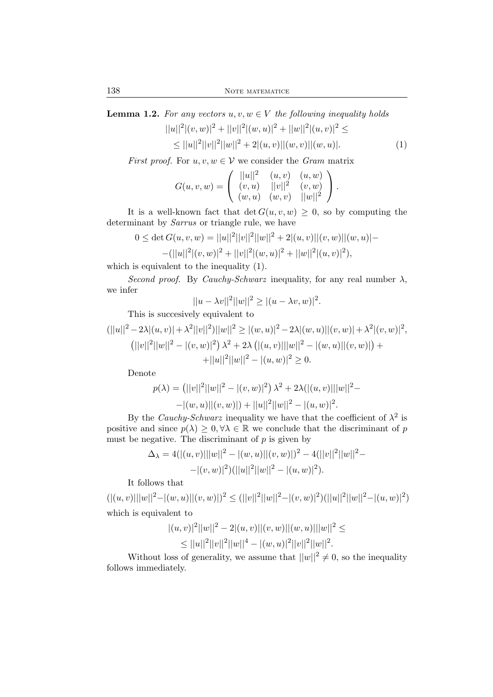**Lemma 1.2.** For any vectors  $u, v, w \in V$  the following inequality holds

$$
||u||2|(v, w)|2 + ||v||2|(w, u)|2 + ||w||2|(u, v)|2 \le
$$
  
\n
$$
\leq ||u||2||v||2||w||2 + 2|(u, v)||(w, v)||(w, u)|.
$$
 (1)

*First proof.* For  $u, v, w \in V$  we consider the *Gram* matrix

$$
G(u, v, w) = \begin{pmatrix} ||u||^2 & (u, v) & (u, w) \\ (v, u) & ||v||^2 & (v, w) \\ (w, u) & (w, v) & ||w||^2 \end{pmatrix}.
$$

It is a well-known fact that  $\det G(u, v, w) \geq 0$ , so by computing the determinant by *Sarrus* or triangle rule, we have

$$
0 \le \det G(u, v, w) = ||u||^2 ||v||^2 ||w||^2 + 2|(u, v)||(v, w)||(w, u)| -
$$
  
-(||u||<sup>2</sup>|(v, w)|<sup>2</sup> + ||v||<sup>2</sup>|(w, u)|<sup>2</sup> + ||w||<sup>2</sup>|(u, v)|<sup>2</sup>),

which is equivalent to the inequality (1).

*Second proof.* By *Cauchy-Schwarz* inequality, for any real number  $\lambda$ , we infer

$$
||u - \lambda v||^{2}||w||^{2} \ge |(u - \lambda v, w)|^{2}.
$$

This is succesively equivalent to

$$
(||u||2 - 2\lambda|(u, v)| + \lambda2||v||2)||w||2 \ge |(w, u)|2 - 2\lambda|(w, u)||(v, w)| + \lambda2|(v, w)|2,(||v||2||w||2 - |(v, w)|2) \lambda2 + 2\lambda (|(u, v)|||w||2 - |(w, u)||(v, w)|) ++||u||2||w||2 - |(u, w)|2 \ge 0.
$$

Denote

$$
p(\lambda) = (||v||^2||w||^2 - |(v, w)|^2) \lambda^2 + 2\lambda (|(u, v)|||w||^2 - |(w, u)||(v, w)|) + ||u||^2||w||^2 - |(u, w)|^2.
$$

By the *Cauchy-Schwarz* inequality we have that the coefficient of  $\lambda^2$  is positive and since  $p(\lambda) \geq 0, \forall \lambda \in \mathbb{R}$  we conclude that the discriminant of p must be negative. The discriminant of  $p$  is given by

$$
\Delta_{\lambda} = 4(|(u, v)|||w||^2 - |(w, u)||(v, w)|)^2 - 4(||v||^2||w||^2 -
$$
  
–
$$
|((v, w)|^2)(||u||^2||w||^2 - |(u, w)|^2).
$$

It follows that

 $(|(u, v)| ||w||^2 - |(w, u)||(v, w)|)^2 \le (||v||^2 ||w||^2 - |(v, w)|^2)(||u||^2 ||w||^2 - |(u, w)|^2)$ which is equivalent to

$$
|(u, v)|^2 ||w||^2 - 2|(u, v)||(v, w)||(w, u)|||w||^2 \le
$$
  
\n
$$
\leq ||u||^2 ||v||^2 ||w||^4 - |(w, u)|^2 ||v||^2 ||w||^2.
$$

Without loss of generality, we assume that  $||w||^2 \neq 0$ , so the inequality follows immediately.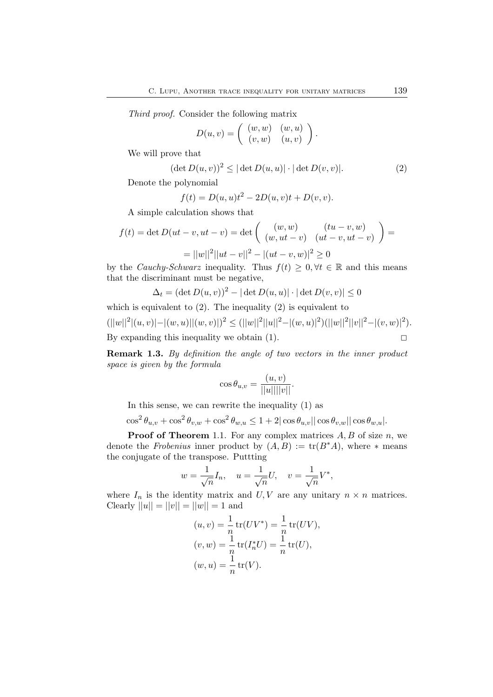*Third proof.* Consider the following matrix

$$
D(u, v) = \left( \begin{array}{cc} (w, w) & (w, u) \\ (v, w) & (u, v) \end{array} \right).
$$

We will prove that

$$
(\det D(u,v))^2 \le |\det D(u,u)| \cdot |\det D(v,v)|. \tag{2}
$$

Denote the polynomial

$$
f(t) = D(u, u)t^{2} - 2D(u, v)t + D(v, v).
$$

A simple calculation shows that

$$
f(t) = \det D(ut - v, ut - v) = \det \begin{pmatrix} (w, w) & (tu - v, w) \\ (w, ut - v) & (ut - v, ut - v) \end{pmatrix} = ||w||^2 ||ut - v||^2 - |(ut - v, w)|^2 \ge 0
$$

by the *Cauchy-Schwarz* inequality. Thus  $f(t) \geq 0, \forall t \in \mathbb{R}$  and this means that the discriminant must be negative,

$$
\Delta_t = (\det D(u, v))^2 - |\det D(u, u)| \cdot |\det D(v, v)| \le 0
$$

which is equivalent to  $(2)$ . The inequality  $(2)$  is equivalent to  $(||w||^2 |(u, v)| - |(w, u)| |(w, v)|)^2 \le (||w||^2 ||u||^2 - |(w, u)|^2) (||w||^2 ||v||^2 - |(v, w)|^2).$ By expanding this inequality we obtain (1).  $\Box$ 

Remark 1.3. *By definition the angle of two vectors in the inner product space is given by the formula*

$$
\cos \theta_{u,v} = \frac{(u,v)}{||u|| ||v||}.
$$

In this sense, we can rewrite the inequality (1) as

$$
\cos^2 \theta_{u,v} + \cos^2 \theta_{v,w} + \cos^2 \theta_{w,u} \le 1 + 2|\cos \theta_{u,v}||\cos \theta_{v,w}||\cos \theta_{w,u}|.
$$

**Proof of Theorem 1.1.** For any complex matrices  $A, B$  of size  $n$ , we denote the *Frobenius* inner product by  $(A, B) := \text{tr}(B^*A)$ , where  $*$  means the conjugate of the transpose. Puttting

$$
w = \frac{1}{\sqrt{n}} I_n, \quad u = \frac{1}{\sqrt{n}} U, \quad v = \frac{1}{\sqrt{n}} V^*,
$$

where  $I_n$  is the identity matrix and  $U, V$  are any unitary  $n \times n$  matrices. Clearly  $||u|| = ||v|| = ||w|| = 1$  and

$$
(u, v) = \frac{1}{n} tr(UV^*) = \frac{1}{n} tr(UV),
$$
  
\n
$$
(v, w) = \frac{1}{n} tr(I_n^*U) = \frac{1}{n} tr(U),
$$
  
\n
$$
(w, u) = \frac{1}{n} tr(V).
$$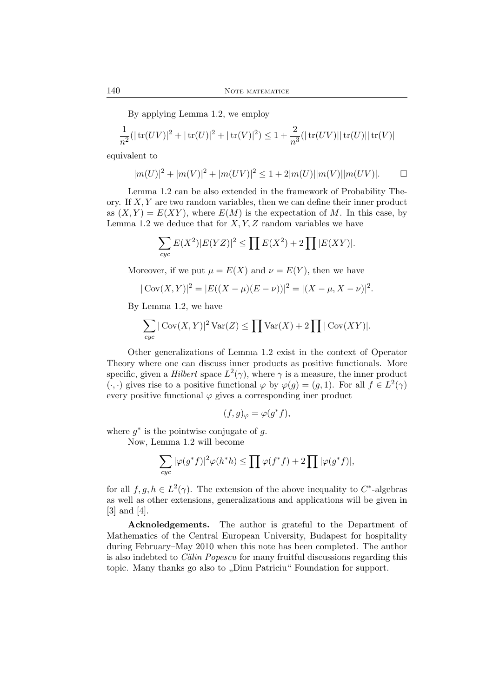By applying Lemma 1.2, we employ

$$
\frac{1}{n^2}(|\operatorname{tr}(UV)|^2+|\operatorname{tr}(U)|^2+|\operatorname{tr}(V)|^2)\leq 1+\frac{2}{n^3}(|\operatorname{tr}(UV)||\operatorname{tr}(U)||\operatorname{tr}(V)|
$$

equivalent to

$$
|m(U)|^2 + |m(V)|^2 + |m(UV)|^2 \le 1 + 2|m(U)||m(V)||m(UV)|.
$$

Lemma 1.2 can be also extended in the framework of Probability Theory. If  $X, Y$  are two random variables, then we can define their inner product as  $(X, Y) = E(XY)$ , where  $E(M)$  is the expectation of M. In this case, by Lemma 1.2 we deduce that for  $X, Y, Z$  random variables we have

$$
\sum_{cyc} E(X^2) |E(YZ)|^2 \le \prod E(X^2) + 2 \prod |E(XY)|.
$$

Moreover, if we put  $\mu = E(X)$  and  $\nu = E(Y)$ , then we have

$$
|\text{Cov}(X,Y)|^2 = |E((X-\mu)(E-\nu))|^2 = |(X-\mu, X-\nu)|^2.
$$

By Lemma 1.2, we have

$$
\sum_{cyc} |\text{Cov}(X,Y)|^2 \text{Var}(Z) \le \prod \text{Var}(X) + 2 \prod |\text{Cov}(XY)|.
$$

Other generalizations of Lemma 1.2 exist in the context of Operator Theory where one can discuss inner products as positive functionals. More specific, given a *Hilbert* space  $L^2(\gamma)$ , where  $\gamma$  is a measure, the inner product  $(\cdot, \cdot)$  gives rise to a positive functional  $\varphi$  by  $\varphi(g) = (g, 1)$ . For all  $f \in L^2(\gamma)$ every positive functional  $\varphi$  gives a corresponding iner product

$$
(f,g)_{\varphi} = \varphi(g^*f),
$$

where  $g^*$  is the pointwise conjugate of g.

Now, Lemma 1.2 will become

$$
\sum_{cyc} |\varphi(g^*f)|^2 \varphi(h^*h) \le \prod \varphi(f^*f) + 2 \prod |\varphi(g^*f)|,
$$

for all  $f, g, h \in L^2(\gamma)$ . The extension of the above inequality to  $C^*$ -algebras as well as other extensions, generalizations and applications will be given in [3] and [4].

Acknoledgements. The author is grateful to the Department of Mathematics of the Central European University, Budapest for hospitality during February–May 2010 when this note has been completed. The author is also indebted to *C˘alin Popescu* for many fruitful discussions regarding this topic. Many thanks go also to ,,Dinu Patriciu" Foundation for support.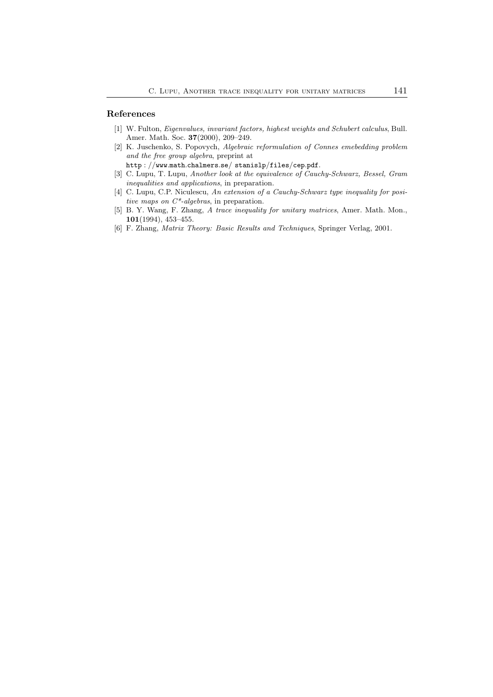#### References

- [1] W. Fulton, *Eigenvalues, invariant factors, highest weights and Schubert calculus*, Bull. Amer. Math. Soc. 37(2000), 209–249.
- [2] K. Juschenko, S. Popovych, *Algebraic reformulation of Connes emebedding problem and the free group algebra*, preprint at
	- http : //www.math.chalmers.se/ stanislp/files/cep.pdf.
- [3] C. Lupu, T. Lupu, *Another look at the equivalence of Cauchy-Schwarz, Bessel, Gram inequalities and applications*, in preparation.
- [4] C. Lupu, C.P. Niculescu, *An extension of a Cauchy-Schwarz type inequality for positive maps on C\*-algebras*, in preparation.
- [5] B. Y. Wang, F. Zhang, *A trace inequality for unitary matrices*, Amer. Math. Mon., 101(1994), 453–455.
- [6] F. Zhang, *Matrix Theory: Basic Results and Techniques*, Springer Verlag, 2001.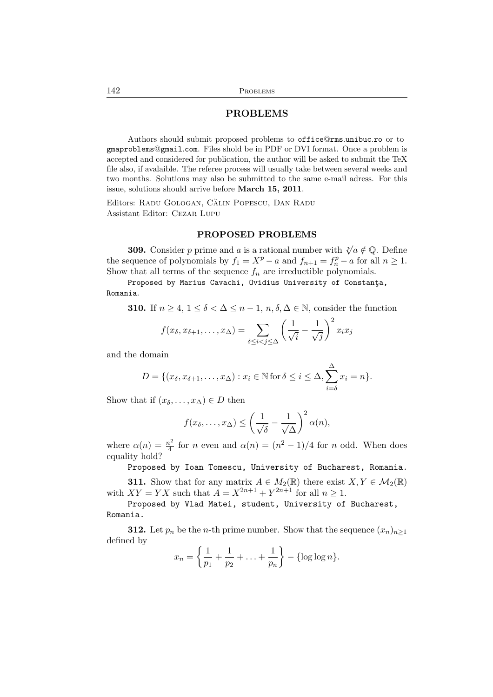## PROBLEMS

Authors should submit proposed problems to office@rms.unibuc.ro or to gmaproblems@gmail.com. Files shold be in PDF or DVI format. Once a problem is accepted and considered for publication, the author will be asked to submit the TeX file also, if avalaible. The referee process will usually take between several weeks and two months. Solutions may also be submitted to the same e-mail adress. For this issue, solutions should arrive before March 15, 2011.

Editors: RADU GOLOGAN, CĂLIN POPESCU, DAN RADU Assistant Editor: Cezar Lupu

#### PROPOSED PROBLEMS

**309.** Consider p prime and a is a rational number with  $\sqrt[p]{a} \notin \mathbb{Q}$ . Define the sequence of polynomials by  $f_1 = X^p - a$  and  $f_{n+1} = f_n^p - a$  for all  $n \ge 1$ . Show that all terms of the sequence  $f_n$  are irreductible polynomials.

Proposed by Marius Cavachi, Ovidius University of Constanta, Romania.

**310.** If  $n \geq 4, 1 \leq \delta \leq \Delta \leq n-1, n, \delta, \Delta \in \mathbb{N}$ , consider the function

$$
f(x_{\delta}, x_{\delta+1}, \dots, x_{\Delta}) = \sum_{\delta \leq i < j \leq \Delta} \left( \frac{1}{\sqrt{i}} - \frac{1}{\sqrt{j}} \right)^2 x_i x_j
$$

and the domain

$$
D = \{(x_{\delta}, x_{\delta+1}, \dots, x_{\Delta}) : x_i \in \mathbb{N} \text{ for } \delta \leq i \leq \Delta, \sum_{i=\delta}^{\Delta} x_i = n\}.
$$

Show that if  $(x_\delta, \ldots, x_\Delta) \in D$  then

$$
f(x_{\delta},\ldots,x_{\Delta}) \leq \left(\frac{1}{\sqrt{\delta}} - \frac{1}{\sqrt{\Delta}}\right)^2 \alpha(n),
$$

where  $\alpha(n) = \frac{n^2}{4}$  $\frac{n^2}{4}$  for *n* even and  $\alpha(n) = (n^2 - 1)/4$  for *n* odd. When does equality hold?

Proposed by Ioan Tomescu, University of Bucharest, Romania.

**311.** Show that for any matrix  $A \in M_2(\mathbb{R})$  there exist  $X, Y \in M_2(\mathbb{R})$ with  $XY = YX$  such that  $A = X^{2n+1} + Y^{2n+1}$  for all  $n \ge 1$ .

Proposed by Vlad Matei, student, University of Bucharest, Romania.

**312.** Let  $p_n$  be the *n*-th prime number. Show that the sequence  $(x_n)_{n\geq 1}$ defined by

$$
x_n = \left\{ \frac{1}{p_1} + \frac{1}{p_2} + \ldots + \frac{1}{p_n} \right\} - \{ \log \log n \}.
$$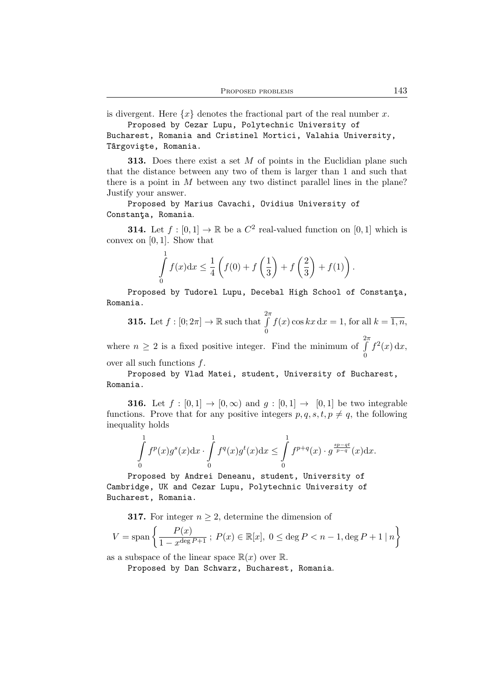is divergent. Here  $\{x\}$  denotes the fractional part of the real number x. Proposed by Cezar Lupu, Polytechnic University of

Bucharest, Romania and Cristinel Mortici, Valahia University, Târgovişte, Romania.

**313.** Does there exist a set  $M$  of points in the Euclidian plane such that the distance between any two of them is larger than 1 and such that there is a point in  $M$  between any two distinct parallel lines in the plane? Justify your answer.

Proposed by Marius Cavachi, Ovidius University of Constanta, Romania.

**314.** Let  $f : [0, 1] \to \mathbb{R}$  be a  $C^2$  real-valued function on  $[0, 1]$  which is convex on [0, 1]. Show that

$$
\int_{0}^{1} f(x) dx \leq \frac{1}{4} \left( f(0) + f\left(\frac{1}{3}\right) + f\left(\frac{2}{3}\right) + f(1) \right).
$$

Proposed by Tudorel Lupu, Decebal High School of Constanta, Romania.

**315.** Let 
$$
f : [0; 2\pi] \to \mathbb{R}
$$
 such that  $\int_{0}^{2\pi} f(x) \cos kx \,dx = 1$ , for all  $k = \overline{1, n}$ ,

where  $n \geq 2$  is a fixed positive integer. Find the minimum of  $\int$ 0  $f^2(x) dx$ , over all such functions f.

Proposed by Vlad Matei, student, University of Bucharest,

Romania.

**316.** Let  $f : [0,1] \rightarrow [0,\infty)$  and  $g : [0,1] \rightarrow [0,1]$  be two integrable functions. Prove that for any positive integers  $p, q, s, t, p \neq q$ , the following inequality holds

$$
\int_{0}^{1} f^{p}(x)g^{s}(x)dx \cdot \int_{0}^{1} f^{q}(x)g^{t}(x)dx \leq \int_{0}^{1} f^{p+q}(x) \cdot g^{\frac{sp-qt}{p-q}}(x)dx.
$$

Proposed by Andrei Deneanu, student, University of Cambridge, UK and Cezar Lupu, Polytechnic University of Bucharest, Romania.

**317.** For integer  $n \geq 2$ , determine the dimension of

$$
V = \text{span}\left\{ \frac{P(x)}{1 - x^{\deg P + 1}} \, ; \, P(x) \in \mathbb{R}[x], \, 0 \le \deg P < n - 1, \deg P + 1 \mid n \right\}
$$

as a subspace of the linear space  $\mathbb{R}(x)$  over  $\mathbb{R}$ .

Proposed by Dan Schwarz, Bucharest, Romania.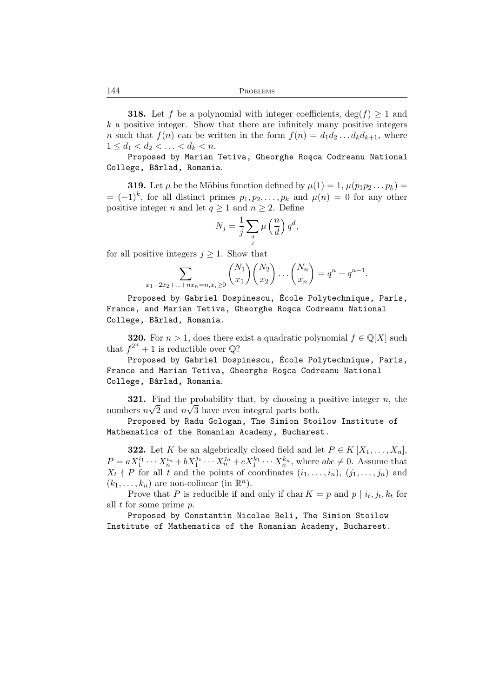**318.** Let f be a polynomial with integer coefficients,  $\deg(f) \geq 1$  and  $k$  a positive integer. Show that there are infinitely many positive integers n such that  $f(n)$  can be written in the form  $f(n) = d_1 d_2 \dots d_k d_{k+1}$ , where  $1 \leq d_1 < d_2 < \ldots < d_k < n.$ 

Proposed by Marian Tetiva, Gheorghe Roşca Codreanu National College, Bârlad, Romania.

**319.** Let  $\mu$  be the Möbius function defined by  $\mu(1) = 1$ ,  $\mu(p_1p_2...p_k) =$  $= (-1)^k$ , for all distinct primes  $p_1, p_2, \ldots, p_k$  and  $\mu(n) = 0$  for any other positive integer n and let  $q > 1$  and  $n > 2$ . Define

$$
N_j = \frac{1}{j} \sum_{\frac{d}{j}} \mu\left(\frac{n}{d}\right) q^d,
$$

for all positive integers  $j \geq 1$ . Show that

$$
\sum_{x_1+2x_2+\ldots+nx_n=n, x_i\geq 0} \binom{N_1}{x_1} \binom{N_2}{x_2} \ldots \binom{N_n}{x_n} = q^n - q^{n-1}.
$$

Proposed by Gabriel Dospinescu, École Polytechnique, Paris, France, and Marian Tetiva, Gheorghe Rosca Codreanu National College, Bârlad, Romania.

**320.** For  $n > 1$ , does there exist a quadratic polynomial  $f \in \mathbb{Q}[X]$  such that  $f^{2^n} + 1$  is reductible over  $\mathbb{Q}$ ?

Proposed by Gabriel Dospinescu, École Polytechnique, Paris, France and Marian Tetiva, Gheorghe Rosca Codreanu National College, Bârlad, Romania.

**321.** Find the probability that, by choosing a positive integer  $n$ , the numbers  $n\sqrt{2}$  and  $n\sqrt{3}$  have even integral parts both.

Proposed by Radu Gologan, The Simion Stoilow Institute of Mathematics of the Romanian Academy, Bucharest.

**322.** Let K be an algebrically closed field and let  $P \in K[X_1, \ldots, X_n]$ ,  $P = aX_1^{i_1}\cdots X_n^{i_n} + bX_1^{j_1}\cdots X_n^{j_n} + cX_1^{k_1}\cdots X_n^{k_n}$ , where  $abc \neq 0$ . Assume that  $X_t \nmid P$  for all t and the points of coordinates  $(i_1, \ldots, i_n)$ ,  $(j_1, \ldots, j_n)$  and  $(k_1, \ldots, k_n)$  are non-colinear (in  $\mathbb{R}^n$ ).

Prove that P is reducible if and only if  $\text{char } K = p$  and  $p \mid i_t, j_t, k_t$  for all  $t$  for some prime  $p$ .

Proposed by Constantin Nicolae Beli, The Simion Stoilow Institute of Mathematics of the Romanian Academy, Bucharest.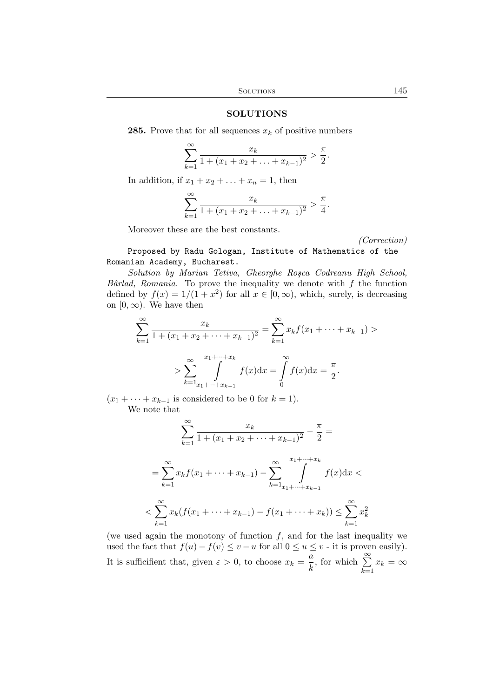### SOLUTIONS

**285.** Prove that for all sequences  $x_k$  of positive numbers

$$
\sum_{k=1}^{\infty} \frac{x_k}{1 + (x_1 + x_2 + \ldots + x_{k-1})^2} > \frac{\pi}{2}.
$$

In addition, if  $x_1 + x_2 + \ldots + x_n = 1$ , then

$$
\sum_{k=1}^{\infty} \frac{x_k}{1 + (x_1 + x_2 + \ldots + x_{k-1})^2} > \frac{\pi}{4}.
$$

Moreover these are the best constants.

*(Correction)*

Proposed by Radu Gologan, Institute of Mathematics of the Romanian Academy, Bucharest.

*Solution by Marian Tetiva, Gheorghe Ro¸sca Codreanu High School,*  $B\hat{a}rlad$ , Romania. To prove the inequality we denote with  $f$  the function defined by  $f(x) = 1/(1 + x^2)$  for all  $x \in [0, \infty)$ , which, surely, is decreasing on  $[0, \infty)$ . We have then

$$
\sum_{k=1}^{\infty} \frac{x_k}{1 + (x_1 + x_2 + \dots + x_{k-1})^2} = \sum_{k=1}^{\infty} x_k f(x_1 + \dots + x_{k-1}) >
$$
  
> 
$$
\sum_{k=1}^{\infty} \int_{x_1 + \dots + x_{k-1}}^{x_1 + \dots + x_k} f(x) dx = \int_{0}^{\infty} f(x) dx = \frac{\pi}{2}.
$$

 $(x_1 + \cdots + x_{k-1})$  is considered to be 0 for  $k = 1$ ). We note that

$$
\sum_{k=1}^{\infty} \frac{x_k}{1 + (x_1 + x_2 + \dots + x_{k-1})^2} - \frac{\pi}{2} =
$$
  
= 
$$
\sum_{k=1}^{\infty} x_k f(x_1 + \dots + x_{k-1}) - \sum_{k=1}^{\infty} \int_{x_1 + \dots + x_{k-1}}^{x_1 + \dots + x_k} f(x) dx <
$$
  
< 
$$
< \sum_{k=1}^{\infty} x_k (f(x_1 + \dots + x_{k-1}) - f(x_1 + \dots + x_k)) \le \sum_{k=1}^{\infty} x_k^2
$$

(we used again the monotony of function  $f$ , and for the last inequality we used the fact that  $f(u) - f(v) \le v - u$  for all  $0 \le u \le v$  - it is proven easily). It is sufficifient that, given  $\varepsilon > 0$ , to choose  $x_k = \frac{a}{k}$  $\frac{a}{k}$ , for which  $\sum_{k=1}^{\infty}$  $\sum_{k=1} x_k = \infty$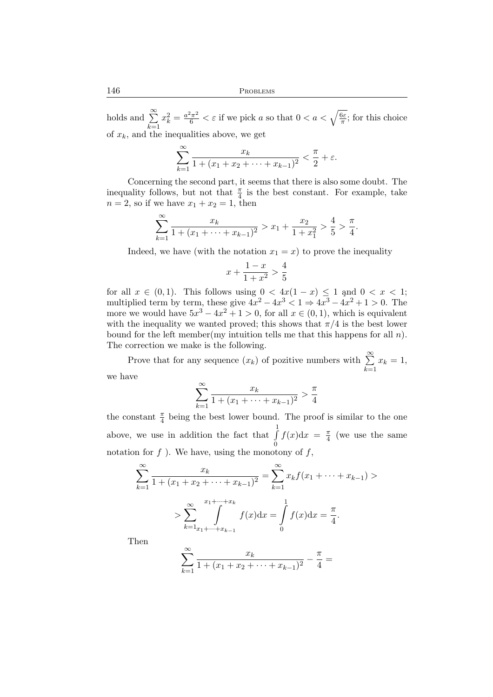holds and  $\sum_{n=1}^{\infty}$  $k=1$  $x_k^2 = \frac{a^2 \pi^2}{6} < \varepsilon$  if we pick a so that  $0 < a < \sqrt{\frac{6\varepsilon}{\pi}}$ ; for this choice of  $x_k$ , and the inequalities above, we get

$$
\sum_{k=1}^{\infty} \frac{x_k}{1 + (x_1 + x_2 + \dots + x_{k-1})^2} < \frac{\pi}{2} + \varepsilon.
$$

Concerning the second part, it seems that there is also some doubt. The inequality follows, but not that  $\frac{\pi}{4}$  is the best constant. For example, take  $n = 2$ , so if we have  $x_1 + x_2 = 1$ , then

$$
\sum_{k=1}^{\infty} \frac{x_k}{1 + (x_1 + \dots + x_{k-1})^2} > x_1 + \frac{x_2}{1 + x_1^2} > \frac{4}{5} > \frac{\pi}{4}.
$$

Indeed, we have (with the notation  $x_1 = x$ ) to prove the inequality

$$
x + \frac{1 - x}{1 + x^2} > \frac{4}{5}
$$

for all  $x \in (0,1)$ . This follows using  $0 < 4x(1-x) \leq 1$  and  $0 < x < 1$ ; multiplied term by term, these give  $4x^2 - 4x^3 < 1 \Rightarrow 4x^3 - 4x^2 + 1 > 0$ . The more we would have  $5x^3 - 4x^2 + 1 > 0$ , for all  $x \in (0, 1)$ , which is equivalent with the inequality we wanted proved; this shows that  $\pi/4$  is the best lower bound for the left member(my intuition tells me that this happens for all  $n$ ). The correction we make is the following.

Prove that for any sequence  $(x_k)$  of pozitive numbers with  $\sum_{k=1}^{\infty}$  $k=1$  $x_k = 1$ , we have

$$
\sum_{k=1}^{\infty} \frac{x_k}{1 + (x_1 + \dots + x_{k-1})^2} > \frac{\pi}{4}
$$

the constant  $\frac{\pi}{4}$  being the best lower bound. The proof is similar to the one above, we use in addition the fact that  $\int_0^1$  $\boldsymbol{0}$  $f(x)dx = \frac{\pi}{4}$  $\frac{\pi}{4}$  (we use the same notation for  $f$  ). We have, using the monotony of  $f$ ,

$$
\sum_{k=1}^{\infty} \frac{x_k}{1 + (x_1 + x_2 + \dots + x_{k-1})^2} = \sum_{k=1}^{\infty} x_k f(x_1 + \dots + x_{k-1}) >
$$
  
> 
$$
\sum_{k=1}^{\infty} \int_{x_1 + \dots + x_{k-1}}^{x_1 + \dots + x_k} f(x) dx = \int_0^1 f(x) dx = \frac{\pi}{4}.
$$

Then

$$
\sum_{k=1}^{\infty} \frac{x_k}{1 + (x_1 + x_2 + \dots + x_{k-1})^2} - \frac{\pi}{4} =
$$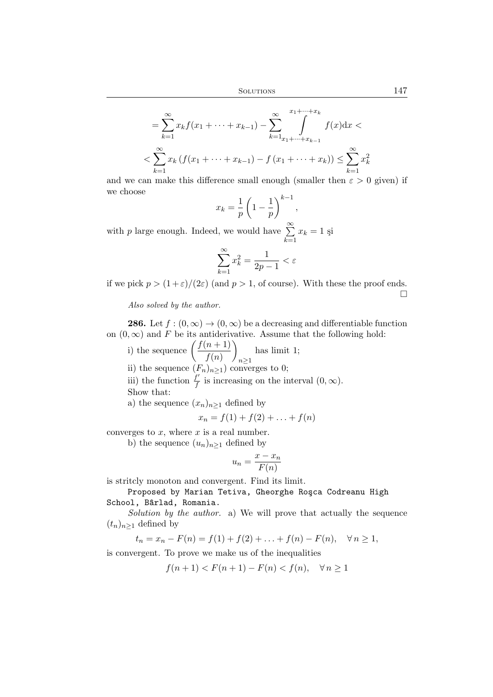$$
= \sum_{k=1}^{\infty} x_k f(x_1 + \dots + x_{k-1}) - \sum_{k=1}^{\infty} \int_{x_1 + \dots + x_{k-1}}^{x_1 + \dots + x_k} f(x) dx <
$$
  

$$
< \sum_{k=1}^{\infty} x_k (f(x_1 + \dots + x_{k-1}) - f(x_1 + \dots + x_k)) \le \sum_{k=1}^{\infty} x_k^2
$$

and we can make this difference small enough (smaller then  $\varepsilon > 0$  given) if we choose

$$
x_k = \frac{1}{p} \left( 1 - \frac{1}{p} \right)^{k-1},
$$

with p large enough. Indeed, we would have  $\sum^{\infty}$  $k=1$  $x_k = 1$  și

$$
\sum_{k=1}^{\infty} x_k^2 = \frac{1}{2p-1} < \varepsilon
$$

if we pick  $p > (1+\varepsilon)/(2\varepsilon)$  (and  $p > 1$ , of course). With these the proof ends.  $\Box$ 

*Also solved by the author.*

**286.** Let  $f:(0,\infty) \to (0,\infty)$  be a decreasing and differentiable function on  $(0, \infty)$  and F be its antiderivative. Assume that the following hold:

i) the sequence  $\left(\frac{f(n+1)}{f(n+1)}\right)$  $f(n)$  $\setminus$  $n \geq 1$ has limit 1;

ii) the sequence  $(F_n)_{n\geq 1}$  converges to 0;

iii) the function  $\frac{f'}{f}$  is increasing on the interval  $(0, \infty)$ .

Show that:

a) the sequence  $(x_n)_{n\geq 1}$  defined by

$$
x_n = f(1) + f(2) + \ldots + f(n)
$$

converges to  $x$ , where  $x$  is a real number.

b) the sequence  $(u_n)_{n\geq 1}$  defined by

$$
u_n = \frac{x - x_n}{F(n)}
$$

is stritcly monoton and convergent. Find its limit.

Proposed by Marian Tetiva, Gheorghe Rosca Codreanu High School, Bârlad, Romania.

*Solution by the author.* a) We will prove that actually the sequence  $(t_n)_{n>1}$  defined by

$$
t_n = x_n - F(n) = f(1) + f(2) + \ldots + f(n) - F(n), \quad \forall n \ge 1,
$$

is convergent. To prove we make us of the inequalities

$$
f(n+1) < F(n+1) - F(n) < f(n), \quad \forall n \ge 1
$$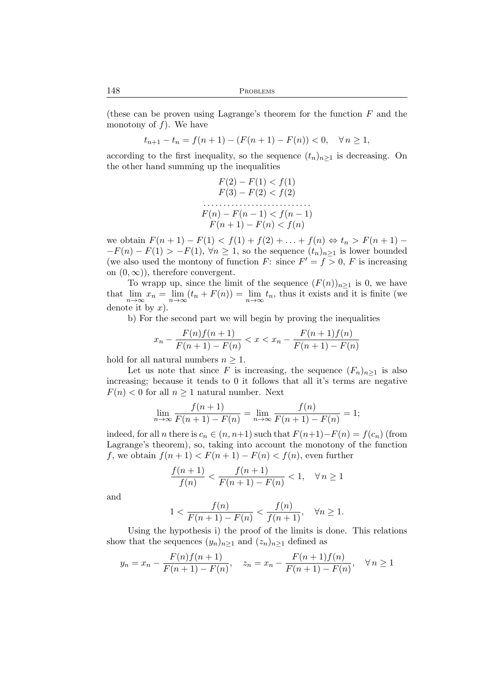148 PROBLEMS

(these can be proven using Lagrange's theorem for the function  $F$  and the monotony of  $f$ ). We have

$$
t_{n+1} - t_n = f(n+1) - (F(n+1) - F(n)) < 0, \quad \forall n \ge 1,
$$

according to the first inequality, so the sequence  $(t_n)_{n\geq 1}$  is decreasing. On the other hand summing up the inequalities

$$
F(2) - F(1) < f(1)
$$
\n
$$
F(3) - F(2) < f(2)
$$
\n
$$
\dots
$$
\n
$$
F(n) - F(n - 1) < f(n - 1)
$$
\n
$$
F(n + 1) - F(n) < f(n)
$$

we obtain  $F(n + 1) - F(1) < f(1) + f(2) + \ldots + f(n) \Leftrightarrow t_n > F(n + 1) -F(n) - F(1) > -F(1), \forall n \ge 1$ , so the sequence  $(t_n)_{n \ge 1}$  is lower bounded (we also used the montony of function F: since  $F' = f > 0$ , F is increasing on  $(0, \infty)$ , therefore convergent.

To wrapp up, since the limit of the sequence  $(F(n))_{n\geq 1}$  is 0, we have that  $\lim_{n\to\infty}x_n=\lim_{n\to\infty}(t_n+F(n))=\lim_{n\to\infty}t_n$ , thus it exists and it is finite (we denote it by  $x$ ).

b) For the second part we will begin by proving the inequalities

$$
x_n - \frac{F(n)f(n+1)}{F(n+1) - F(n)} < x < x_n - \frac{F(n+1)f(n)}{F(n+1) - F(n)}
$$

hold for all natural numbers  $n \geq 1$ .

Let us note that since F is increasing, the sequence  $(F_n)_{n\geq 1}$  is also increasing; because it tends to 0 it follows that all it's terms are negative  $F(n) < 0$  for all  $n \geq 1$  natural number. Next

$$
\lim_{n \to \infty} \frac{f(n+1)}{F(n+1) - F(n)} = \lim_{n \to \infty} \frac{f(n)}{F(n+1) - F(n)} = 1;
$$

indeed, for all *n* there is  $c_n \in (n, n+1)$  such that  $F(n+1) - F(n) = f(c_n)$  (from Lagrange's theorem), so, taking into account the monotony of the function f, we obtain  $f(n+1) < F(n+1) - F(n) < f(n)$ , even further

$$
\frac{f(n+1)}{f(n)} < \frac{f(n+1)}{F(n+1) - F(n)} < 1, \quad \forall n \ge 1
$$

and

$$
1 < \frac{f(n)}{F(n+1) - F(n)} < \frac{f(n)}{f(n+1)}, \quad \forall n \ge 1.
$$

Using the hypothesis i) the proof of the limits is done. This relations show that the sequences  $(y_n)_{n>1}$  and  $(z_n)_{n>1}$  defined as

$$
y_n = x_n - \frac{F(n)f(n+1)}{F(n+1) - F(n)}, \quad z_n = x_n - \frac{F(n+1)f(n)}{F(n+1) - F(n)}, \quad \forall n \ge 1
$$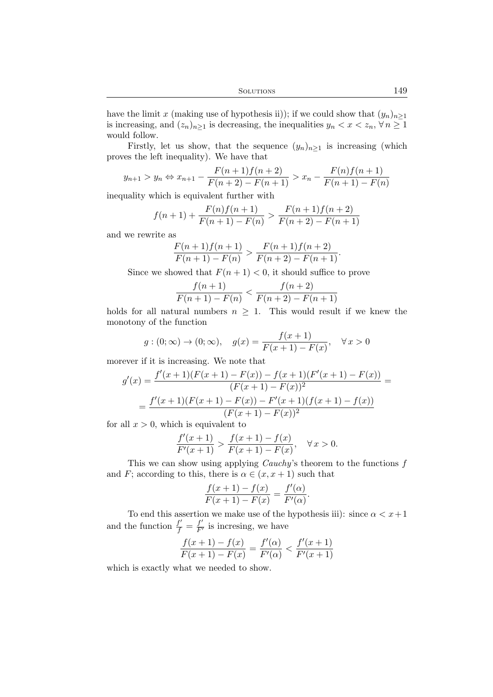have the limit x (making use of hypothesis ii)); if we could show that  $(y_n)_{n\geq 1}$ is increasing, and  $(z_n)_{n\geq 1}$  is decreasing, the inequalities  $y_n < x < z_n$ ,  $\forall n \geq 1$ would follow.

Firstly, let us show, that the sequence  $(y_n)_{n\geq 1}$  is increasing (which proves the left inequality). We have that

$$
y_{n+1} > y_n \Leftrightarrow x_{n+1} - \frac{F(n+1)f(n+2)}{F(n+2) - F(n+1)} > x_n - \frac{F(n)f(n+1)}{F(n+1) - F(n)}
$$

inequality which is equivalent further with

$$
f(n+1) + \frac{F(n)f(n+1)}{F(n+1) - F(n)} > \frac{F(n+1)f(n+2)}{F(n+2) - F(n+1)}
$$

and we rewrite as

$$
\frac{F(n+1)f(n+1)}{F(n+1)-F(n)} > \frac{F(n+1)f(n+2)}{F(n+2)-F(n+1)}.
$$

Since we showed that  $F(n + 1) < 0$ , it should suffice to prove

$$
\frac{f(n+1)}{F(n+1) - F(n)} < \frac{f(n+2)}{F(n+2) - F(n+1)}
$$

holds for all natural numbers  $n \geq 1$ . This would result if we knew the monotony of the function

$$
g:(0; \infty) \to (0; \infty), \quad g(x) = \frac{f(x+1)}{F(x+1) - F(x)}, \quad \forall x > 0
$$

morever if it is increasing. We note that

$$
g'(x) = \frac{f'(x+1)(F(x+1) - F(x)) - f(x+1)(F'(x+1) - F(x))}{(F(x+1) - F(x))^2} =
$$
  
= 
$$
\frac{f'(x+1)(F(x+1) - F(x)) - F'(x+1)(f(x+1) - f(x))}{(F(x+1) - F(x))^2}
$$

for all  $x > 0$ , which is equivalent to

$$
\frac{f'(x+1)}{F'(x+1)} > \frac{f(x+1) - f(x)}{F(x+1) - F(x)}, \quad \forall x > 0.
$$

This we can show using applying *Cauchy*'s theorem to the functions f and F; according to this, there is  $\alpha \in (x, x+1)$  such that

$$
\frac{f(x+1)-f(x)}{F(x+1)-F(x)} = \frac{f'(\alpha)}{F'(\alpha)}.
$$

To end this assertion we make use of the hypothesis iii): since  $\alpha < x+1$ and the function  $\frac{f'}{f} = \frac{f'}{F'}$  is incresing, we have

$$
\frac{f(x+1) - f(x)}{F(x+1) - F(x)} = \frac{f'(\alpha)}{F'(\alpha)} < \frac{f'(x+1)}{F'(x+1)}
$$

which is exactly what we needed to show.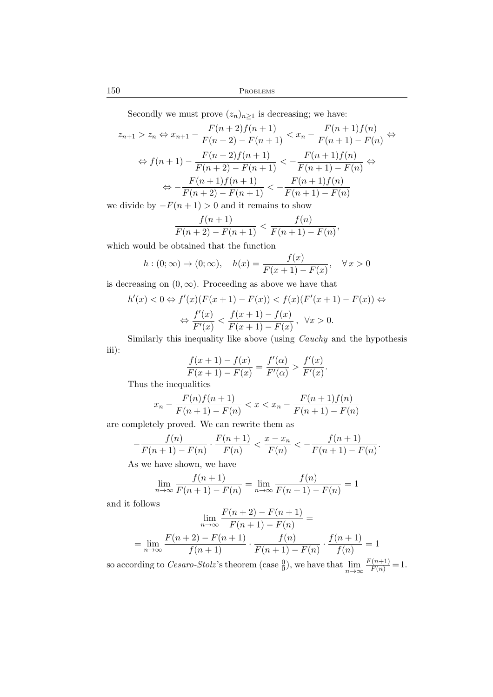150 PROBLEMS

Secondly we must prove  $(z_n)_{n\geq 1}$  is decreasing; we have:

$$
z_{n+1} > z_n \Leftrightarrow x_{n+1} - \frac{F(n+2)f(n+1)}{F(n+2) - F(n+1)} < x_n - \frac{F(n+1)f(n)}{F(n+1) - F(n)} \Leftrightarrow
$$
\n
$$
\Leftrightarrow f(n+1) - \frac{F(n+2)f(n+1)}{F(n+2) - F(n+1)} < -\frac{F(n+1)f(n)}{F(n+1) - F(n)} \Leftrightarrow
$$
\n
$$
\Leftrightarrow -\frac{F(n+1)f(n+1)}{F(n+2) - F(n+1)} < -\frac{F(n+1)f(n)}{F(n+1) - F(n)}
$$
\nwith  $x_n \geq 0$ , then  $x_n \geq 0$ .

we divide by  $-F(n+1) > 0$  and it remains to show

$$
\frac{f(n+1)}{F(n+2)-F(n+1)} < \frac{f(n)}{F(n+1)-F(n)},
$$

which would be obtained that the function

$$
h: (0; \infty) \to (0; \infty), \quad h(x) = \frac{f(x)}{F(x+1) - F(x)}, \quad \forall x > 0
$$

is decreasing on  $(0, \infty)$ . Proceeding as above we have that

$$
h'(x) < 0 \Leftrightarrow f'(x)(F(x+1) - F(x)) < f(x)(F'(x+1) - F(x)) \Leftrightarrow
$$
\n
$$
\Leftrightarrow \frac{f'(x)}{F'(x)} < \frac{f(x+1) - f(x)}{F(x+1) - F(x)}, \quad \forall x > 0.
$$

Similarly this inequality like above (using *Cauchy* and the hypothesis iii):

$$
\frac{f(x+1) - f(x)}{F(x+1) - F(x)} = \frac{f'(\alpha)}{F'(\alpha)} > \frac{f'(x)}{F'(x)}.
$$

Thus the inequalities

$$
x_n - \frac{F(n)f(n+1)}{F(n+1) - F(n)} < x < x_n - \frac{F(n+1)f(n)}{F(n+1) - F(n)}
$$

are completely proved. We can rewrite them as

$$
-\frac{f(n)}{F(n+1) - F(n)} \cdot \frac{F(n+1)}{F(n)} < \frac{x - x_n}{F(n)} < -\frac{f(n+1)}{F(n+1) - F(n)}
$$

.

As we have shown, we have

$$
\lim_{n \to \infty} \frac{f(n+1)}{F(n+1) - F(n)} = \lim_{n \to \infty} \frac{f(n)}{F(n+1) - F(n)} = 1
$$

and it follows

$$
\lim_{n\to\infty}\frac{F(n+2)-F(n+1)}{F(n+1)-F(n)}=
$$

$$
= \lim_{n \to \infty} \frac{F(n+2) - F(n+1)}{f(n+1)} \cdot \frac{f(n)}{F(n+1) - F(n)} \cdot \frac{f(n+1)}{f(n)} = 1
$$

so according to *Cesaro-Stolz*'s theorem (case  $\frac{0}{0}$ ), we have that  $\lim_{n\to\infty} \frac{F(n+1)}{F(n)} = 1$ .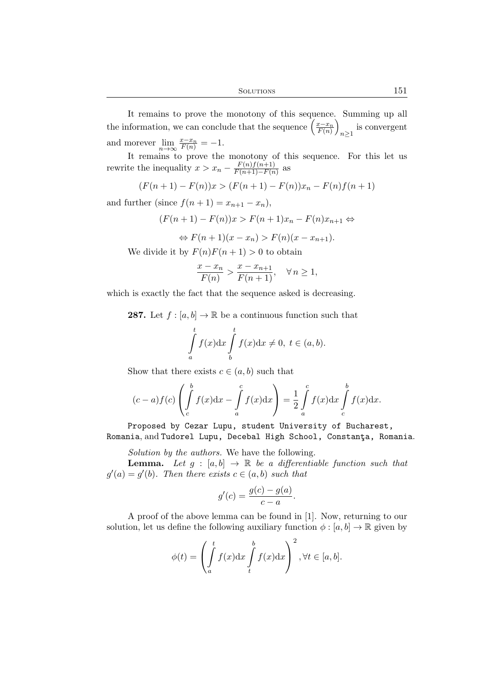It remains to prove the monotony of this sequence. Summing up all the information, we can conclude that the sequence  $\left(\frac{x-x_n}{F(n)}\right)$ is convergent  $n \geq 1$ and morever  $\lim_{n \to \infty} \frac{x - x_n}{F(n)} = -1.$ 

It remains to prove the monotony of this sequence. For this let us rewrite the inequality  $x > x_n - \frac{F(n)f(n+1)}{F(n+1)-F(n)}$  $\frac{F(n)J(n+1)}{F(n+1)-F(n)}$  as

$$
(F(n+1) - F(n))x > (F(n+1) - F(n))x_n - F(n)f(n+1)
$$

and further (since  $f(n+1) = x_{n+1} - x_n$ ),

 $(F(n+1) - F(n))x > F(n+1)x_n - F(n)x_{n+1} \Leftrightarrow$  $\langle \cdot \rangle$  F(n + 1)(n = x) > F(n)(n

$$
\Leftrightarrow F(n+1)(x-x_n) > F(n)(x-x_{n+1}).
$$

We divide it by  $F(n)F(n+1) > 0$  to obtain

$$
\frac{x - x_n}{F(n)} > \frac{x - x_{n+1}}{F(n+1)}, \quad \forall n \ge 1,
$$

which is exactly the fact that the sequence asked is decreasing.

**287.** Let  $f : [a, b] \to \mathbb{R}$  be a continuous function such that

$$
\int_{a}^{t} f(x)dx \int_{b}^{t} f(x)dx \neq 0, t \in (a, b).
$$

Show that there exists  $c \in (a, b)$  such that

$$
(c-a)f(c)\left(\int\limits_c^b f(x)\mathrm{d}x - \int\limits_a^c f(x)\mathrm{d}x\right) = \frac{1}{2}\int\limits_a^c f(x)\mathrm{d}x \int\limits_c^b f(x)\mathrm{d}x.
$$

Proposed by Cezar Lupu, student University of Bucharest, Romania, and Tudorel Lupu, Decebal High School, Constanta, Romania.

*Solution by the authors.* We have the following.

**Lemma.** Let  $g : [a, b] \rightarrow \mathbb{R}$  be a differentiable function such that  $g'(a) = g'(b)$ *. Then there exists*  $c \in (a, b)$  *such that* 

$$
g'(c) = \frac{g(c) - g(a)}{c - a}.
$$

A proof of the above lemma can be found in [1]. Now, returning to our solution, let us define the following auxiliary function  $\phi : [a, b] \to \mathbb{R}$  given by

$$
\phi(t) = \left(\int_a^t f(x) dx \int_t^b f(x) dx\right)^2, \forall t \in [a, b].
$$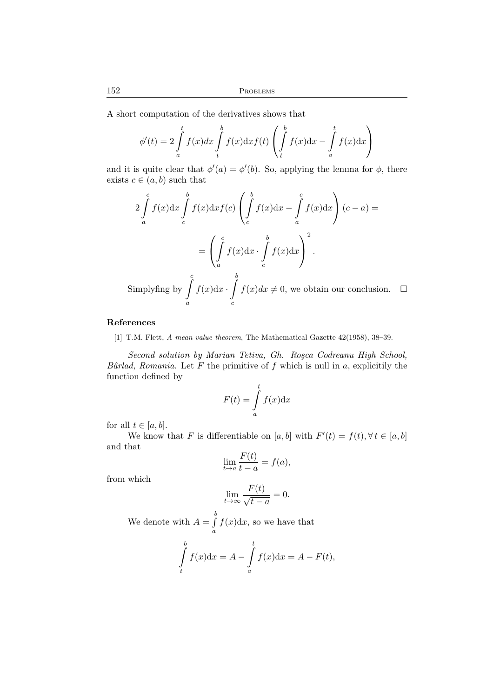A short computation of the derivatives shows that

$$
\phi'(t) = 2 \int_a^t f(x) dx \int_t^b f(x) dx f(t) \left( \int_t^b f(x) dx - \int_a^t f(x) dx \right)
$$

and it is quite clear that  $\phi'(a) = \phi'(b)$ . So, applying the lemma for  $\phi$ , there exists  $c \in (a, b)$  such that

$$
2\int_{a}^{c} f(x)dx \int_{c}^{b} f(x)dx f(c) \left(\int_{c}^{b} f(x)dx - \int_{a}^{c} f(x)dx\right)(c-a) =
$$

$$
= \left(\int_{a}^{c} f(x)dx \cdot \int_{c}^{b} f(x)dx\right)^{2}.
$$
Simplifying by  $\int_{a}^{c} f(x)dx \cdot \int_{c}^{b} f(x)dx \neq 0$ , we obtain our conclusion.  $\Box$ 

## References

[1] T.M. Flett, *A mean value theorem*, The Mathematical Gazette 42(1958), 38–39.

*Second solution by Marian Tetiva, Gh. Ro¸sca Codreanu High School, Bârlad, Romania.* Let  $F$  the primitive of  $f$  which is null in  $a$ , explicitily the function defined by

$$
F(t) = \int_{a}^{t} f(x) \mathrm{d}x
$$

for all  $t \in [a, b]$ .

We know that F is differentiable on  $[a, b]$  with  $F'(t) = f(t), \forall t \in [a, b]$ and that

$$
\lim_{t \to a} \frac{F(t)}{t - a} = f(a),
$$

from which

$$
\lim_{t \to \infty} \frac{F(t)}{\sqrt{t - a}} = 0.
$$

We denote with  $A = \int$ b a  $f(x)dx$ , so we have that

$$
\int_{t}^{b} f(x)dx = A - \int_{a}^{t} f(x)dx = A - F(t),
$$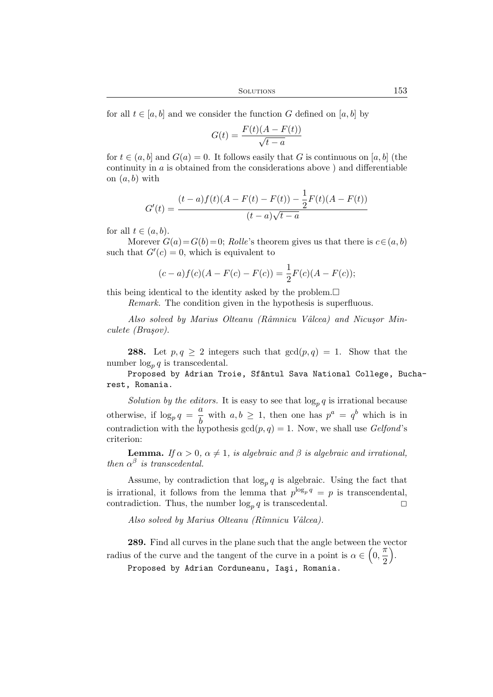for all  $t \in [a, b]$  and we consider the function G defined on [a, b] by

$$
G(t) = \frac{F(t)(A - F(t))}{\sqrt{t - a}}
$$

for  $t \in (a, b]$  and  $G(a) = 0$ . It follows easily that G is continuous on [a, b] (the continuity in a is obtained from the considerations above ) and differentiable on  $(a, b)$  with

$$
G'(t) = \frac{(t-a)f(t)(A - F(t) - F(t)) - \frac{1}{2}F(t)(A - F(t))}{(t-a)\sqrt{t-a}}
$$

for all  $t \in (a, b)$ .

Morever  $G(a) = G(b) = 0$ ; *Rolle*'s theorem gives us that there is  $c \in (a, b)$ such that  $G'(c) = 0$ , which is equivalent to

$$
(c-a) f(c) (A - F(c) - F(c)) = \frac{1}{2} F(c) (A - F(c));
$$

this being identical to the identity asked by the problem.  $\Box$ 

*Remark.* The condition given in the hypothesis is superfluous.

Also solved by Marius Olteanu (Râmnicu Vâlcea) and Nicuşor Min*culete (Bra¸sov).*

**288.** Let  $p, q \ge 2$  integers such that  $gcd(p, q) = 1$ . Show that the number  $\log_p q$  is transcedental.

Proposed by Adrian Troie, Sfântul Sava National College, Bucharest, Romania.

Solution by the editors. It is easy to see that  $\log_p q$  is irrational because otherwise, if  $\log_p q = \frac{a}{b}$  with  $a, b \ge 1$ , then one has  $p^a = q^b$  which is in b contradiction with the hypothesis  $gcd(p, q) = 1$ . Now, we shall use *Gelfond*'s criterion:

**Lemma.** *If*  $\alpha > 0$ ,  $\alpha \neq 1$ , *is algebraic and*  $\beta$  *is algebraic and irrational*, *then*  $\alpha^{\beta}$  *is transcedental.* 

Assume, by contradiction that  $\log_p q$  is algebraic. Using the fact that is irrational, it follows from the lemma that  $p^{\log_p q} = p$  is transcendental, contradiction. Thus, the number  $\log_p q$  is transcedental.

*Also solved by Marius Olteanu (Rˆımnicu Vˆalcea).*

289. Find all curves in the plane such that the angle between the vector radius of the curve and the tangent of the curve in a point is  $\alpha \in \left(0, \frac{\pi}{2}\right)$ 2 .

Proposed by Adrian Corduneanu, Iaşi, Romania.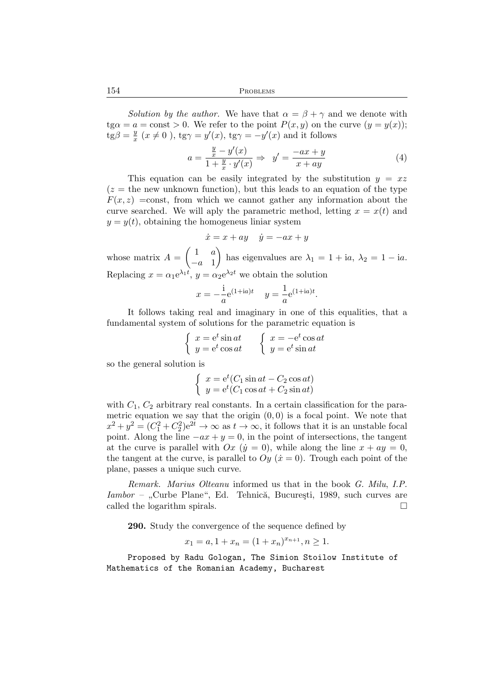154 PROBLEMS

*Solution by the author.* We have that  $\alpha = \beta + \gamma$  and we denote with  $tg\alpha = a = \text{const} > 0$ . We refer to the point  $P(x, y)$  on the curve  $(y = y(x))$ ;  $\overline{\text{tg}}\beta = \frac{y}{x}$  $\frac{y}{x}$   $(x \neq 0)$ , tg $\gamma = y'(x)$ , tg $\gamma = -y'(x)$  and it follows

$$
a = \frac{\frac{y}{x} - y'(x)}{1 + \frac{y}{x} \cdot y'(x)} \Rightarrow y' = \frac{-ax + y}{x + ay}
$$
(4)

This equation can be easily integrated by the substitution  $y = xz$  $(z =$  the new unknown function), but this leads to an equation of the type  $F(x, z) =$ const, from which we cannot gather any information about the curve searched. We will aply the parametric method, letting  $x = x(t)$  and  $y = y(t)$ , obtaining the homogeneus liniar system

$$
\dot{x} = x + ay \quad \dot{y} = -ax + y
$$

whose matrix  $A = \begin{pmatrix} 1 & a \\ a & 1 \end{pmatrix}$  $-a$  1 has eigenvalues are  $\lambda_1 = 1 + ia$ ,  $\lambda_2 = 1 - ia$ . Replacing  $x = \alpha_1 e^{\lambda_1 t}$ ,  $y = \alpha_2 e^{\lambda_2 t}$  we obtain the solution

$$
x = -\frac{1}{a}e^{(1+ia)t}
$$
  $y = -\frac{1}{a}e^{(1+ia)t}$ .

It follows taking real and imaginary in one of this equalities, that a fundamental system of solutions for the parametric equation is

$$
\begin{cases}\nx = e^t \sin at \\
y = e^t \cos at\n\end{cases}\n\qquad\n\begin{cases}\nx = -e^t \cos at \\
y = e^t \sin at\n\end{cases}
$$

so the general solution is

$$
\begin{cases}\nx = e^t(C_1 \sin at - C_2 \cos at) \\
y = e^t(C_1 \cos at + C_2 \sin at)\n\end{cases}
$$

with  $C_1$ ,  $C_2$  arbitrary real constants. In a certain classification for the parametric equation we say that the origin  $(0, 0)$  is a focal point. We note that  $x^2 + y^2 = (C_1^2 + C_2^2)e^{2t} \to \infty$  as  $t \to \infty$ , it follows that it is an unstable focal point. Along the line  $-ax + y = 0$ , in the point of intersections, the tangent at the curve is parallel with  $Ox$  ( $\dot{y} = 0$ ), while along the line  $x + ay = 0$ , the tangent at the curve, is parallel to  $Oy$  ( $\dot{x} = 0$ ). Trough each point of the plane, passes a unique such curve.

*Remark. Marius Olteanu* informed us that in the book *G. Milu*, *I.P. Iambor* – "Curbe Plane", Ed. Tehnică, București, 1989, such curves are called the logarithm spirals.

290. Study the convergence of the sequence defined by

$$
x_1 = a, 1 + x_n = (1 + x_n)^{x_{n+1}}, n \ge 1.
$$

Proposed by Radu Gologan, The Simion Stoilow Institute of Mathematics of the Romanian Academy, Bucharest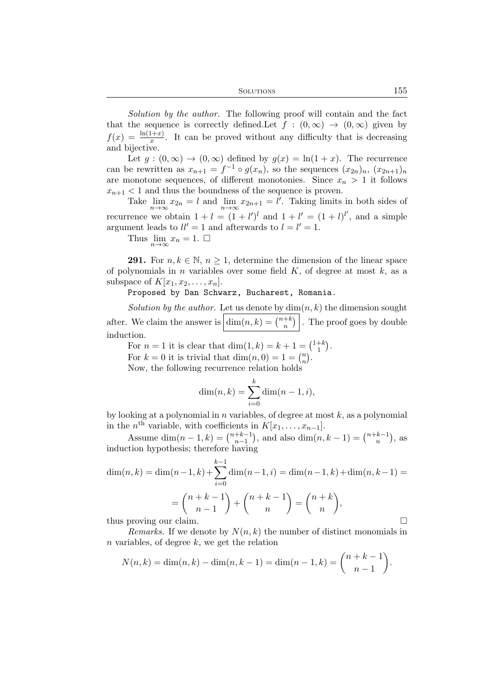*Solution by the author.* The following proof will contain and the fact that the sequence is correctly defined. Let  $f : (0, \infty) \to (0, \infty)$  given by  $f(x) = \frac{\ln(1+x)}{x}$ . It can be proved without any difficulty that is decreasing and bijective.

Let  $g:(0,\infty) \to (0,\infty)$  defined by  $g(x) = \ln(1+x)$ . The recurrence can be rewritten as  $x_{n+1} = f^{-1} \circ g(x_n)$ , so the sequences  $(x_{2n})_n, (x_{2n+1})_n$ are monotone sequences, of different monotonies. Since  $x_n > 1$  it follows  $x_{n+1}$  < 1 and thus the boundness of the sequence is proven.

Take  $\lim_{n\to\infty} x_{2n} = l$  and  $\lim_{n\to\infty} x_{2n+1} = l'$ . Taking limits in both sides of recurrence we obtain  $1 + l = (1 + l')^l$  and  $1 + l' = (1 + l)^{l'}$ , and a simple argument leads to  $ll' = 1$  and afterwards to  $l = l' = 1$ .

Thus  $\lim_{n\to\infty} x_n = 1.$ 

**291.** For  $n, k \in \mathbb{N}, n \geq 1$ , determine the dimension of the linear space of polynomials in *n* variables over some field  $K$ , of degree at most  $k$ , as a subspace of  $K[x_1, x_2, \ldots, x_n]$ .

Proposed by Dan Schwarz, Bucharest, Romania.

*Solution by the author.* Let us denote by  $\dim(n, k)$  the dimension sought after. We claim the answer is  $\dim(n, k) = \binom{n+k}{n}$  $\binom{+k}{n}$ . The proof goes by double induction.

For  $n = 1$  it is clear that  $\dim(1, k) = k + 1 = \binom{1 + k}{1}$  $\binom{+\kappa}{1}$ .

For  $k = 0$  it is trivial that  $\dim(n, 0) = 1 = \binom{n}{n}$  $\binom{n}{n}$ .

Now, the following recurrence relation holds

$$
\dim(n, k) = \sum_{i=0}^{k} \dim(n - 1, i),
$$

by looking at a polynomial in  $n$  variables, of degree at most  $k$ , as a polynomial in the  $n^{\text{th}}$  variable, with coefficients in  $K[x_1, \ldots, x_{n-1}].$ 

Assume  $\dim(n-1,k) = \binom{n+k-1}{n-1}$  $\binom{+k-1}{n-1}$ , and also  $\dim(n, k-1) = \binom{n+k-1}{n}$  $\binom{k-1}{n}$ , as induction hypothesis; therefore having

$$
\dim(n,k) = \dim(n-1,k) + \sum_{i=0}^{k-1} \dim(n-1,i) = \dim(n-1,k) + \dim(n,k-1) =
$$

$$
= \binom{n+k-1}{n-1} + \binom{n+k-1}{n} = \binom{n+k}{n},
$$

thus proving our claim.

*Remarks.* If we denote by  $N(n, k)$  the number of distinct monomials in  $n$  variables, of degree  $k$ , we get the relation

$$
N(n,k) = \dim(n,k) - \dim(n,k-1) = \dim(n-1,k) = \binom{n+k-1}{n-1}.
$$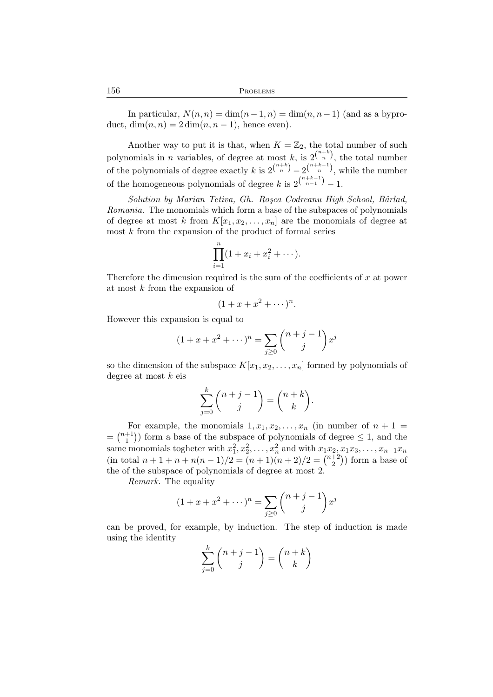In particular,  $N(n, n) = \dim(n-1, n) = \dim(n, n-1)$  (and as a byproduct,  $\dim(n, n) = 2 \dim(n, n - 1)$ , hence even).

Another way to put it is that, when  $K = \mathbb{Z}_2$ , the total number of such polynomials in *n* variables, of degree at most *k*, is  $2^{n+k \choose n}$ , the total number of the polynomials of degree exactly k is  $2^{n+k}_{n} - 2^{n+k-1}_{n}$ , while the number of the homogeneous polynomials of degree k is  $2^{\binom{n+k-1}{n-1}} - 1$ .

*Solution by Marian Tetiva, Gh. Ro¸sca Codreanu High School, Bˆarlad, Romania.* The monomials which form a base of the subspaces of polynomials of degree at most k from  $K[x_1, x_2, \ldots, x_n]$  are the monomials of degree at most k from the expansion of the product of formal series

$$
\prod_{i=1}^{n} (1 + x_i + x_i^2 + \cdots).
$$

Therefore the dimension required is the sum of the coefficients of  $x$  at power at most k from the expansion of

$$
(1+x+x^2+\cdots)^n.
$$

However this expansion is equal to

$$
(1 + x + x2 + \cdots)n = \sum_{j \ge 0} {n + j - 1 \choose j} xj
$$

so the dimension of the subspace  $K[x_1, x_2, \ldots, x_n]$  formed by polynomials of degree at most  $k$  eis

$$
\sum_{j=0}^{k} \binom{n+j-1}{j} = \binom{n+k}{k}.
$$

For example, the monomials  $1, x_1, x_2, \ldots, x_n$  (in number of  $n + 1 =$  $= \binom{n+1}{1}$  $\binom{+1}{1}$  form a base of the subspace of polynomials of degree  $\leq 1$ , and the same monomials togheter with  $x_1^2, x_2^2, \ldots, x_n^2$  and with  $x_1x_2, x_1x_3, \ldots, x_{n-1}x_n$ (in total  $n + 1 + n + n(n - 1)/2 = (n + 1)(n + 2)/2 = {n+2 \choose 2}$  $\binom{+2}{2}$ ) form a base of the of the subspace of polynomials of degree at most 2.

*Remark.* The equality

$$
(1 + x + x2 + \cdots)n = \sum_{j \ge 0} {n + j - 1 \choose j} xj
$$

can be proved, for example, by induction. The step of induction is made using the identity

$$
\sum_{j=0}^{k} \binom{n+j-1}{j} = \binom{n+k}{k}
$$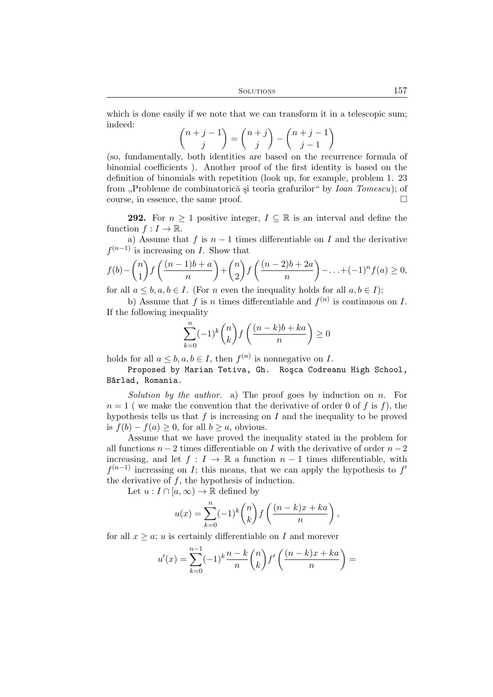which is done easily if we note that we can transform it in a telescopic sum; indeed:

$$
\binom{n+j-1}{j} = \binom{n+j}{j} - \binom{n+j-1}{j-1}
$$

(so, fundamentally, both identities are based on the recurrence formula of binomial coefficients ). Another proof of the first identity is based on the definition of binomials with repetition (look up, for example, problem 1. 23 from "Probleme de combinatorică și teoria grafurilor" by *Ioan Tomescu*); of course, in essence, the same proof.

**292.** For  $n \geq 1$  positive integer,  $I \subseteq \mathbb{R}$  is an interval and define the function  $f: I \to \mathbb{R}$ .

a) Assume that f is  $n-1$  times differentiable on I and the derivative  $f^{(n-1)}$  is increasing on I. Show that

$$
f(b) - \binom{n}{1} f\left(\frac{(n-1)b+a}{n}\right) + \binom{n}{2} f\left(\frac{(n-2)b+2a}{n}\right) - \ldots + (-1)^n f(a) \ge 0,
$$

for all  $a \leq b, a, b \in I$ . (For *n* even the inequality holds for all  $a, b \in I$ );

b) Assume that f is n times differentiable and  $f^{(n)}$  is continuous on I. If the following inequality

$$
\sum_{k=0}^{n} (-1)^k \binom{n}{k} f\left(\frac{(n-k)b + ka}{n}\right) \ge 0
$$

holds for all  $a \leq b, a, b \in I$ , then  $f^{(n)}$  is nonnegative on I.

Proposed by Marian Tetiva, Gh. Roşca Codreanu High School, B^arlad, Romania.

*Solution by the author.* a) The proof goes by induction on n. For  $n = 1$  (we make the convention that the derivative of order 0 of f is f), the hypothesis tells us that  $f$  is increasing on  $I$  and the inequality to be proved is  $f(b) - f(a) \geq 0$ , for all  $b \geq a$ , obvious.

Assume that we have proved the inequality stated in the problem for all functions  $n-2$  times differentiable on I with the derivative of order  $n-2$ increasing, and let  $f: I \to \mathbb{R}$  a function  $n-1$  times differentiable, with  $f^{(n-1)}$  increasing on I; this means, that we can apply the hypothesis to  $f'$ the derivative of  $f$ , the hypothesis of induction.

Let  $u: I \cap [a, \infty) \to \mathbb{R}$  defined by

$$
u(x) = \sum_{k=0}^{n} (-1)^k {n \choose k} f\left(\frac{(n-k)x + ka}{n}\right),
$$

for all  $x \geq a$ ; u is certainly differentiable on I and morever

$$
u'(x) = \sum_{k=0}^{n-1} (-1)^k \frac{n-k}{n} {n \choose k} f' \left( \frac{(n-k)x + ka}{n} \right) =
$$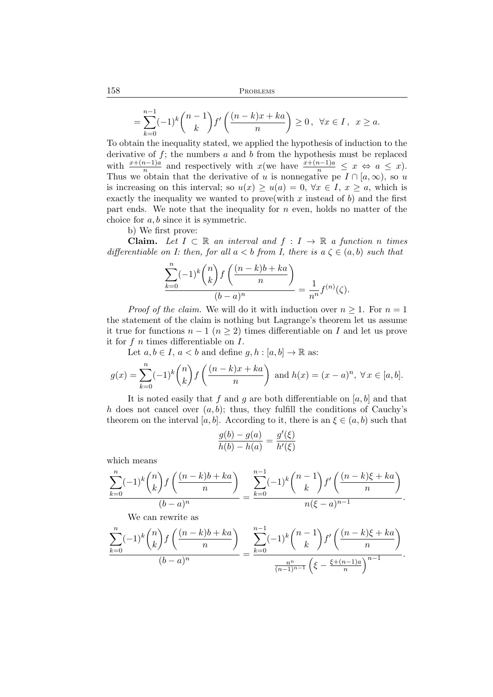$$
=\sum_{k=0}^{n-1}(-1)^k\binom{n-1}{k}f'\left(\frac{(n-k)x+ka}{n}\right)\geq 0\,,\ \ \forall x\in I\,,\ \ x\geq a.
$$

To obtain the inequality stated, we applied the hypothesis of induction to the derivative of  $f$ ; the numbers  $a$  and  $b$  from the hypothesis must be replaced with  $\frac{x+(n-1)a}{n}$  and respectively with  $x$  (we have  $\frac{x+(n-1)a}{n} \leq x \Leftrightarrow a \leq x$ ). Thus we obtain that the derivative of u is nonnegative pe  $I \cap [a,\infty)$ , so u is increasing on this interval; so  $u(x) \ge u(a) = 0$ ,  $\forall x \in I$ ,  $x \ge a$ , which is exactly the inequality we wanted to prove (with x instead of b) and the first part ends. We note that the inequality for  $n$  even, holds no matter of the choice for a, b since it is symmetric.

b) We first prove:

**Claim.** Let  $I \subset \mathbb{R}$  an interval and  $f : I \to \mathbb{R}$  a function n times *differentiable on I: then, for all*  $a < b$  *from I, there is*  $a \zeta \in (a, b)$  *such that* 

$$
\frac{\displaystyle\sum_{k=0}^n(-1)^k\binom{n}{k}f\left(\frac{(n-k)b+ka}{n}\right)}{(b-a)^n}=\frac{1}{n^n}f^{(n)}(\zeta).
$$

*Proof of the claim.* We will do it with induction over  $n \geq 1$ . For  $n = 1$ the statement of the claim is nothing but Lagrange's theorem let us assume it true for functions  $n-1$   $(n \geq 2)$  times differentiable on I and let us prove it for  $f$  n times differentiable on  $I$ .

Let  $a, b \in I$ ,  $a < b$  and define  $g, h : [a, b] \to \mathbb{R}$  as:

$$
g(x) = \sum_{k=0}^{n} (-1)^k {n \choose k} f\left(\frac{(n-k)x + ka}{n}\right) \text{ and } h(x) = (x-a)^n, \ \forall x \in [a, b].
$$

It is noted easily that f and g are both differentiable on  $[a, b]$  and that h does not cancel over  $(a, b)$ ; thus, they fulfill the conditions of Cauchy's theorem on the interval [a, b]. According to it, there is an  $\xi \in (a, b)$  such that

$$
\frac{g(b) - g(a)}{h(b) - h(a)} = \frac{g'(\xi)}{h'(\xi)}
$$

which means

$$
\frac{\sum_{k=0}^{n}(-1)^{k}\binom{n}{k}f\left(\frac{(n-k)b+ka}{n}\right)}{(b-a)^{n}} = \frac{\sum_{k=0}^{n-1}(-1)^{k}\binom{n-1}{k}f'\left(\frac{(n-k)\xi+ka}{n}\right)}{n(\xi-a)^{n-1}}.
$$

We can rewrite as

$$
\frac{\sum_{k=0}^{n}(-1)^{k}\binom{n}{k}f\left(\frac{(n-k)b+ka}{n}\right)}{(b-a)^{n}} = \frac{\sum_{k=0}^{n-1}(-1)^{k}\binom{n-1}{k}f'\left(\frac{(n-k)\xi+ka}{n}\right)}{\frac{n^{n}}{(n-1)^{n-1}}\left(\xi-\frac{\xi+(n-1)a}{n}\right)^{n-1}}.
$$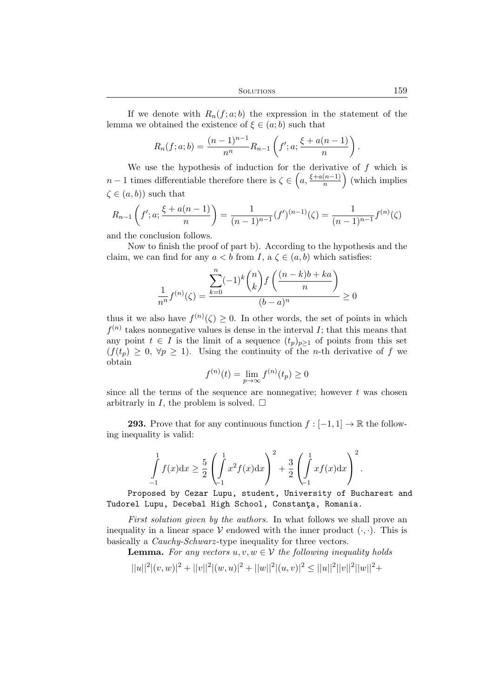If we denote with  $R_n(f; a; b)$  the expression in the statement of the lemma we obtained the existence of  $\xi \in (a, b)$  such that

$$
R_n(f;a;b) = \frac{(n-1)^{n-1}}{n^n} R_{n-1}\left(f';a; \frac{\xi + a(n-1)}{n}\right)
$$

We use the hypothesis of induction for the derivative of  $f$  which is  $n-1$  times differentiable therefore there is  $\zeta \in \left(a, \frac{\xi + a(n-1)}{n}\right)$  $\binom{(n-1)}{n}$  (which implies  $\zeta \in (a, b)$  such that

$$
R_{n-1}\left(f';a;\frac{\xi+a(n-1)}{n}\right) = \frac{1}{(n-1)^{n-1}}(f')^{(n-1)}(\zeta) = \frac{1}{(n-1)^{n-1}}f^{(n)}(\zeta)
$$

and the conclusion follows.

Now to finish the proof of part b). According to the hypothesis and the claim, we can find for any  $a < b$  from I,  $a \zeta \in (a, b)$  which satisfies:

$$
\frac{1}{n^n}f^{(n)}(\zeta) = \frac{\sum_{k=0}^n (-1)^k \binom{n}{k} f\left(\frac{(n-k)b + ka}{n}\right)}{(b-a)^n} \ge 0
$$

thus it we also have  $f^{(n)}(\zeta) \geq 0$ . In other words, the set of points in which  $f^{(n)}$  takes nonnegative values is dense in the interval I; that this means that any point  $t \in I$  is the limit of a sequence  $(t_p)_{p\geq 1}$  of points from this set  $(f(t_p) \geq 0, \forall p \geq 1)$ . Using the continuity of the *n*-th derivative of f we obtain

$$
f^{(n)}(t) = \lim_{p \to \infty} f^{(n)}(t_p) \ge 0
$$

since all the terms of the sequence are nonnegative; however  $t$  was chosen arbitrarly in I, the problem is solved.  $\square$ 

**293.** Prove that for any continuous function  $f : [-1, 1] \to \mathbb{R}$  the following inequality is valid:

$$
\int_{-1}^{1} f(x) dx \ge \frac{5}{2} \left( \int_{-1}^{1} x^2 f(x) dx \right)^2 + \frac{3}{2} \left( \int_{-1}^{1} x f(x) dx \right)^2.
$$

Proposed by Cezar Lupu, student, University of Bucharest and Tudorel Lupu, Decebal High School, Constanta, Romania.

*First solution given by the authors.* In what follows we shall prove an inequality in a linear space  $\mathcal V$  endowed with the inner product  $(\cdot, \cdot)$ . This is basically a *Cauchy-Schwarz* -type inequality for three vectors.

**Lemma.** For any vectors  $u, v, w \in V$  the following inequality holds

 $||u||<sup>2</sup>|(v, w)|<sup>2</sup> + ||v||<sup>2</sup>|(w, u)|<sup>2</sup> + ||w||<sup>2</sup>|(u, v)|<sup>2</sup> \le ||u||<sup>2</sup>||v||<sup>2</sup>||w||<sup>2</sup> +$ 

.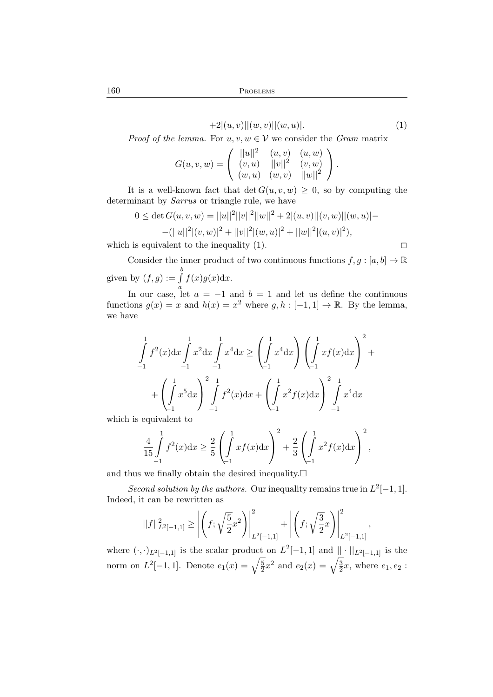$$
+2|(u,v)||(w,v)||(w,u)|.\t\t(1)
$$

*Proof of the lemma.* For  $u, v, w \in V$  we consider the *Gram* matrix

$$
G(u, v, w) = \begin{pmatrix} ||u||^2 & (u, v) & (u, w) \\ (v, u) & ||v||^2 & (v, w) \\ (w, u) & (w, v) & ||w||^2 \end{pmatrix}.
$$

It is a well-known fact that  $\det G(u, v, w) \geq 0$ , so by computing the determinant by *Sarrus* or triangle rule, we have

$$
0 \le \det G(u, v, w) = ||u||^2 ||v||^2 ||w||^2 + 2|(u, v)||(v, w)||(w, u)| -
$$
  
-(||u||<sup>2</sup>|(v, w)|<sup>2</sup> + ||v||<sup>2</sup>|(w, u)|<sup>2</sup> + ||w||<sup>2</sup>|(u, v)|<sup>2</sup>),

which is equivalent to the inequality (1).  $\Box$ 

Consider the inner product of two continuous functions  $f, g : [a, b] \to \mathbb{R}$ given by  $(f, g) := \int$ b  $f(x)g(x)dx$ .

In our case, let  $a = -1$  and  $b = 1$  and let us define the continuous functions  $g(x) = x$  and  $h(x) = x^2$  where  $g, h : [-1, 1] \to \mathbb{R}$ . By the lemma, we have

$$
\int_{-1}^{1} f^{2}(x) dx \int_{-1}^{1} x^{2} dx \int_{-1}^{1} x^{4} dx \ge \left( \int_{-1}^{1} x^{4} dx \right) \left( \int_{-1}^{1} x f(x) dx \right)^{2} + \left( \int_{-1}^{1} x^{5} dx \right)^{2} \int_{-1}^{1} f^{2}(x) dx + \left( \int_{-1}^{1} x^{2} f(x) dx \right)^{2} \int_{-1}^{1} x^{4} dx
$$

which is equivalent to

$$
\frac{4}{15} \int_{-1}^{1} f^{2}(x) dx \ge \frac{2}{5} \left( \int_{-1}^{1} x f(x) dx \right)^{2} + \frac{2}{3} \left( \int_{-1}^{1} x^{2} f(x) dx \right)^{2},
$$

and thus we finally obtain the desired inequality.  $\square$ 

*Second solution by the authors.* Our inequality remains true in  $L^2[-1,1]$ . Indeed, it can be rewritten as

$$
||f||_{L^{2}[-1,1]}^{2} \geq \left| \left(f; \sqrt{\frac{5}{2}}x^{2}\right) \right|_{L^{2}[-1,1]}^{2} + \left| \left(f; \sqrt{\frac{3}{2}}x\right) \right|_{L^{2}[-1,1]}^{2},
$$

where  $(\cdot, \cdot)_{L^2[-1,1]}$  is the scalar product on  $L^2[-1,1]$  and  $||\cdot||_{L^2[-1,1]}$  is the norm on  $L^2[-1,1]$ . Denote  $e_1(x) = \sqrt{\frac{5}{2}}$  $\frac{1}{2}x^2$  and  $e_2(x) = \sqrt{\frac{3}{2}}$  $\frac{3}{2}x$ , where  $e_1, e_2$ :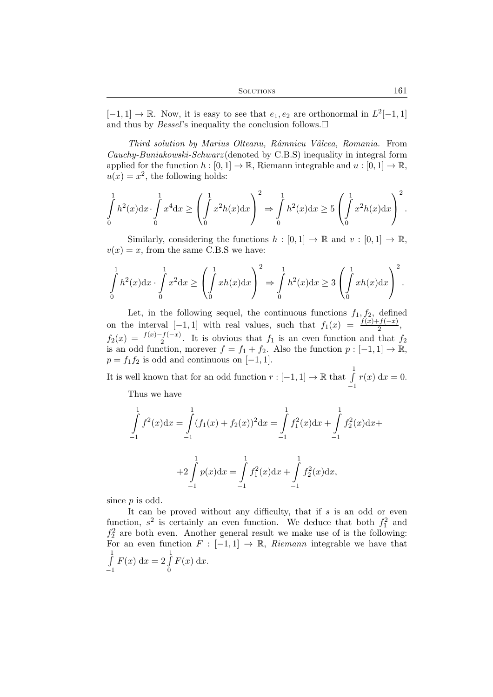$[-1, 1] \rightarrow \mathbb{R}$ . Now, it is easy to see that  $e_1, e_2$  are orthonormal in  $L^2[-1, 1]$ and thus by *Bessel*'s inequality the conclusion follows.

*Third solution by Marius Olteanu, Rˆamnicu Vˆalcea, Romania.* From *Cauchy-Buniakowski-Schwarz* (denoted by C.B.S) inequality in integral form applied for the function  $h : [0,1] \to \mathbb{R}$ , Riemann integrable and  $u : [0,1] \to \mathbb{R}$ ,  $u(x) = x^2$ , the following holds:

$$
\int_{0}^{1} h^{2}(x) dx \cdot \int_{0}^{1} x^{4} dx \ge \left( \int_{0}^{1} x^{2} h(x) dx \right)^{2} \Rightarrow \int_{0}^{1} h^{2}(x) dx \ge 5 \left( \int_{0}^{1} x^{2} h(x) dx \right)^{2}.
$$

Similarly, considering the functions  $h : [0,1] \to \mathbb{R}$  and  $v : [0,1] \to \mathbb{R}$ ,  $v(x) = x$ , from the same C.B.S we have:

$$
\int_{0}^{1} h^{2}(x) dx \cdot \int_{0}^{1} x^{2} dx \ge \left( \int_{0}^{1} xh(x) dx \right)^{2} \Rightarrow \int_{0}^{1} h^{2}(x) dx \ge 3 \left( \int_{0}^{1} xh(x) dx \right)^{2}.
$$

Let, in the following sequel, the continuous functions  $f_1, f_2$ , defined on the interval  $[-1, 1]$  with real values, such that  $f_1(x) = \frac{f(x)+f(-x)}{2}$ ,  $f_2(x) = \frac{f(x)-f(-x)}{2}$ . It is obvious that  $f_1$  is an even function and that  $f_2$ is an odd function, morever  $f = f_1 + f_2$ . Also the function  $p : [-1, 1] \to \mathbb{R}$ ,  $p = f_1 f_2$  is odd and continuous on  $[-1, 1]$ .

It is well known that for an odd function  $r : [-1,1] \to \mathbb{R}$  that  $\int_{a}^{1}$ −1  $r(x) dx = 0.$ 

Thus we have

$$
\int_{-1}^{1} f^{2}(x)dx = \int_{-1}^{1} (f_{1}(x) + f_{2}(x))^{2}dx = \int_{-1}^{1} f_{1}^{2}(x)dx + \int_{-1}^{1} f_{2}^{2}(x)dx +
$$

$$
+2\int_{-1}^{1} p(x)dx = \int_{-1}^{1} f_{1}^{2}(x)dx + \int_{-1}^{1} f_{2}^{2}(x)dx,
$$

since  $p$  is odd.

It can be proved without any difficulty, that if  $s$  is an odd or even function,  $s^2$  is certainly an even function. We deduce that both  $f_1^2$  and  $f_2^2$  are both even. Another general result we make use of is the following: For an even function  $F : [-1,1] \rightarrow \mathbb{R}$ , *Riemann* integrable we have that  $\int$ −1  $F(x) dx = 2 \int_0^1$ 0  $F(x) dx$ .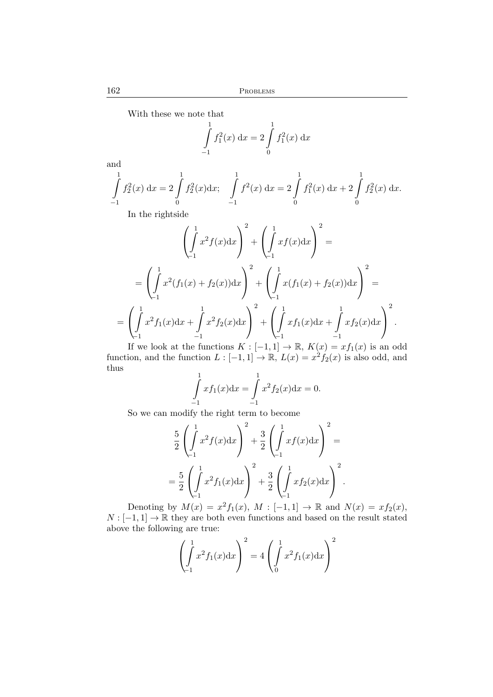With these we note that

$$
\int_{-1}^{1} f_1^2(x) dx = 2 \int_{0}^{1} f_1^2(x) dx
$$

and

$$
\int_{-1}^{1} f_2^2(x) dx = 2 \int_{0}^{1} f_2^2(x) dx; \quad \int_{-1}^{1} f^2(x) dx = 2 \int_{0}^{1} f_1^2(x) dx + 2 \int_{0}^{1} f_2^2(x) dx.
$$

In the rightside

$$
\left(\int_{-1}^{1} x^2 f(x) dx\right)^2 + \left(\int_{-1}^{1} x f(x) dx\right)^2 =
$$
\n
$$
= \left(\int_{-1}^{1} x^2 (f_1(x) + f_2(x)) dx\right)^2 + \left(\int_{-1}^{1} x (f_1(x) + f_2(x)) dx\right)^2 =
$$
\n
$$
= \left(\int_{-1}^{1} x^2 f_1(x) dx + \int_{-1}^{1} x^2 f_2(x) dx\right)^2 + \left(\int_{-1}^{1} x f_1(x) dx + \int_{-1}^{1} x f_2(x) dx\right)^2.
$$
\nIf we look at the functions  $K_1$ ,  $[1, 1]$ ,  $\mathbb{P}$ ,  $K(x) = x f_1(x)$  is an  $x$ .

If we look at the functions  $K : [-1,1] \to \mathbb{R}$ ,  $K(x) = xf_1(x)$  is an odd function, and the function  $L : [-1,1] \to \mathbb{R}, L(x) = x^2 f_2(x)$  is also odd, and thus

$$
\int_{-1}^{1} x f_1(x) dx = \int_{-1}^{1} x^2 f_2(x) dx = 0.
$$

So we can modify the right term to become

$$
\frac{5}{2} \left( \int_{-1}^{1} x^2 f(x) dx \right)^2 + \frac{3}{2} \left( \int_{-1}^{1} x f(x) dx \right)^2 =
$$
  
=  $\frac{5}{2} \left( \int_{-1}^{1} x^2 f_1(x) dx \right)^2 + \frac{3}{2} \left( \int_{-1}^{1} x f_2(x) dx \right)^2$ .

Denoting by  $M(x) = x^2 f_1(x)$ ,  $M : [-1, 1] \rightarrow \mathbb{R}$  and  $N(x) = x f_2(x)$ ,  $N: [-1, 1] \to \mathbb{R}$  they are both even functions and based on the result stated above the following are true:

$$
\left(\int_{-1}^{1} x^2 f_1(x) dx\right)^2 = 4 \left(\int_{0}^{1} x^2 f_1(x) dx\right)^2
$$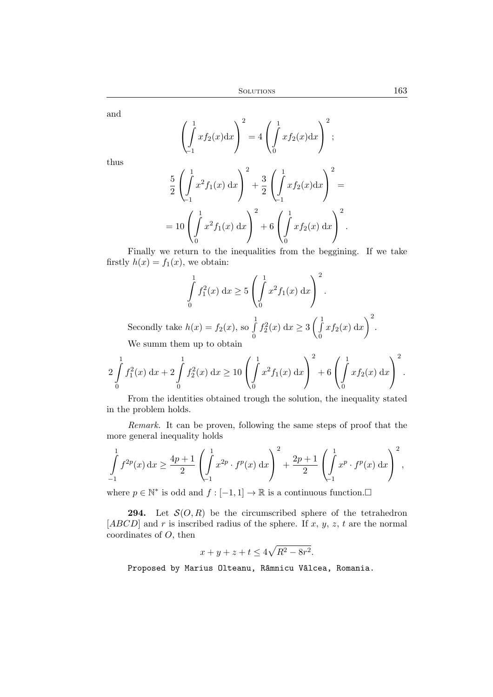and

thus

5

$$
\left(\int_{-1}^{1} x f_2(x) dx\right)^2 = 4 \left(\int_{0}^{1} x f_2(x) dx\right)^2;
$$
  

$$
\left(\int_{-1}^{1} x^2 f_1(x) dx\right)^2 + \frac{3}{2} \left(\int_{-1}^{1} x f_2(x) dx\right)^2
$$

$$
2\left(\int_{-1}^{1} x^2 f_1(x) dx\right) + 2\left(\int_{-1}^{1} x f_2(x) dx\right)
$$
  
=  $10\left(\int_{0}^{1} x^2 f_1(x) dx\right)^2 + 6\left(\int_{0}^{1} x f_2(x) dx\right)^2$ .

Finally we return to the inequalities from the beggining. If we take firstly  $h(x) = f_1(x)$ , we obtain:

$$
\int_{0}^{1} f_1^2(x) dx \ge 5 \left( \int_{0}^{1} x^2 f_1(x) dx \right)^2.
$$

Secondly take  $h(x) = f_2(x)$ , so  $\int_0^1$ 0  $f_2^2(x) dx \ge 3 \left( \int_0^1$  $\boldsymbol{0}$  $xf_2(x) dx$  $\bigg)$ <sup>2</sup>. We summ them up to obtain

$$
2\int_{0}^{1} f_{1}^{2}(x) dx + 2\int_{0}^{1} f_{2}^{2}(x) dx \ge 10\left(\int_{0}^{1} x^{2} f_{1}(x) dx\right)^{2} + 6\left(\int_{0}^{1} x f_{2}(x) dx\right)^{2}.
$$

From the identities obtained trough the solution, the inequality stated in the problem holds.

*Remark.* It can be proven, following the same steps of proof that the more general inequality holds

$$
\int_{-1}^{1} f^{2p}(x) dx \ge \frac{4p+1}{2} \left( \int_{-1}^{1} x^{2p} \cdot f^p(x) dx \right)^2 + \frac{2p+1}{2} \left( \int_{-1}^{1} x^p \cdot f^p(x) dx \right)^2,
$$

where  $p \in \mathbb{N}^*$  is odd and  $f : [-1, 1] \to \mathbb{R}$  is a continuous function.

**294.** Let  $\mathcal{S}(O, R)$  be the circumscribed sphere of the tetrahedron  $[ABCD]$  and r is inscribed radius of the sphere. If x, y, z, t are the normal coordinates of  $O$ , then

$$
x + y + z + t \le 4\sqrt{R^2 - 8r^2}.
$$

Proposed by Marius Olteanu, Râmnicu Vâlcea, Romania.

=